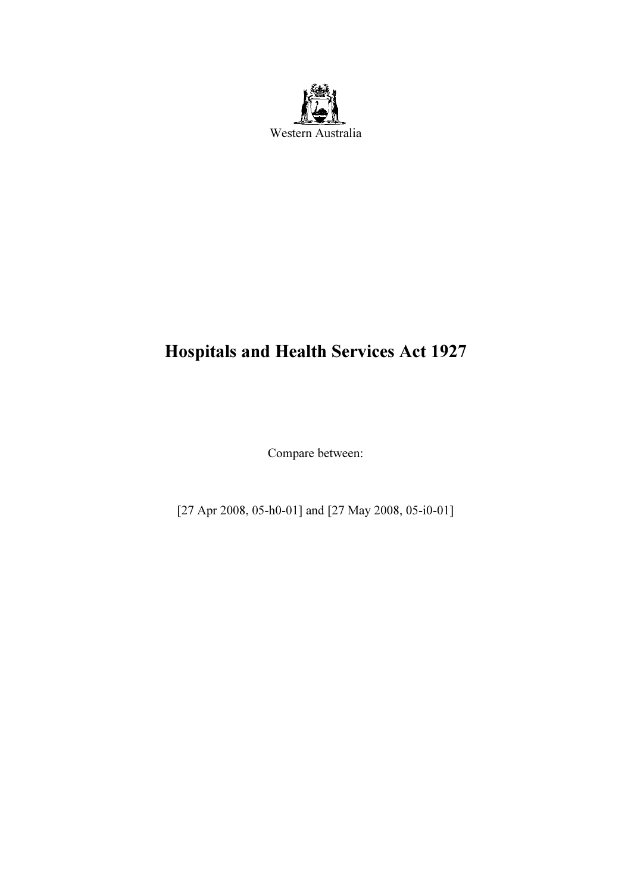

# Hospitals and Health Services Act 1927

Compare between:

[27 Apr 2008, 05-h0-01] and [27 May 2008, 05-i0-01]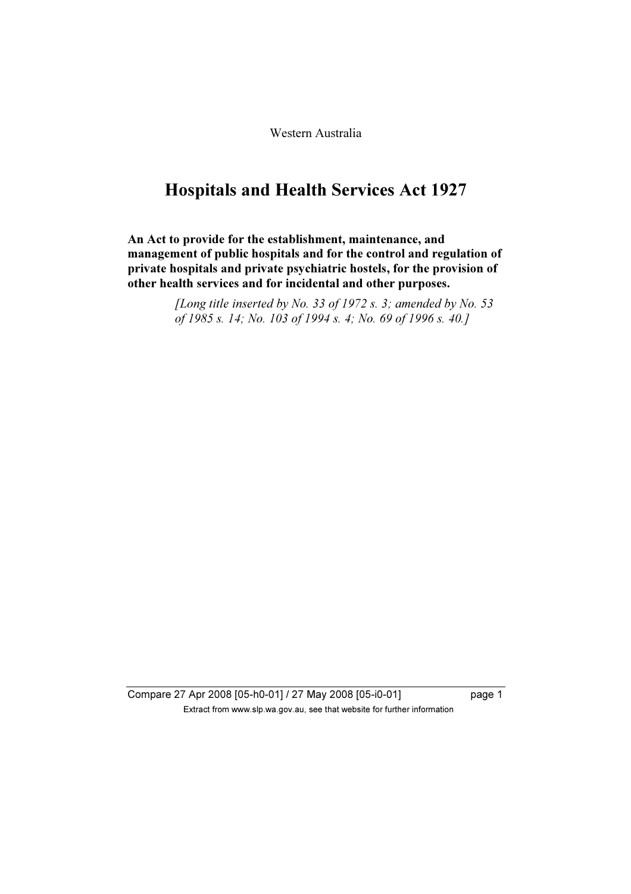Western Australia

## Hospitals and Health Services Act 1927

An Act to provide for the establishment, maintenance, and management of public hospitals and for the control and regulation of private hospitals and private psychiatric hostels, for the provision of other health services and for incidental and other purposes.

> [Long title inserted by No. 33 of 1972 s. 3; amended by No. 53 of 1985 s. 14; No. 103 of 1994 s. 4; No. 69 of 1996 s. 40.]

Compare 27 Apr 2008 [05-h0-01] / 27 May 2008 [05-i0-01] page 1  $\mathbf{F}$  from which was the set that we besite for further information  $\mathbf{F}$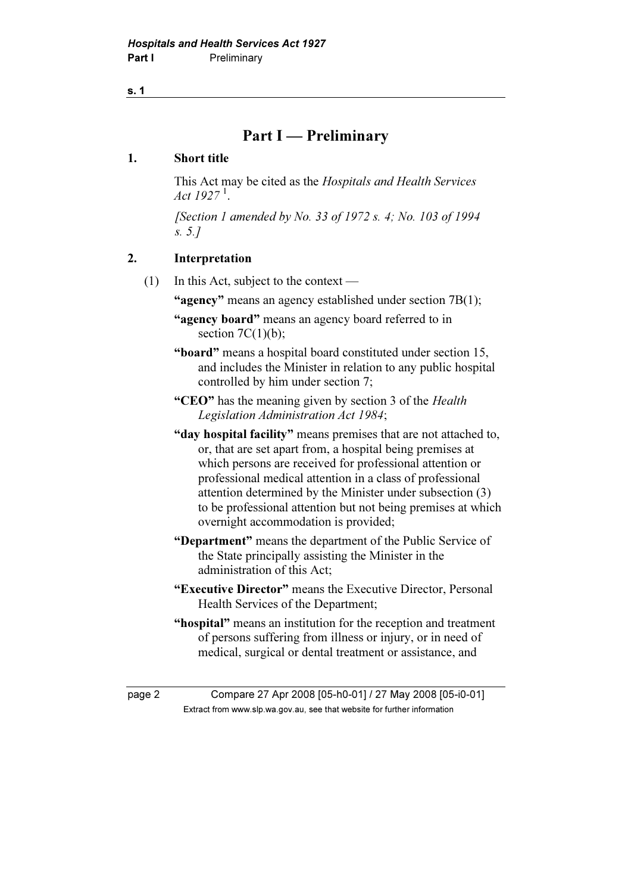## Part I — Preliminary

## 1. Short title

 This Act may be cited as the Hospitals and Health Services Act  $1927<sup>1</sup>$ .

 [Section 1 amended by No. 33 of 1972 s. 4; No. 103 of 1994 s. 5.]

## 2. Interpretation

- (1) In this Act, subject to the context
	- "agency" means an agency established under section 7B(1);
	- "agency board" means an agency board referred to in section  $7C(1)(b)$ ;
	- "board" means a hospital board constituted under section 15, and includes the Minister in relation to any public hospital controlled by him under section 7;
	- "CEO" has the meaning given by section 3 of the *Health* Legislation Administration Act 1984;
	- "day hospital facility" means premises that are not attached to, or, that are set apart from, a hospital being premises at which persons are received for professional attention or professional medical attention in a class of professional attention determined by the Minister under subsection (3) to be professional attention but not being premises at which overnight accommodation is provided;
	- "Department" means the department of the Public Service of the State principally assisting the Minister in the administration of this Act;
	- "Executive Director" means the Executive Director, Personal Health Services of the Department;
	- "hospital" means an institution for the reception and treatment of persons suffering from illness or injury, or in need of medical, surgical or dental treatment or assistance, and

page 2 Compare 27 Apr 2008 [05-h0-01] / 27 May 2008 [05-i0-01]  $\mathbf{F}$  from which was the set that we besite for further information  $\mathbf{F}$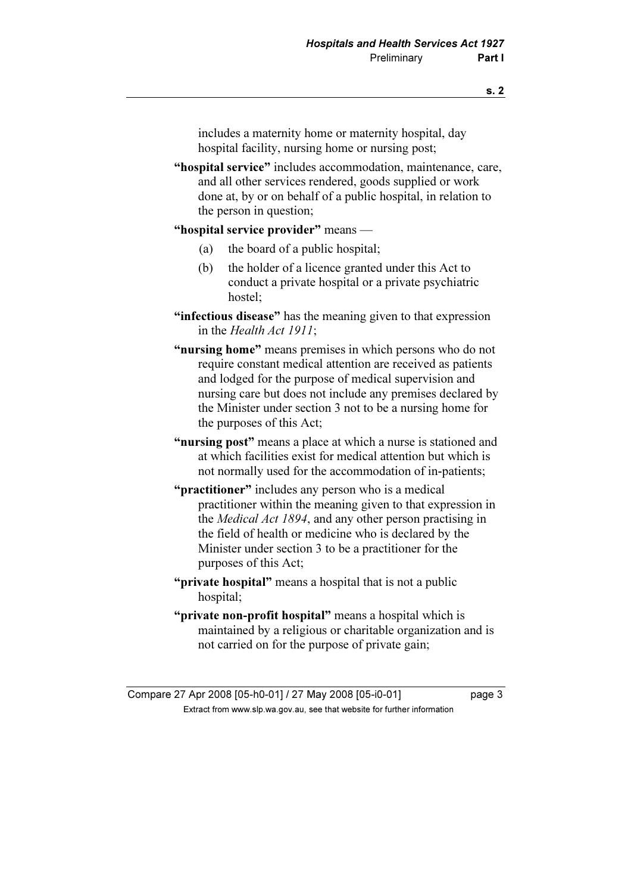includes a maternity home or maternity hospital, day hospital facility, nursing home or nursing post;

"hospital service" includes accommodation, maintenance, care, and all other services rendered, goods supplied or work done at, by or on behalf of a public hospital, in relation to the person in question;

#### "hospital service provider" means —

- (a) the board of a public hospital;
- (b) the holder of a licence granted under this Act to conduct a private hospital or a private psychiatric hostel;
- "infectious disease" has the meaning given to that expression in the Health Act 1911;
- "nursing home" means premises in which persons who do not require constant medical attention are received as patients and lodged for the purpose of medical supervision and nursing care but does not include any premises declared by the Minister under section 3 not to be a nursing home for the purposes of this Act;
- "nursing post" means a place at which a nurse is stationed and at which facilities exist for medical attention but which is not normally used for the accommodation of in-patients;
- "**practitioner**" includes any person who is a medical practitioner within the meaning given to that expression in the Medical Act 1894, and any other person practising in the field of health or medicine who is declared by the Minister under section 3 to be a practitioner for the purposes of this Act;
- "**private hospital**" means a hospital that is not a public hospital;
- "**private non-profit hospital**" means a hospital which is maintained by a religious or charitable organization and is not carried on for the purpose of private gain;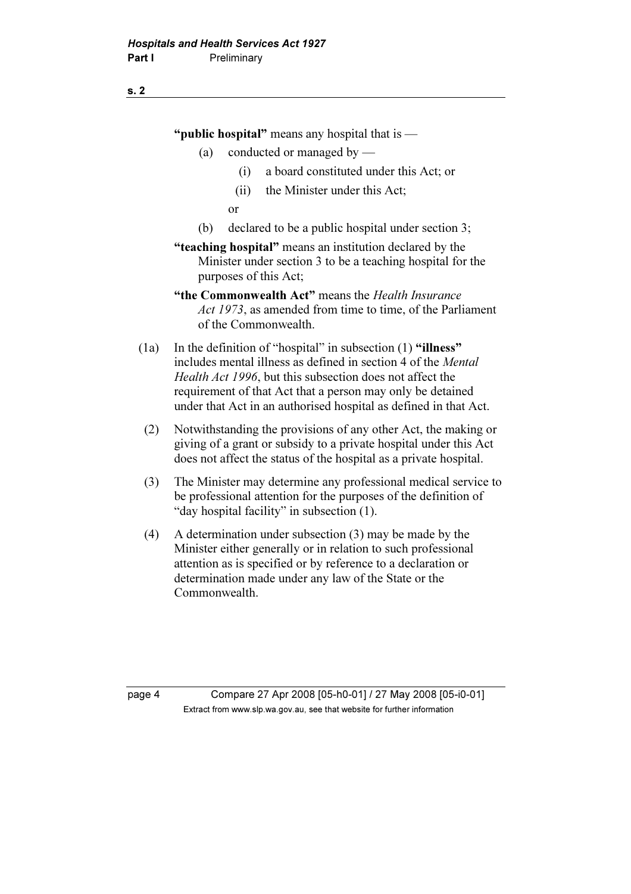"**public hospital**" means any hospital that is —

- (a) conducted or managed by
	- (i) a board constituted under this Act; or
	- (ii) the Minister under this Act;

or

- (b) declared to be a public hospital under section 3;
- "teaching hospital" means an institution declared by the Minister under section 3 to be a teaching hospital for the purposes of this Act;
- "the Commonwealth Act" means the Health Insurance Act 1973, as amended from time to time, of the Parliament of the Commonwealth.
- (1a) In the definition of "hospital" in subsection (1) "illness" includes mental illness as defined in section 4 of the Mental Health Act 1996, but this subsection does not affect the requirement of that Act that a person may only be detained under that Act in an authorised hospital as defined in that Act.
- (2) Notwithstanding the provisions of any other Act, the making or giving of a grant or subsidy to a private hospital under this Act does not affect the status of the hospital as a private hospital.
- (3) The Minister may determine any professional medical service to be professional attention for the purposes of the definition of "day hospital facility" in subsection (1).
- (4) A determination under subsection (3) may be made by the Minister either generally or in relation to such professional attention as is specified or by reference to a declaration or determination made under any law of the State or the Commonwealth.

page 4 Compare 27 Apr 2008 [05-h0-01] / 27 May 2008 [05-i0-01]  $\mathbf{F}$  from which was the set that we besite for further information  $\mathbf{F}$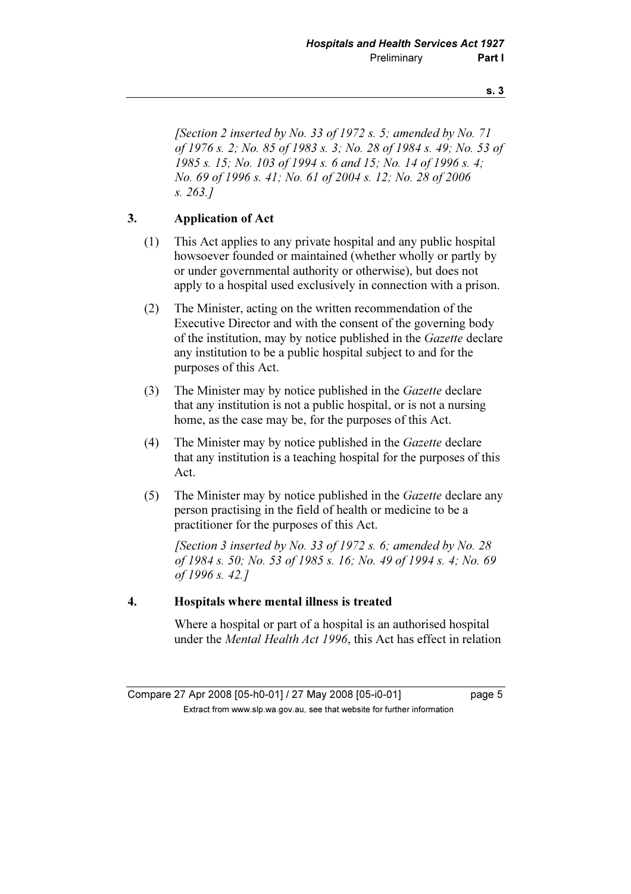[Section 2 inserted by No. 33 of 1972 s. 5; amended by No. 71] of 1976 s. 2; No. 85 of 1983 s. 3; No. 28 of 1984 s. 49; No. 53 of 1985 s. 15; No. 103 of 1994 s. 6 and 15; No. 14 of 1996 s. 4; No. 69 of 1996 s. 41; No. 61 of 2004 s. 12; No. 28 of 2006 s. 263.]

## 3. Application of Act

- (1) This Act applies to any private hospital and any public hospital howsoever founded or maintained (whether wholly or partly by or under governmental authority or otherwise), but does not apply to a hospital used exclusively in connection with a prison.
- (2) The Minister, acting on the written recommendation of the Executive Director and with the consent of the governing body of the institution, may by notice published in the Gazette declare any institution to be a public hospital subject to and for the purposes of this Act.
- (3) The Minister may by notice published in the Gazette declare that any institution is not a public hospital, or is not a nursing home, as the case may be, for the purposes of this Act.
- (4) The Minister may by notice published in the Gazette declare that any institution is a teaching hospital for the purposes of this Act.
- (5) The Minister may by notice published in the Gazette declare any person practising in the field of health or medicine to be a practitioner for the purposes of this Act.

[Section 3 inserted by No. 33 of 1972 s. 6; amended by No. 28 of 1984 s. 50; No. 53 of 1985 s. 16; No. 49 of 1994 s. 4; No. 69 of 1996 s. 42.]

### 4. Hospitals where mental illness is treated

 Where a hospital or part of a hospital is an authorised hospital under the Mental Health Act 1996, this Act has effect in relation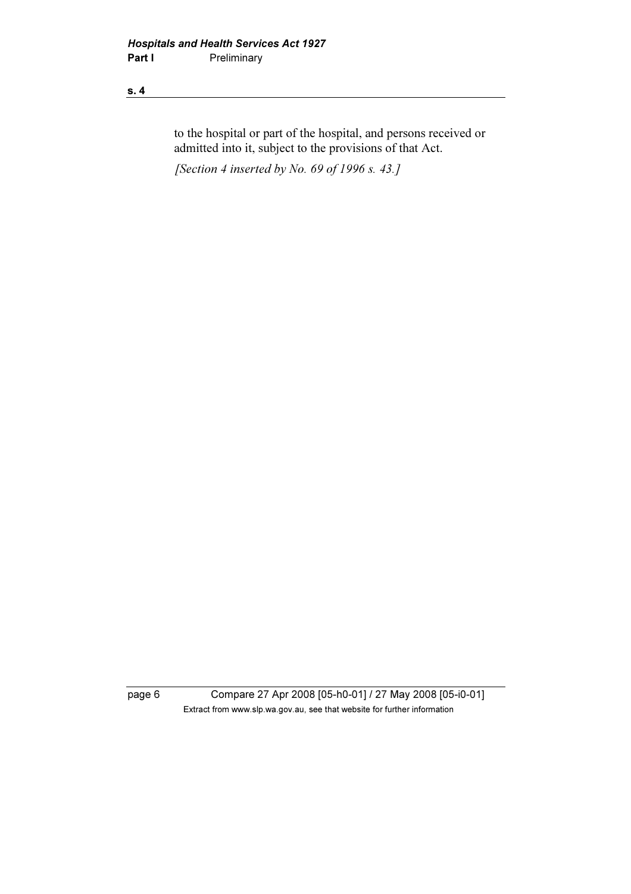to the hospital or part of the hospital, and persons received or admitted into it, subject to the provisions of that Act.

[Section 4 inserted by No. 69 of 1996 s. 43.]

page 6 Compare 27 Apr 2008 [05-h0-01] / 27 May 2008 [05-i0-01] Extract from www.slp.wa.gov.au, see that website for further information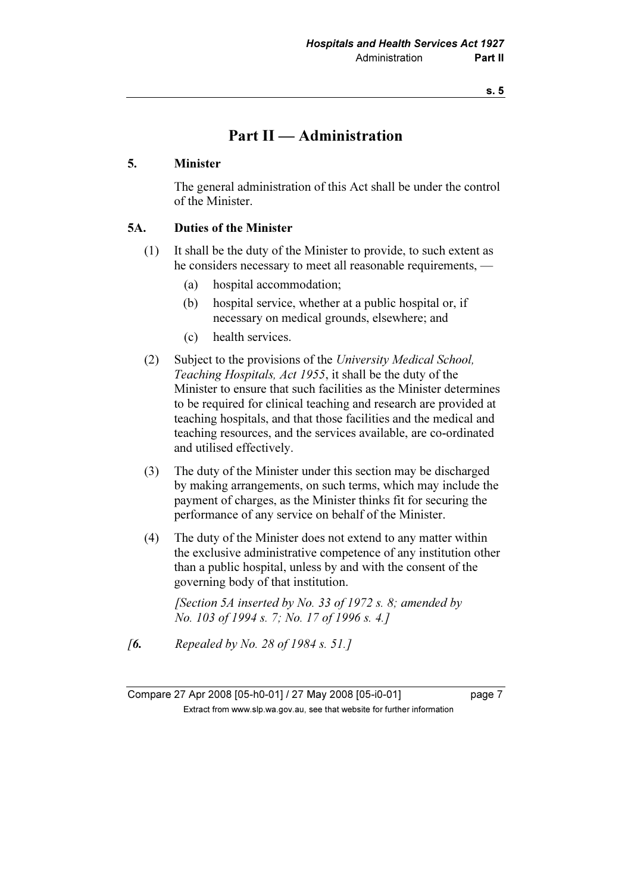## Part II — Administration

#### 5. Minister

 The general administration of this Act shall be under the control of the Minister.

## 5A. Duties of the Minister

- (1) It shall be the duty of the Minister to provide, to such extent as he considers necessary to meet all reasonable requirements, —
	- (a) hospital accommodation;
	- (b) hospital service, whether at a public hospital or, if necessary on medical grounds, elsewhere; and
	- (c) health services.
- (2) Subject to the provisions of the University Medical School, Teaching Hospitals, Act 1955, it shall be the duty of the Minister to ensure that such facilities as the Minister determines to be required for clinical teaching and research are provided at teaching hospitals, and that those facilities and the medical and teaching resources, and the services available, are co-ordinated and utilised effectively.
- (3) The duty of the Minister under this section may be discharged by making arrangements, on such terms, which may include the payment of charges, as the Minister thinks fit for securing the performance of any service on behalf of the Minister.
- (4) The duty of the Minister does not extend to any matter within the exclusive administrative competence of any institution other than a public hospital, unless by and with the consent of the governing body of that institution.

[Section 5A inserted by No. 33 of 1972 s. 8; amended by No. 103 of 1994 s. 7; No. 17 of 1996 s. 4.]

**[6.** Repealed by No. 28 of 1984 s. 51.]

Compare 27 Apr 2008 [05-h0-01] / 27 May 2008 [05-i0-01] page 7  $\mathbf{F}$  from which was the set that we besite for further information  $\mathbf{F}$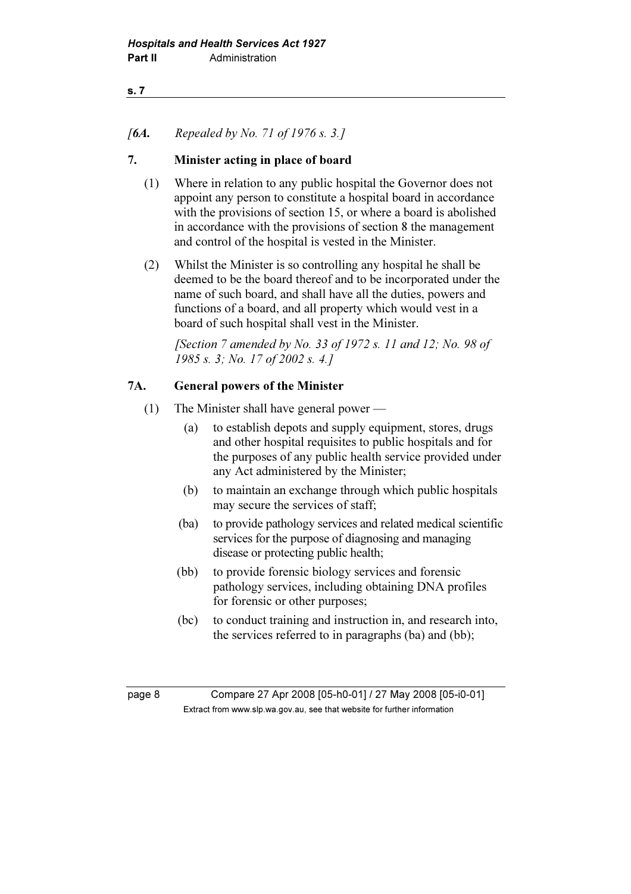## [6A. Repealed by No. 71 of 1976 s. 3.]

## 7. Minister acting in place of board

- (1) Where in relation to any public hospital the Governor does not appoint any person to constitute a hospital board in accordance with the provisions of section 15, or where a board is abolished in accordance with the provisions of section 8 the management and control of the hospital is vested in the Minister.
- (2) Whilst the Minister is so controlling any hospital he shall be deemed to be the board thereof and to be incorporated under the name of such board, and shall have all the duties, powers and functions of a board, and all property which would vest in a board of such hospital shall vest in the Minister.

[Section 7 amended by No. 33 of 1972 s. 11 and 12; No. 98 of 1985 s. 3; No. 17 of 2002 s. 4.]

### 7A. General powers of the Minister

- (1) The Minister shall have general power
	- (a) to establish depots and supply equipment, stores, drugs and other hospital requisites to public hospitals and for the purposes of any public health service provided under any Act administered by the Minister;
	- (b) to maintain an exchange through which public hospitals may secure the services of staff;
	- (ba) to provide pathology services and related medical scientific services for the purpose of diagnosing and managing disease or protecting public health;
	- (bb) to provide forensic biology services and forensic pathology services, including obtaining DNA profiles for forensic or other purposes;
	- (bc) to conduct training and instruction in, and research into, the services referred to in paragraphs (ba) and (bb);

page 8 Compare 27 Apr 2008 [05-h0-01] / 27 May 2008 [05-i0-01]  $\mathbf{F}$  from which was the set that we besite for further information  $\mathbf{F}$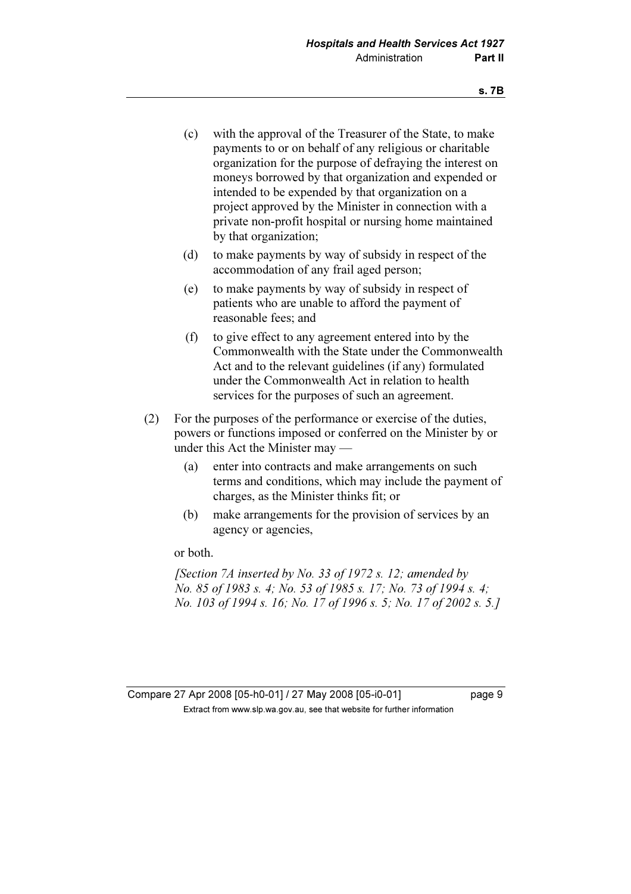- (c) with the approval of the Treasurer of the State, to make payments to or on behalf of any religious or charitable organization for the purpose of defraying the interest on moneys borrowed by that organization and expended or intended to be expended by that organization on a project approved by the Minister in connection with a private non-profit hospital or nursing home maintained by that organization;
- (d) to make payments by way of subsidy in respect of the accommodation of any frail aged person;
- (e) to make payments by way of subsidy in respect of patients who are unable to afford the payment of reasonable fees; and
- (f) to give effect to any agreement entered into by the Commonwealth with the State under the Commonwealth Act and to the relevant guidelines (if any) formulated under the Commonwealth Act in relation to health services for the purposes of such an agreement.
- (2) For the purposes of the performance or exercise of the duties, powers or functions imposed or conferred on the Minister by or under this Act the Minister may —
	- (a) enter into contracts and make arrangements on such terms and conditions, which may include the payment of charges, as the Minister thinks fit; or
	- (b) make arrangements for the provision of services by an agency or agencies,

or both.

[Section 7A inserted by No. 33 of 1972 s. 12; amended by No. 85 of 1983 s. 4; No. 53 of 1985 s. 17; No. 73 of 1994 s. 4; No. 103 of 1994 s. 16; No. 17 of 1996 s. 5; No. 17 of 2002 s. 5.]

Compare 27 Apr 2008 [05-h0-01] / 27 May 2008 [05-i0-01] page 9  $\mathbf{F}$  from which was the set that we besite for further information  $\mathbf{F}$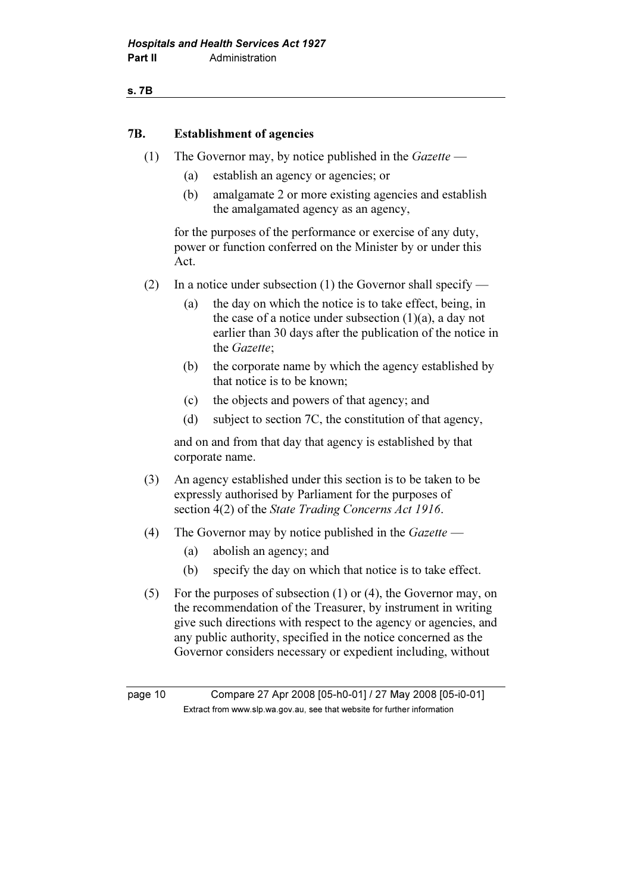#### s. 7B

#### 7B. Establishment of agencies

- (1) The Governor may, by notice published in the  $Gazette$ 
	- (a) establish an agency or agencies; or
	- (b) amalgamate 2 or more existing agencies and establish the amalgamated agency as an agency,

 for the purposes of the performance or exercise of any duty, power or function conferred on the Minister by or under this Act.

- (2) In a notice under subsection (1) the Governor shall specify
	- (a) the day on which the notice is to take effect, being, in the case of a notice under subsection  $(1)(a)$ , a day not earlier than 30 days after the publication of the notice in the Gazette;
	- (b) the corporate name by which the agency established by that notice is to be known;
	- (c) the objects and powers of that agency; and
	- (d) subject to section 7C, the constitution of that agency,

 and on and from that day that agency is established by that corporate name.

- (3) An agency established under this section is to be taken to be expressly authorised by Parliament for the purposes of section 4(2) of the *State Trading Concerns Act 1916*.
- (4) The Governor may by notice published in the  $Gazette$ 
	- (a) abolish an agency; and
	- (b) specify the day on which that notice is to take effect.
- (5) For the purposes of subsection (1) or (4), the Governor may, on the recommendation of the Treasurer, by instrument in writing give such directions with respect to the agency or agencies, and any public authority, specified in the notice concerned as the Governor considers necessary or expedient including, without

page 10 Compare 27 Apr 2008 [05-h0-01] / 27 May 2008 [05-i0-01]  $\mathbf{F}$  from which was the set that we besite for further information  $\mathbf{F}$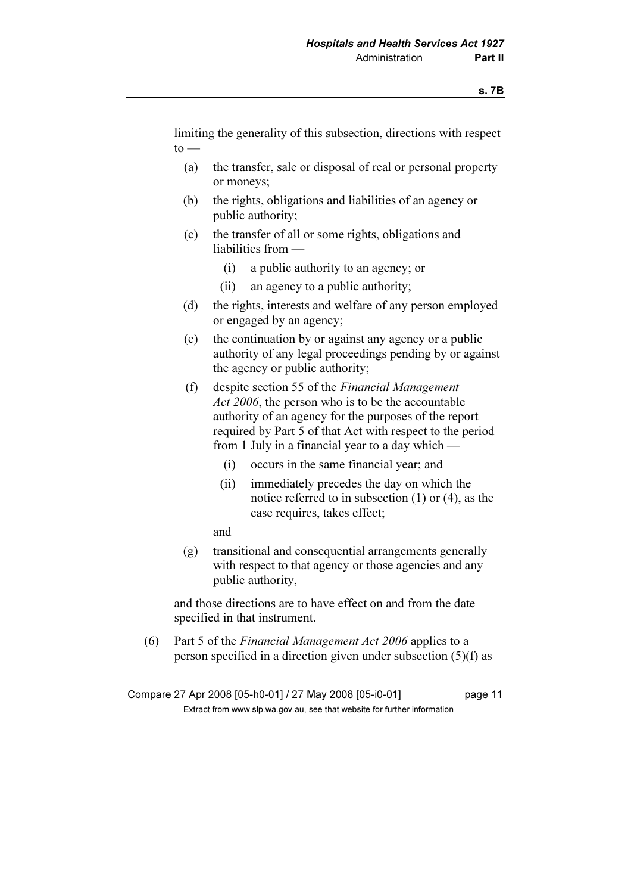limiting the generality of this subsection, directions with respect  $to -$ 

- (a) the transfer, sale or disposal of real or personal property or moneys;
- (b) the rights, obligations and liabilities of an agency or public authority;
- (c) the transfer of all or some rights, obligations and liabilities from —
	- (i) a public authority to an agency; or
	- (ii) an agency to a public authority;
- (d) the rights, interests and welfare of any person employed or engaged by an agency;
- (e) the continuation by or against any agency or a public authority of any legal proceedings pending by or against the agency or public authority;
- (f) despite section 55 of the Financial Management Act 2006, the person who is to be the accountable authority of an agency for the purposes of the report required by Part 5 of that Act with respect to the period from 1 July in a financial year to a day which —
	- (i) occurs in the same financial year; and
	- (ii) immediately precedes the day on which the notice referred to in subsection (1) or (4), as the case requires, takes effect;

and

 (g) transitional and consequential arrangements generally with respect to that agency or those agencies and any public authority,

 and those directions are to have effect on and from the date specified in that instrument.

 (6) Part 5 of the Financial Management Act 2006 applies to a person specified in a direction given under subsection (5)(f) as

Compare 27 Apr 2008 [05-h0-01] / 27 May 2008 [05-i0-01] page 11  $\mathbf{F}$  from which was the set that we besite for further information  $\mathbf{F}$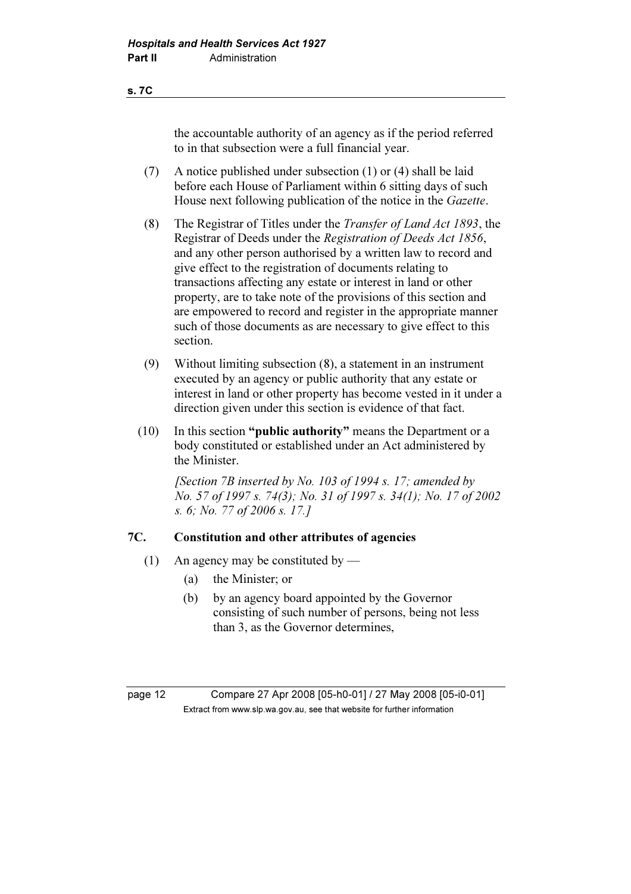the accountable authority of an agency as if the period referred to in that subsection were a full financial year.

- (7) A notice published under subsection (1) or (4) shall be laid before each House of Parliament within 6 sitting days of such House next following publication of the notice in the Gazette.
- (8) The Registrar of Titles under the Transfer of Land Act 1893, the Registrar of Deeds under the Registration of Deeds Act 1856, and any other person authorised by a written law to record and give effect to the registration of documents relating to transactions affecting any estate or interest in land or other property, are to take note of the provisions of this section and are empowered to record and register in the appropriate manner such of those documents as are necessary to give effect to this section.
- (9) Without limiting subsection (8), a statement in an instrument executed by an agency or public authority that any estate or interest in land or other property has become vested in it under a direction given under this section is evidence of that fact.
- (10) In this section "public authority" means the Department or a body constituted or established under an Act administered by the Minister.

[Section 7B inserted by No. 103 of 1994 s. 17; amended by No. 57 of 1997 s. 74(3); No. 31 of 1997 s. 34(1); No. 17 of 2002 s. 6; No. 77 of 2006 s. 17.]

## 7C. Constitution and other attributes of agencies

- (1) An agency may be constituted by
	- (a) the Minister; or
	- (b) by an agency board appointed by the Governor consisting of such number of persons, being not less than 3, as the Governor determines,

page 12 Compare 27 Apr 2008 [05-h0-01] / 27 May 2008 [05-i0-01]  $\mathbf{F}$  from which was the set that we besite for further information  $\mathbf{F}$ 

s. 7C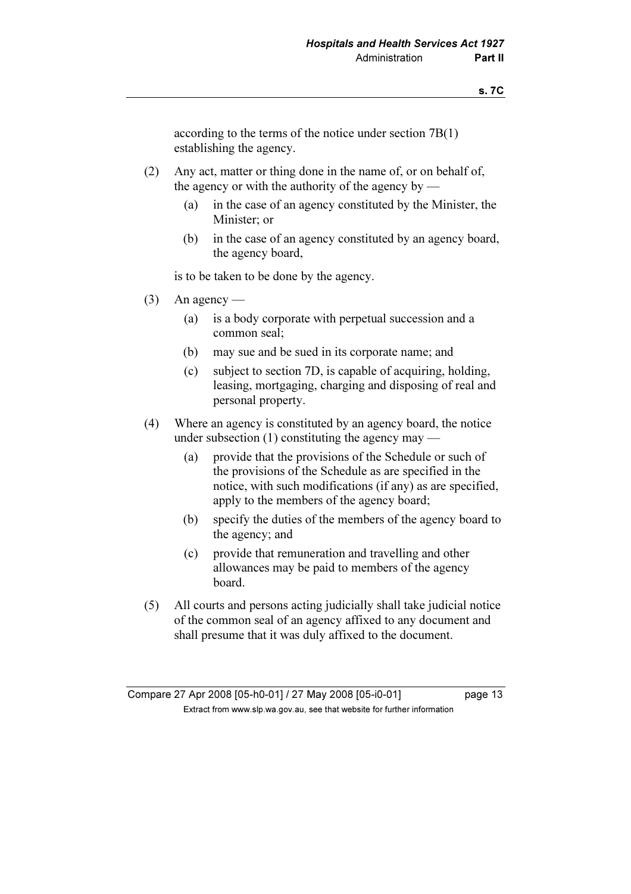according to the terms of the notice under section 7B(1) establishing the agency.

- (2) Any act, matter or thing done in the name of, or on behalf of, the agency or with the authority of the agency by —
	- (a) in the case of an agency constituted by the Minister, the Minister; or
	- (b) in the case of an agency constituted by an agency board, the agency board,

is to be taken to be done by the agency.

- $(3)$  An agency
	- (a) is a body corporate with perpetual succession and a common seal;
	- (b) may sue and be sued in its corporate name; and
	- (c) subject to section 7D, is capable of acquiring, holding, leasing, mortgaging, charging and disposing of real and personal property.
- (4) Where an agency is constituted by an agency board, the notice under subsection  $(1)$  constituting the agency may —
	- (a) provide that the provisions of the Schedule or such of the provisions of the Schedule as are specified in the notice, with such modifications (if any) as are specified, apply to the members of the agency board;
	- (b) specify the duties of the members of the agency board to the agency; and
	- (c) provide that remuneration and travelling and other allowances may be paid to members of the agency board.
- (5) All courts and persons acting judicially shall take judicial notice of the common seal of an agency affixed to any document and shall presume that it was duly affixed to the document.

Compare 27 Apr 2008 [05-h0-01] / 27 May 2008 [05-i0-01] page 13  $\mathbf{F}$  from which was the set that we besite for further information  $\mathbf{F}$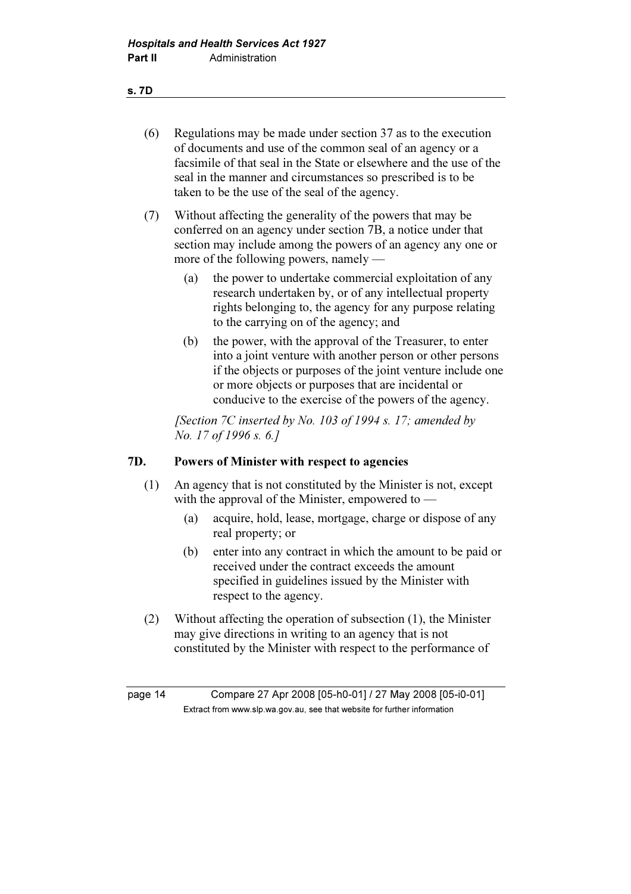#### s. 7D

- (6) Regulations may be made under section 37 as to the execution of documents and use of the common seal of an agency or a facsimile of that seal in the State or elsewhere and the use of the seal in the manner and circumstances so prescribed is to be taken to be the use of the seal of the agency.
- (7) Without affecting the generality of the powers that may be conferred on an agency under section 7B, a notice under that section may include among the powers of an agency any one or more of the following powers, namely —
	- (a) the power to undertake commercial exploitation of any research undertaken by, or of any intellectual property rights belonging to, the agency for any purpose relating to the carrying on of the agency; and
	- (b) the power, with the approval of the Treasurer, to enter into a joint venture with another person or other persons if the objects or purposes of the joint venture include one or more objects or purposes that are incidental or conducive to the exercise of the powers of the agency.

[Section 7C inserted by No. 103 of 1994 s. 17; amended by No. 17 of 1996 s. 6.]

## 7D. Powers of Minister with respect to agencies

- (1) An agency that is not constituted by the Minister is not, except with the approval of the Minister, empowered to —
	- (a) acquire, hold, lease, mortgage, charge or dispose of any real property; or
	- (b) enter into any contract in which the amount to be paid or received under the contract exceeds the amount specified in guidelines issued by the Minister with respect to the agency.
- (2) Without affecting the operation of subsection (1), the Minister may give directions in writing to an agency that is not constituted by the Minister with respect to the performance of

page 14 Compare 27 Apr 2008 [05-h0-01] / 27 May 2008 [05-i0-01]  $\mathbf{F}$  from which was the set that we besite for further information  $\mathbf{F}$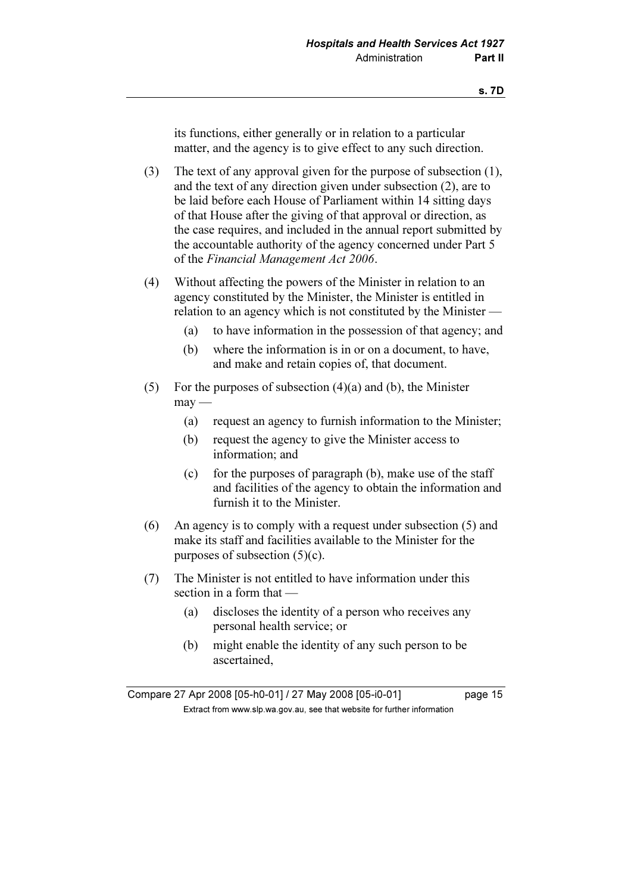its functions, either generally or in relation to a particular matter, and the agency is to give effect to any such direction.

 (3) The text of any approval given for the purpose of subsection (1), and the text of any direction given under subsection (2), are to be laid before each House of Parliament within 14 sitting days of that House after the giving of that approval or direction, as the case requires, and included in the annual report submitted by the accountable authority of the agency concerned under Part 5 of the Financial Management Act 2006.

- (4) Without affecting the powers of the Minister in relation to an agency constituted by the Minister, the Minister is entitled in relation to an agency which is not constituted by the Minister —
	- (a) to have information in the possession of that agency; and
	- (b) where the information is in or on a document, to have, and make and retain copies of, that document.
- (5) For the purposes of subsection  $(4)(a)$  and  $(b)$ , the Minister  $may$ —
	- (a) request an agency to furnish information to the Minister;
	- (b) request the agency to give the Minister access to information; and
	- (c) for the purposes of paragraph  $(b)$ , make use of the staff and facilities of the agency to obtain the information and furnish it to the Minister.
- (6) An agency is to comply with a request under subsection (5) and make its staff and facilities available to the Minister for the purposes of subsection (5)(c).
- (7) The Minister is not entitled to have information under this section in a form that —
	- (a) discloses the identity of a person who receives any personal health service; or
	- (b) might enable the identity of any such person to be ascertained,

Compare 27 Apr 2008 [05-h0-01] / 27 May 2008 [05-i0-01] page 15  $\mathbf{F}$  from which was the set that we besite for further information  $\mathbf{F}$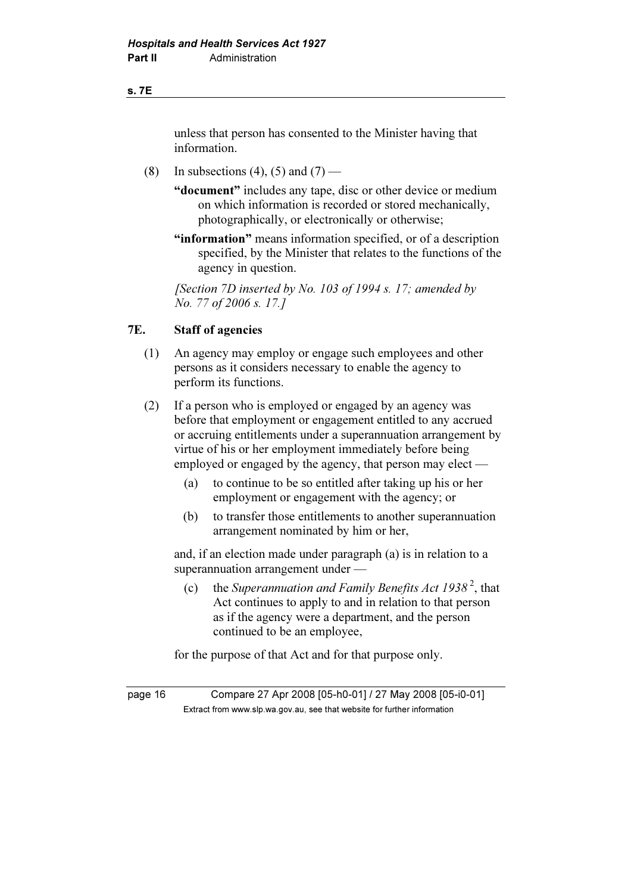#### s. 7E

 unless that person has consented to the Minister having that information.

(8) In subsections (4), (5) and (7) —

 "document" includes any tape, disc or other device or medium on which information is recorded or stored mechanically, photographically, or electronically or otherwise;

"information" means information specified, or of a description specified, by the Minister that relates to the functions of the agency in question.

[Section 7D inserted by No. 103 of 1994 s. 17; amended by No. 77 of 2006 s. 17.]

## 7E. Staff of agencies

- (1) An agency may employ or engage such employees and other persons as it considers necessary to enable the agency to perform its functions.
- (2) If a person who is employed or engaged by an agency was before that employment or engagement entitled to any accrued or accruing entitlements under a superannuation arrangement by virtue of his or her employment immediately before being employed or engaged by the agency, that person may elect —
	- (a) to continue to be so entitled after taking up his or her employment or engagement with the agency; or
	- (b) to transfer those entitlements to another superannuation arrangement nominated by him or her,

 and, if an election made under paragraph (a) is in relation to a superannuation arrangement under —

(c) the Superannuation and Family Benefits Act  $1938^2$ , that Act continues to apply to and in relation to that person as if the agency were a department, and the person continued to be an employee,

for the purpose of that Act and for that purpose only.

page 16 Compare 27 Apr 2008 [05-h0-01] / 27 May 2008 [05-i0-01]  $\mathbf{F}$  from which was the set that we besite for further information  $\mathbf{F}$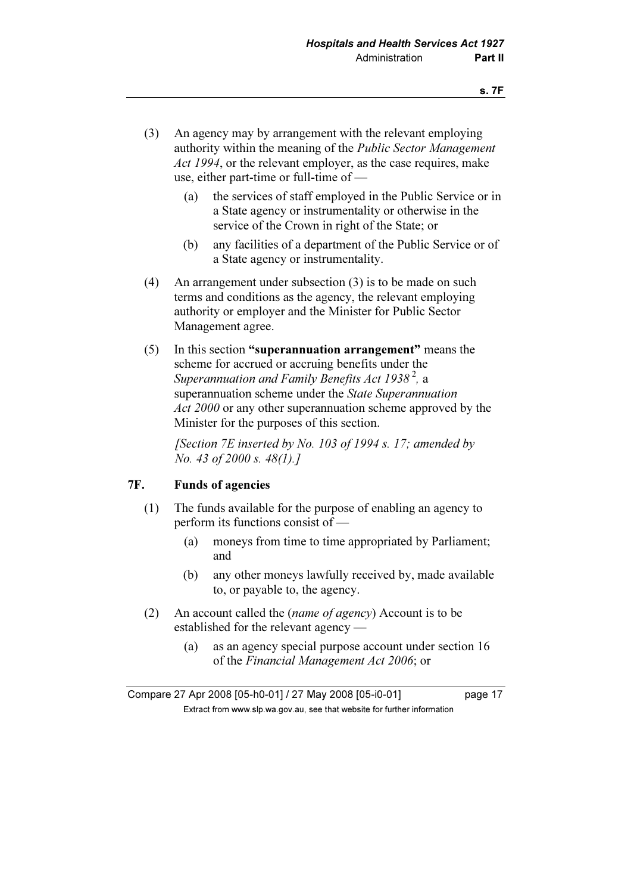- (3) An agency may by arrangement with the relevant employing authority within the meaning of the Public Sector Management Act 1994, or the relevant employer, as the case requires, make use, either part-time or full-time of —
	- (a) the services of staff employed in the Public Service or in a State agency or instrumentality or otherwise in the service of the Crown in right of the State; or
	- (b) any facilities of a department of the Public Service or of a State agency or instrumentality.
- (4) An arrangement under subsection (3) is to be made on such terms and conditions as the agency, the relevant employing authority or employer and the Minister for Public Sector Management agree.
- (5) In this section "superannuation arrangement" means the scheme for accrued or accruing benefits under the Superannuation and Family Benefits Act 1938<sup>2</sup>, a superannuation scheme under the *State Superannuation* Act 2000 or any other superannuation scheme approved by the Minister for the purposes of this section.

[Section 7E inserted by No. 103 of 1994 s. 17; amended by No. 43 of 2000 s. 48(1).]

## 7F. Funds of agencies

- (1) The funds available for the purpose of enabling an agency to perform its functions consist of —
	- (a) moneys from time to time appropriated by Parliament; and
	- (b) any other moneys lawfully received by, made available to, or payable to, the agency.
- (2) An account called the (name of agency) Account is to be established for the relevant agency —
	- (a) as an agency special purpose account under section 16 of the Financial Management Act 2006; or

Compare 27 Apr 2008 [05-h0-01] / 27 May 2008 [05-i0-01] page 17  $\mathbf{F}$  from which was the set that we besite for further information  $\mathbf{F}$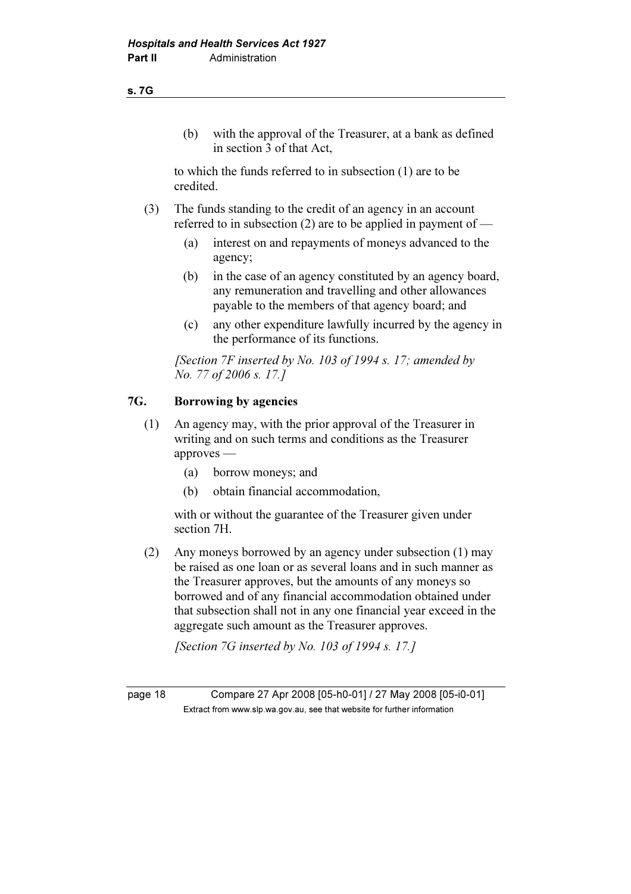#### s. 7G

 (b) with the approval of the Treasurer, at a bank as defined in section 3 of that Act,

 to which the funds referred to in subsection (1) are to be credited.

- (3) The funds standing to the credit of an agency in an account referred to in subsection (2) are to be applied in payment of —
	- (a) interest on and repayments of moneys advanced to the agency;
	- (b) in the case of an agency constituted by an agency board, any remuneration and travelling and other allowances payable to the members of that agency board; and
	- (c) any other expenditure lawfully incurred by the agency in the performance of its functions.

[Section  $7F$  inserted by No. 103 of 1994 s. 17; amended by No. 77 of 2006 s. 17.]

## 7G. Borrowing by agencies

- (1) An agency may, with the prior approval of the Treasurer in writing and on such terms and conditions as the Treasurer approves —
	- (a) borrow moneys; and
	- (b) obtain financial accommodation,

 with or without the guarantee of the Treasurer given under section 7H.

 (2) Any moneys borrowed by an agency under subsection (1) may be raised as one loan or as several loans and in such manner as the Treasurer approves, but the amounts of any moneys so borrowed and of any financial accommodation obtained under that subsection shall not in any one financial year exceed in the aggregate such amount as the Treasurer approves.

[Section  $7G$  inserted by No. 103 of 1994 s. 17.1]

page 18 Compare 27 Apr 2008 [05-h0-01] / 27 May 2008 [05-i0-01]  $\mathbf{F}$  from which was the set that we besite for further information  $\mathbf{F}$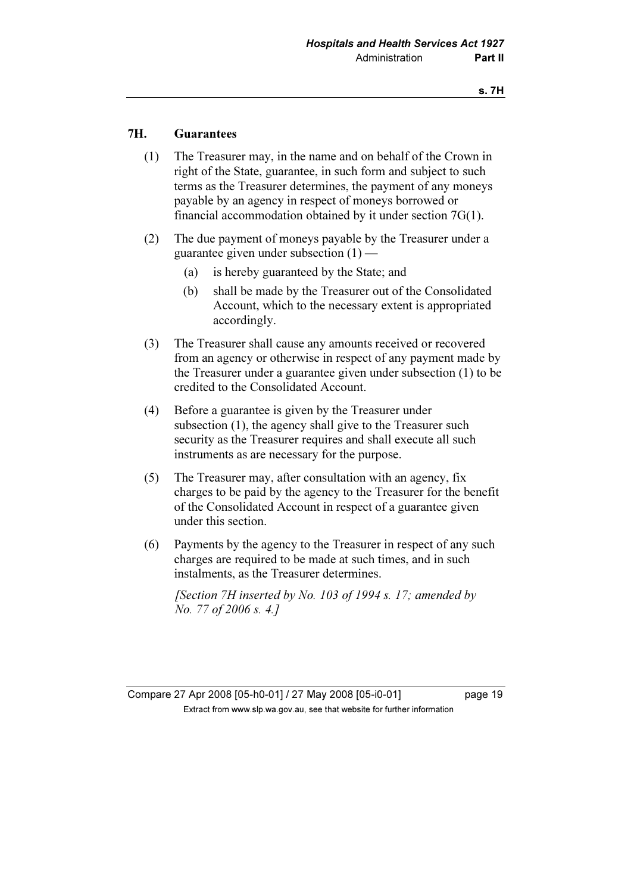## 7H. Guarantees

- (1) The Treasurer may, in the name and on behalf of the Crown in right of the State, guarantee, in such form and subject to such terms as the Treasurer determines, the payment of any moneys payable by an agency in respect of moneys borrowed or financial accommodation obtained by it under section 7G(1).
- (2) The due payment of moneys payable by the Treasurer under a guarantee given under subsection (1) —
	- (a) is hereby guaranteed by the State; and
	- (b) shall be made by the Treasurer out of the Consolidated Account, which to the necessary extent is appropriated accordingly.
- (3) The Treasurer shall cause any amounts received or recovered from an agency or otherwise in respect of any payment made by the Treasurer under a guarantee given under subsection (1) to be credited to the Consolidated Account.
- (4) Before a guarantee is given by the Treasurer under subsection (1), the agency shall give to the Treasurer such security as the Treasurer requires and shall execute all such instruments as are necessary for the purpose.
- (5) The Treasurer may, after consultation with an agency, fix charges to be paid by the agency to the Treasurer for the benefit of the Consolidated Account in respect of a guarantee given under this section.
- (6) Payments by the agency to the Treasurer in respect of any such charges are required to be made at such times, and in such instalments, as the Treasurer determines.

[Section 7H inserted by No. 103 of 1994 s. 17; amended by No. 77 of 2006 s. 4.]

Compare 27 Apr 2008 [05-h0-01] / 27 May 2008 [05-i0-01] page 19  $\mathbf{F}$  from which was the set that we besite for further information  $\mathbf{F}$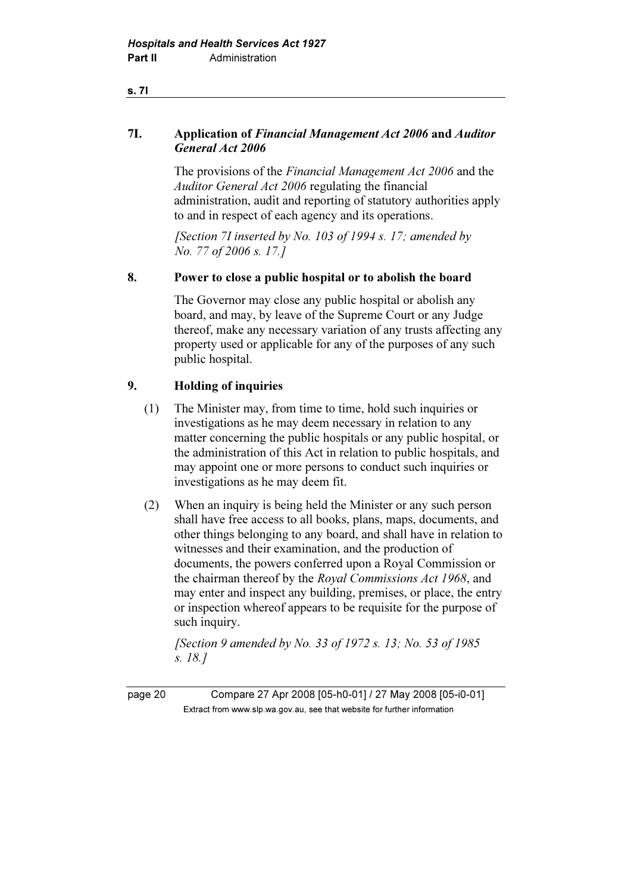## 7I. Application of Financial Management Act 2006 and Auditor General Act 2006

 The provisions of the Financial Management Act 2006 and the Auditor General Act 2006 regulating the financial administration, audit and reporting of statutory authorities apply to and in respect of each agency and its operations.

[Section 7I inserted by No. 103 of 1994 s. 17; amended by No. 77 of 2006 s. 17.]

## 8. Power to close a public hospital or to abolish the board

 The Governor may close any public hospital or abolish any board, and may, by leave of the Supreme Court or any Judge thereof, make any necessary variation of any trusts affecting any property used or applicable for any of the purposes of any such public hospital.

## 9. Holding of inquiries

- (1) The Minister may, from time to time, hold such inquiries or investigations as he may deem necessary in relation to any matter concerning the public hospitals or any public hospital, or the administration of this Act in relation to public hospitals, and may appoint one or more persons to conduct such inquiries or investigations as he may deem fit.
- (2) When an inquiry is being held the Minister or any such person shall have free access to all books, plans, maps, documents, and other things belonging to any board, and shall have in relation to witnesses and their examination, and the production of documents, the powers conferred upon a Royal Commission or the chairman thereof by the Royal Commissions Act 1968, and may enter and inspect any building, premises, or place, the entry or inspection whereof appears to be requisite for the purpose of such inquiry.

[Section 9 amended by No. 33 of 1972 s. 13; No. 53 of 1985] s. 18.]

page 20 Compare 27 Apr 2008 [05-h0-01] / 27 May 2008 [05-i0-01]  $\mathbf{F}$  from which was the set that we besite for further information  $\mathbf{F}$ 

s. 7I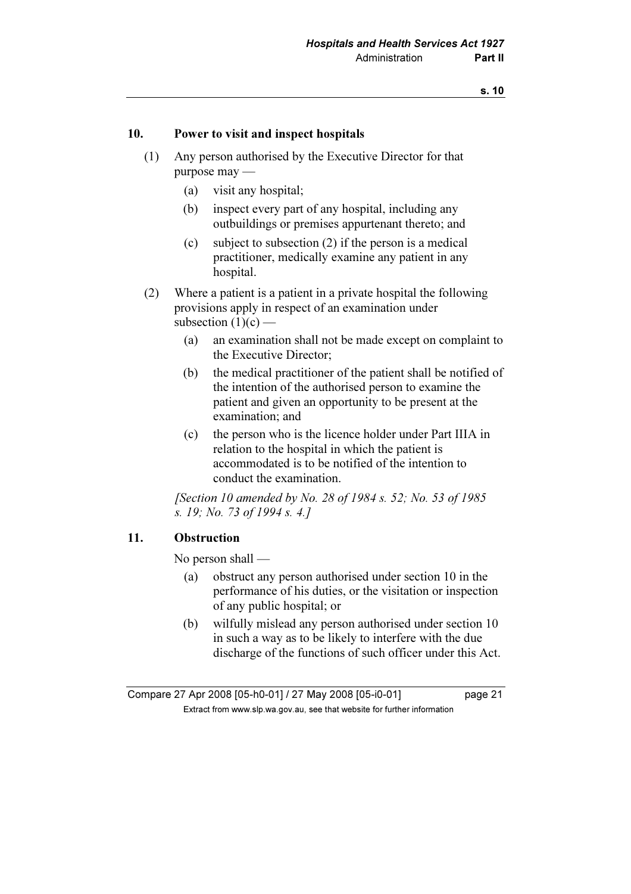### 10. Power to visit and inspect hospitals

- (1) Any person authorised by the Executive Director for that purpose may —
	- (a) visit any hospital;
	- (b) inspect every part of any hospital, including any outbuildings or premises appurtenant thereto; and
	- (c) subject to subsection (2) if the person is a medical practitioner, medically examine any patient in any hospital.
- (2) Where a patient is a patient in a private hospital the following provisions apply in respect of an examination under subsection  $(1)(c)$  —
	- (a) an examination shall not be made except on complaint to the Executive Director;
	- (b) the medical practitioner of the patient shall be notified of the intention of the authorised person to examine the patient and given an opportunity to be present at the examination; and
	- (c) the person who is the licence holder under Part IIIA in relation to the hospital in which the patient is accommodated is to be notified of the intention to conduct the examination.

[Section 10 amended by No. 28 of 1984 s. 52; No. 53 of 1985] s. 19; No. 73 of 1994 s. 4.]

### 11. Obstruction

No person shall —

- (a) obstruct any person authorised under section 10 in the performance of his duties, or the visitation or inspection of any public hospital; or
- (b) wilfully mislead any person authorised under section 10 in such a way as to be likely to interfere with the due discharge of the functions of such officer under this Act.

Compare 27 Apr 2008 [05-h0-01] / 27 May 2008 [05-i0-01] page 21  $\mathbf{F}$  from which was the set that we besite for further information  $\mathbf{F}$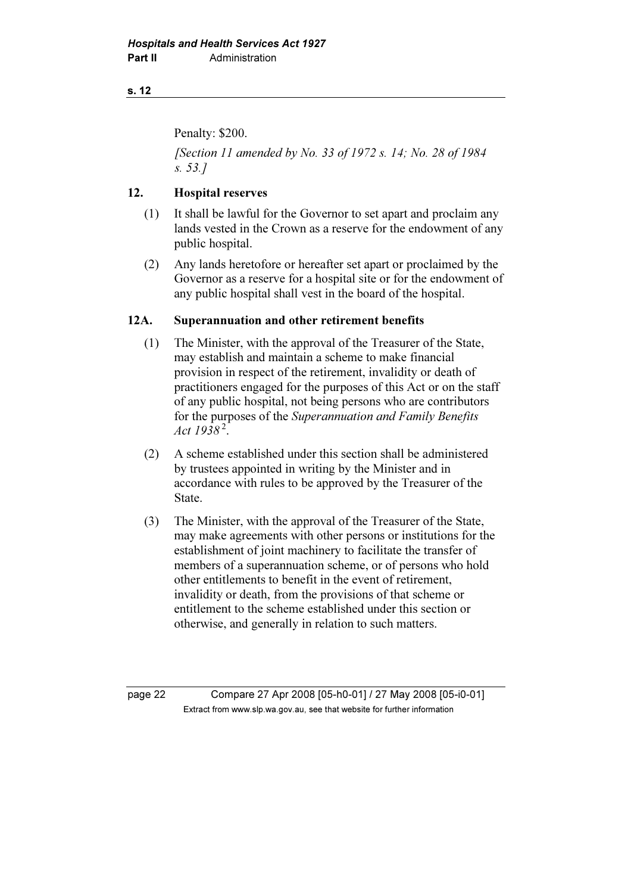Penalty: \$200.

[Section 11 amended by No. 33 of 1972 s. 14; No. 28 of 1984] s. 53.]

## 12. Hospital reserves

- (1) It shall be lawful for the Governor to set apart and proclaim any lands vested in the Crown as a reserve for the endowment of any public hospital.
- (2) Any lands heretofore or hereafter set apart or proclaimed by the Governor as a reserve for a hospital site or for the endowment of any public hospital shall vest in the board of the hospital.

## 12A. Superannuation and other retirement benefits

- (1) The Minister, with the approval of the Treasurer of the State, may establish and maintain a scheme to make financial provision in respect of the retirement, invalidity or death of practitioners engaged for the purposes of this Act or on the staff of any public hospital, not being persons who are contributors for the purposes of the Superannuation and Family Benefits Act  $1938^2$ .
- (2) A scheme established under this section shall be administered by trustees appointed in writing by the Minister and in accordance with rules to be approved by the Treasurer of the State.
- (3) The Minister, with the approval of the Treasurer of the State, may make agreements with other persons or institutions for the establishment of joint machinery to facilitate the transfer of members of a superannuation scheme, or of persons who hold other entitlements to benefit in the event of retirement, invalidity or death, from the provisions of that scheme or entitlement to the scheme established under this section or otherwise, and generally in relation to such matters.

page 22 Compare 27 Apr 2008 [05-h0-01] / 27 May 2008 [05-i0-01]  $\mathbf{F}$  from which was the set that we besite for further information  $\mathbf{F}$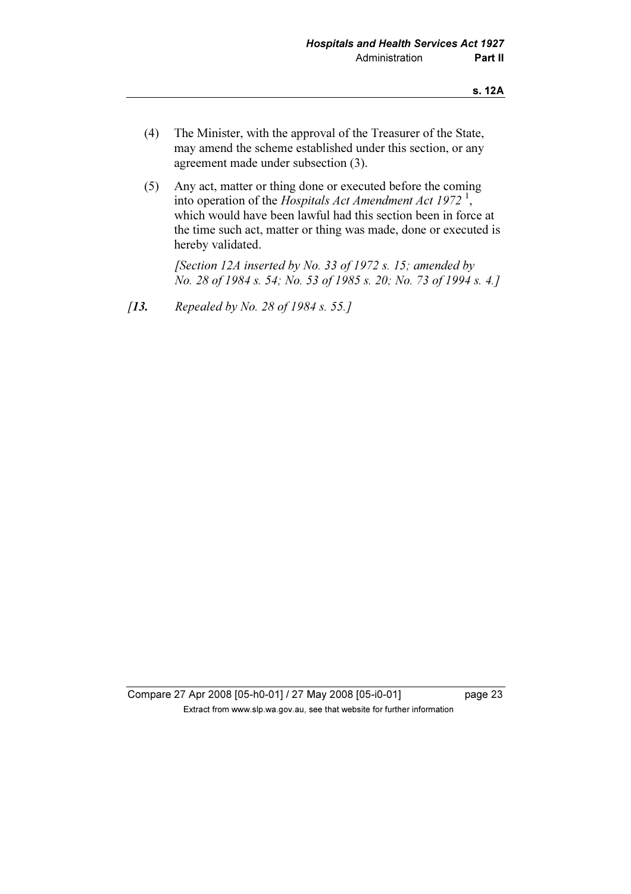- (4) The Minister, with the approval of the Treasurer of the State, may amend the scheme established under this section, or any agreement made under subsection (3).
- (5) Any act, matter or thing done or executed before the coming into operation of the Hospitals Act Amendment Act 1972<sup>1</sup>, which would have been lawful had this section been in force at the time such act, matter or thing was made, done or executed is hereby validated.

[Section 12A inserted by No. 33 of 1972 s. 15; amended by No. 28 of 1984 s. 54; No. 53 of 1985 s. 20; No. 73 of 1994 s. 4.]

[13. Repealed by No. 28 of 1984 s. 55.]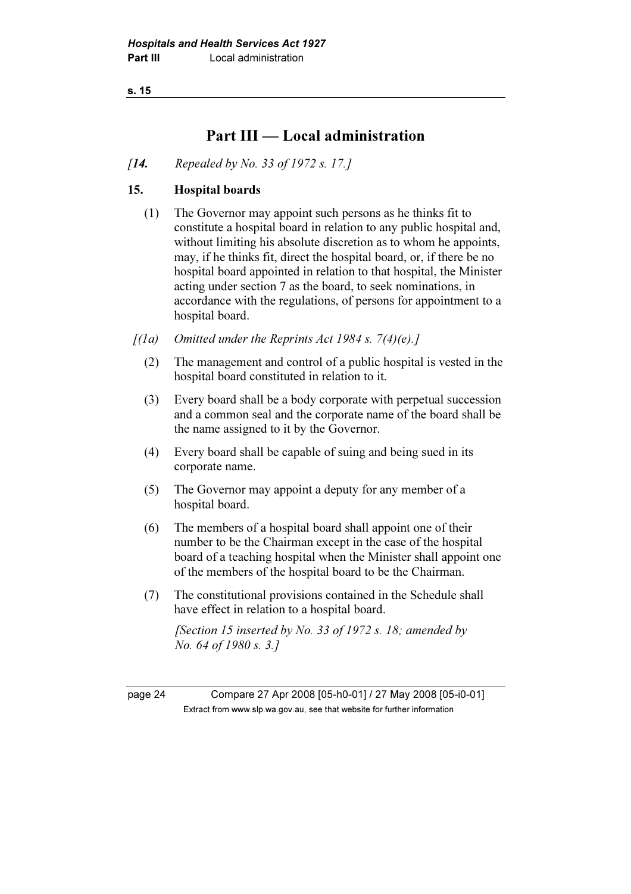## Part III — Local administration

[**14.** Repealed by No. 33 of 1972 s. 17.]

## 15. Hospital boards

- (1) The Governor may appoint such persons as he thinks fit to constitute a hospital board in relation to any public hospital and, without limiting his absolute discretion as to whom he appoints, may, if he thinks fit, direct the hospital board, or, if there be no hospital board appointed in relation to that hospital, the Minister acting under section 7 as the board, to seek nominations, in accordance with the regulations, of persons for appointment to a hospital board.
- $[(1a)$  Omitted under the Reprints Act 1984 s. 7(4)(e).]
	- (2) The management and control of a public hospital is vested in the hospital board constituted in relation to it.
	- (3) Every board shall be a body corporate with perpetual succession and a common seal and the corporate name of the board shall be the name assigned to it by the Governor.
	- (4) Every board shall be capable of suing and being sued in its corporate name.
	- (5) The Governor may appoint a deputy for any member of a hospital board.
	- (6) The members of a hospital board shall appoint one of their number to be the Chairman except in the case of the hospital board of a teaching hospital when the Minister shall appoint one of the members of the hospital board to be the Chairman.
	- (7) The constitutional provisions contained in the Schedule shall have effect in relation to a hospital board.

[Section 15 inserted by No. 33 of 1972 s. 18; amended by No. 64 of 1980 s. 3.]

page 24 Compare 27 Apr 2008 [05-h0-01] / 27 May 2008 [05-i0-01]  $\mathbf{F}$  from which was the set that we besite for further information  $\mathbf{F}$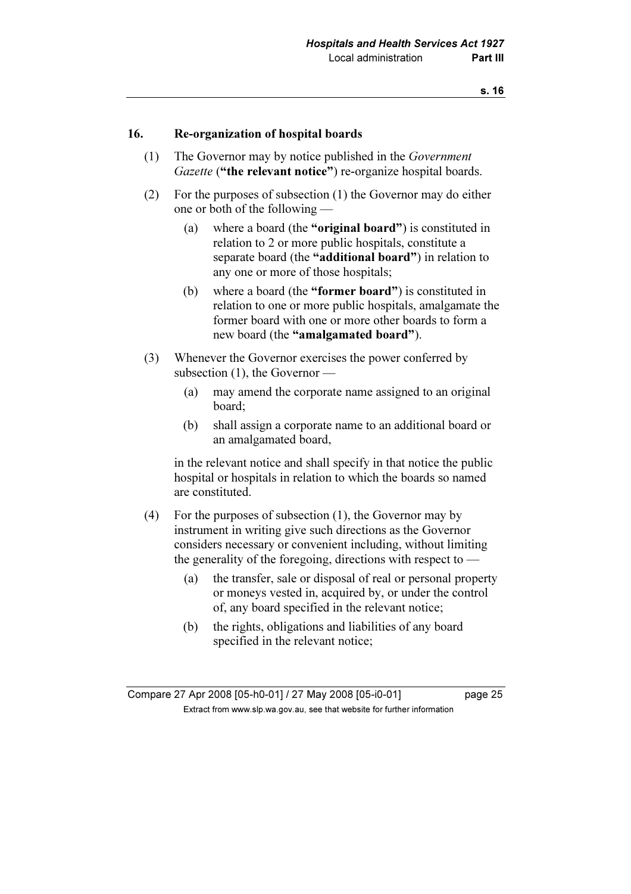### 16. Re-organization of hospital boards

- (1) The Governor may by notice published in the Government Gazette ("the relevant notice") re-organize hospital boards.
- (2) For the purposes of subsection (1) the Governor may do either one or both of the following —
	- (a) where a board (the "original board") is constituted in relation to 2 or more public hospitals, constitute a separate board (the "additional board") in relation to any one or more of those hospitals;
	- (b) where a board (the "former board") is constituted in relation to one or more public hospitals, amalgamate the former board with one or more other boards to form a new board (the "amalgamated board").
- (3) Whenever the Governor exercises the power conferred by subsection (1), the Governor —
	- (a) may amend the corporate name assigned to an original board;
	- (b) shall assign a corporate name to an additional board or an amalgamated board,

 in the relevant notice and shall specify in that notice the public hospital or hospitals in relation to which the boards so named are constituted.

- (4) For the purposes of subsection (1), the Governor may by instrument in writing give such directions as the Governor considers necessary or convenient including, without limiting the generality of the foregoing, directions with respect to —
	- (a) the transfer, sale or disposal of real or personal property or moneys vested in, acquired by, or under the control of, any board specified in the relevant notice;
	- (b) the rights, obligations and liabilities of any board specified in the relevant notice;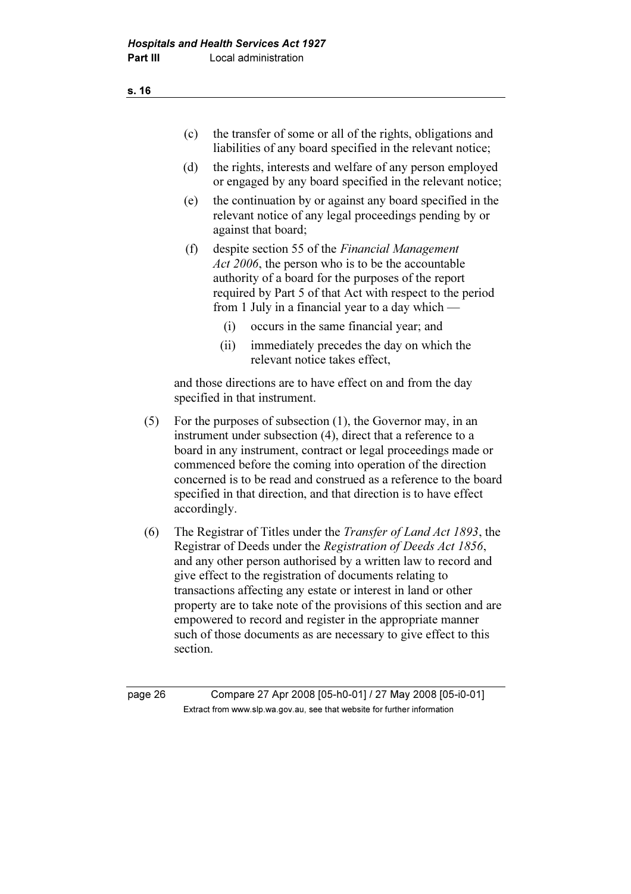- (c) the transfer of some or all of the rights, obligations and liabilities of any board specified in the relevant notice;
- (d) the rights, interests and welfare of any person employed or engaged by any board specified in the relevant notice;
- (e) the continuation by or against any board specified in the relevant notice of any legal proceedings pending by or against that board;
- (f) despite section 55 of the Financial Management Act 2006, the person who is to be the accountable authority of a board for the purposes of the report required by Part 5 of that Act with respect to the period from 1 July in a financial year to a day which —
	- (i) occurs in the same financial year; and
	- (ii) immediately precedes the day on which the relevant notice takes effect,

 and those directions are to have effect on and from the day specified in that instrument.

- (5) For the purposes of subsection (1), the Governor may, in an instrument under subsection (4), direct that a reference to a board in any instrument, contract or legal proceedings made or commenced before the coming into operation of the direction concerned is to be read and construed as a reference to the board specified in that direction, and that direction is to have effect accordingly.
- (6) The Registrar of Titles under the Transfer of Land Act 1893, the Registrar of Deeds under the Registration of Deeds Act 1856, and any other person authorised by a written law to record and give effect to the registration of documents relating to transactions affecting any estate or interest in land or other property are to take note of the provisions of this section and are empowered to record and register in the appropriate manner such of those documents as are necessary to give effect to this section.

page 26 Compare 27 Apr 2008 [05-h0-01] / 27 May 2008 [05-i0-01]  $\mathbf{F}$  from which was the set that we besite for further information  $\mathbf{F}$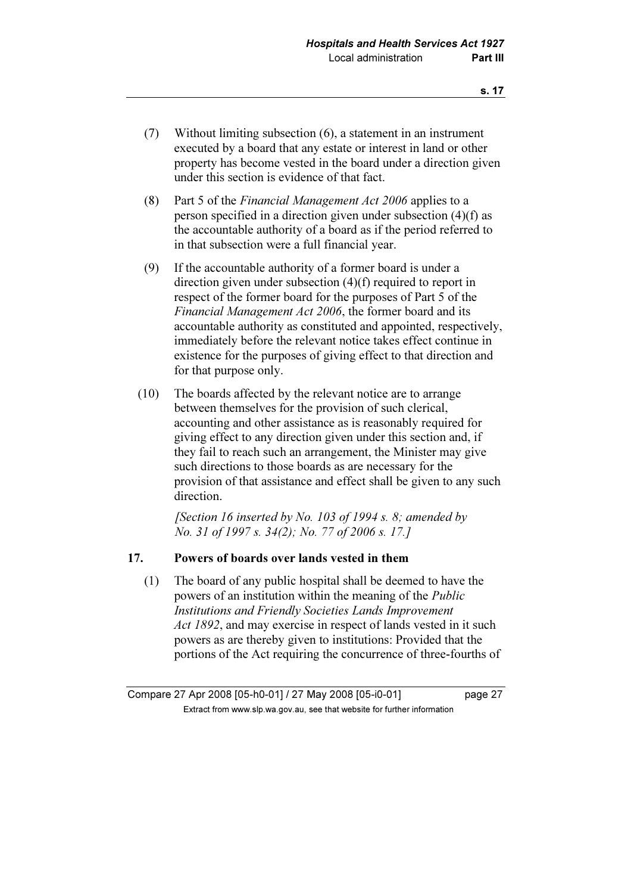- (7) Without limiting subsection (6), a statement in an instrument executed by a board that any estate or interest in land or other property has become vested in the board under a direction given under this section is evidence of that fact.
- (8) Part 5 of the Financial Management Act 2006 applies to a person specified in a direction given under subsection (4)(f) as the accountable authority of a board as if the period referred to in that subsection were a full financial year.
- (9) If the accountable authority of a former board is under a direction given under subsection (4)(f) required to report in respect of the former board for the purposes of Part 5 of the Financial Management Act 2006, the former board and its accountable authority as constituted and appointed, respectively, immediately before the relevant notice takes effect continue in existence for the purposes of giving effect to that direction and for that purpose only.
- (10) The boards affected by the relevant notice are to arrange between themselves for the provision of such clerical, accounting and other assistance as is reasonably required for giving effect to any direction given under this section and, if they fail to reach such an arrangement, the Minister may give such directions to those boards as are necessary for the provision of that assistance and effect shall be given to any such direction.

[Section 16 inserted by No. 103 of 1994 s. 8; amended by No. 31 of 1997 s. 34(2); No. 77 of 2006 s. 17.]

### 17. Powers of boards over lands vested in them

 (1) The board of any public hospital shall be deemed to have the powers of an institution within the meaning of the Public Institutions and Friendly Societies Lands Improvement Act 1892, and may exercise in respect of lands vested in it such powers as are thereby given to institutions: Provided that the portions of the Act requiring the concurrence of three-fourths of

Compare 27 Apr 2008 [05-h0-01] / 27 May 2008 [05-i0-01] page 27  $\mathbf{F}$  from which was the set that we besite for further information  $\mathbf{F}$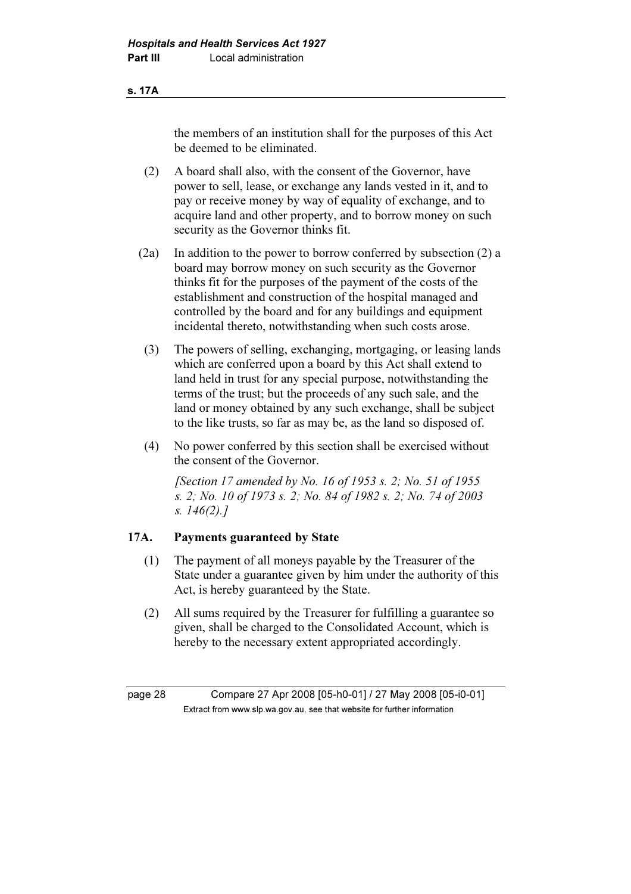#### s. 17A

the members of an institution shall for the purposes of this Act be deemed to be eliminated.

- (2) A board shall also, with the consent of the Governor, have power to sell, lease, or exchange any lands vested in it, and to pay or receive money by way of equality of exchange, and to acquire land and other property, and to borrow money on such security as the Governor thinks fit.
- (2a) In addition to the power to borrow conferred by subsection (2) a board may borrow money on such security as the Governor thinks fit for the purposes of the payment of the costs of the establishment and construction of the hospital managed and controlled by the board and for any buildings and equipment incidental thereto, notwithstanding when such costs arose.
- (3) The powers of selling, exchanging, mortgaging, or leasing lands which are conferred upon a board by this Act shall extend to land held in trust for any special purpose, notwithstanding the terms of the trust; but the proceeds of any such sale, and the land or money obtained by any such exchange, shall be subject to the like trusts, so far as may be, as the land so disposed of.
- (4) No power conferred by this section shall be exercised without the consent of the Governor.

[Section 17 amended by No. 16 of 1953 s. 2; No. 51 of 1955] s. 2; No. 10 of 1973 s. 2; No. 84 of 1982 s. 2; No. 74 of 2003 s. 146(2).]

### 17A. Payments guaranteed by State

- (1) The payment of all moneys payable by the Treasurer of the State under a guarantee given by him under the authority of this Act, is hereby guaranteed by the State.
- (2) All sums required by the Treasurer for fulfilling a guarantee so given, shall be charged to the Consolidated Account, which is hereby to the necessary extent appropriated accordingly.

page 28 Compare 27 Apr 2008 [05-h0-01] / 27 May 2008 [05-i0-01]  $\mathbf{F}$  from which was the set that we besite for further information  $\mathbf{F}$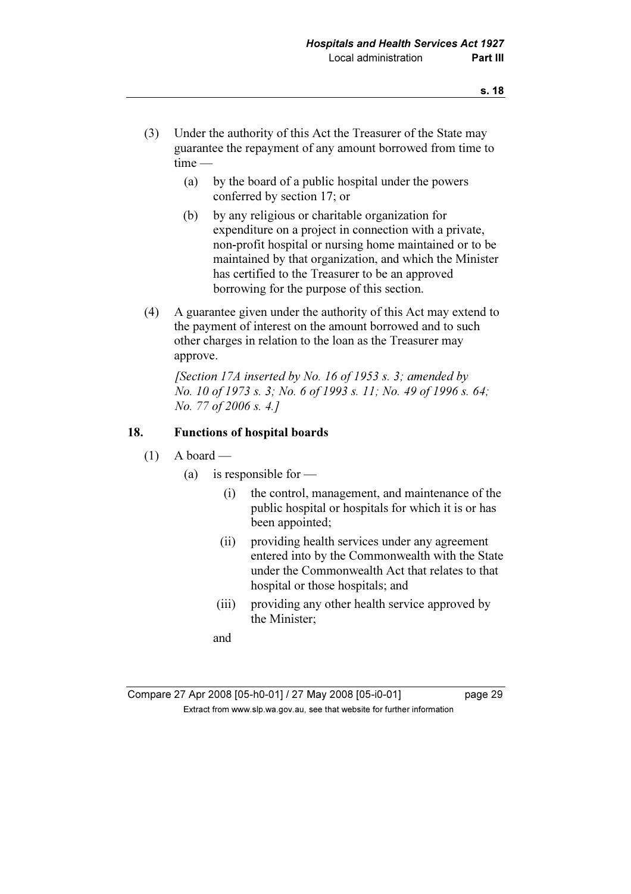- (3) Under the authority of this Act the Treasurer of the State may guarantee the repayment of any amount borrowed from time to time —
	- (a) by the board of a public hospital under the powers conferred by section 17; or
	- (b) by any religious or charitable organization for expenditure on a project in connection with a private, non-profit hospital or nursing home maintained or to be maintained by that organization, and which the Minister has certified to the Treasurer to be an approved borrowing for the purpose of this section.
- (4) A guarantee given under the authority of this Act may extend to the payment of interest on the amount borrowed and to such other charges in relation to the loan as the Treasurer may approve.

[Section 17A inserted by No. 16 of 1953 s. 3; amended by No. 10 of 1973 s. 3; No. 6 of 1993 s. 11; No. 49 of 1996 s. 64; No. 77 of 2006 s. 4.]

### 18. Functions of hospital boards

- $(1)$  A board
	- (a) is responsible for  $-$ 
		- (i) the control, management, and maintenance of the public hospital or hospitals for which it is or has been appointed;
		- (ii) providing health services under any agreement entered into by the Commonwealth with the State under the Commonwealth Act that relates to that hospital or those hospitals; and
		- (iii) providing any other health service approved by the Minister;
		- and

| Compare 27 Apr 2008 [05-h0-01] / 27 May 2008 [05-i0-01]                  | page 29 |
|--------------------------------------------------------------------------|---------|
| Extract from www.slp.wa.gov.au, see that website for further information |         |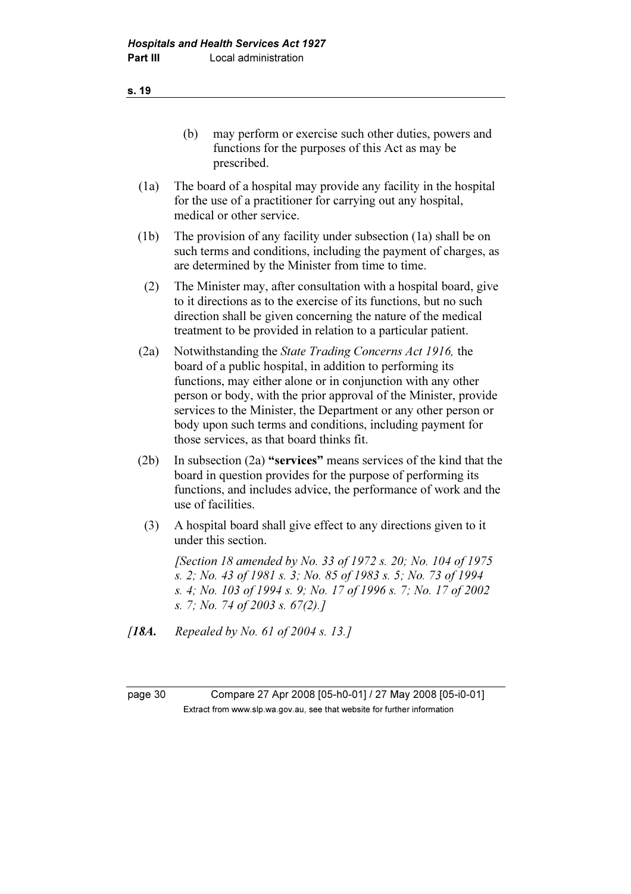(b) may perform or exercise such other duties, powers and functions for the purposes of this Act as may be prescribed.

- (1a) The board of a hospital may provide any facility in the hospital for the use of a practitioner for carrying out any hospital, medical or other service.
- (1b) The provision of any facility under subsection (1a) shall be on such terms and conditions, including the payment of charges, as are determined by the Minister from time to time.
	- (2) The Minister may, after consultation with a hospital board, give to it directions as to the exercise of its functions, but no such direction shall be given concerning the nature of the medical treatment to be provided in relation to a particular patient.
- (2a) Notwithstanding the State Trading Concerns Act 1916, the board of a public hospital, in addition to performing its functions, may either alone or in conjunction with any other person or body, with the prior approval of the Minister, provide services to the Minister, the Department or any other person or body upon such terms and conditions, including payment for those services, as that board thinks fit.
- (2b) In subsection (2a) "services" means services of the kind that the board in question provides for the purpose of performing its functions, and includes advice, the performance of work and the use of facilities.
- (3) A hospital board shall give effect to any directions given to it under this section.

[Section 18 amended by No. 33 of 1972 s. 20; No. 104 of 1975] s. 2; No. 43 of 1981 s. 3; No. 85 of 1983 s. 5; No. 73 of 1994 s. 4; No. 103 of 1994 s. 9; No. 17 of 1996 s. 7; No. 17 of 2002 s. 7; No. 74 of 2003 s. 67(2).]

[**18A.** Repealed by No. 61 of 2004 s. 13.]

page 30 Compare 27 Apr 2008 [05-h0-01] / 27 May 2008 [05-i0-01]  $\mathbf{F}$  from which was the set that we besite for further information  $\mathbf{F}$ 

s. 19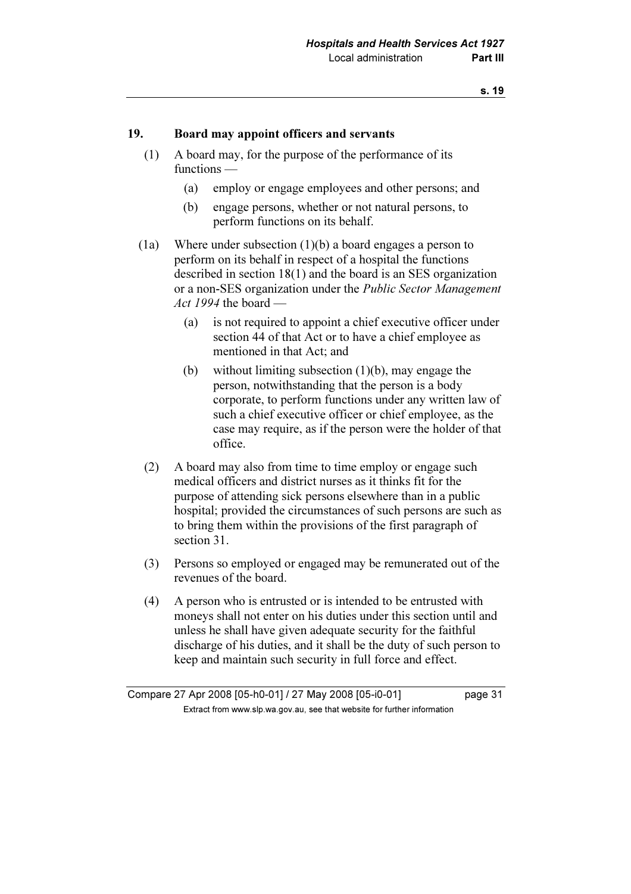#### 19. Board may appoint officers and servants

- (1) A board may, for the purpose of the performance of its functions —
	- (a) employ or engage employees and other persons; and
	- (b) engage persons, whether or not natural persons, to perform functions on its behalf.
- (1a) Where under subsection (1)(b) a board engages a person to perform on its behalf in respect of a hospital the functions described in section 18(1) and the board is an SES organization or a non-SES organization under the Public Sector Management Act 1994 the board —
	- (a) is not required to appoint a chief executive officer under section 44 of that Act or to have a chief employee as mentioned in that Act; and
	- (b) without limiting subsection (1)(b), may engage the person, notwithstanding that the person is a body corporate, to perform functions under any written law of such a chief executive officer or chief employee, as the case may require, as if the person were the holder of that office.
- (2) A board may also from time to time employ or engage such medical officers and district nurses as it thinks fit for the purpose of attending sick persons elsewhere than in a public hospital; provided the circumstances of such persons are such as to bring them within the provisions of the first paragraph of section 31.
- (3) Persons so employed or engaged may be remunerated out of the revenues of the board.
- (4) A person who is entrusted or is intended to be entrusted with moneys shall not enter on his duties under this section until and unless he shall have given adequate security for the faithful discharge of his duties, and it shall be the duty of such person to keep and maintain such security in full force and effect.

Compare 27 Apr 2008 [05-h0-01] / 27 May 2008 [05-i0-01] page 31  $\mathbf{F}$  from which was the set that we besite for further information  $\mathbf{F}$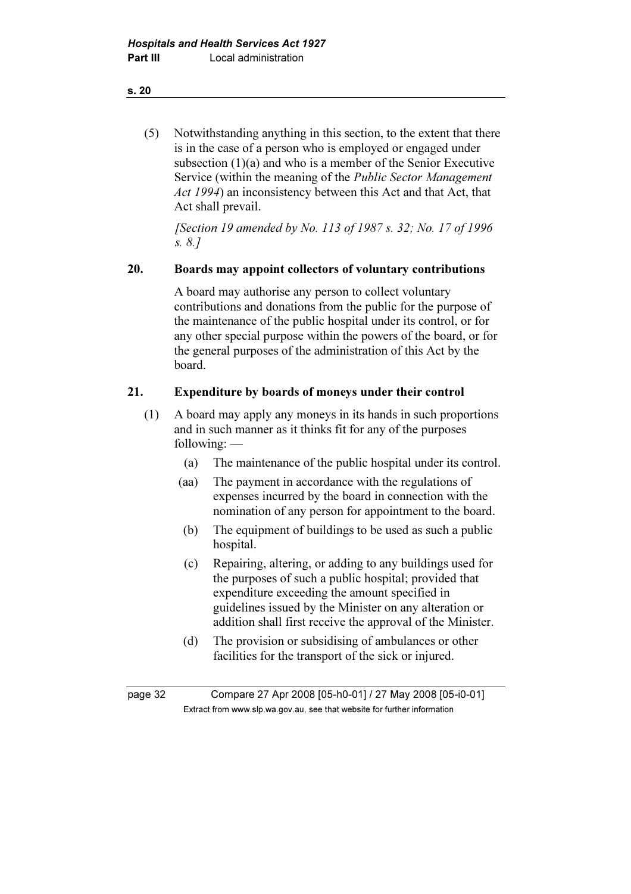## (5) Notwithstanding anything in this section, to the extent that there is in the case of a person who is employed or engaged under subsection (1)(a) and who is a member of the Senior Executive Service (within the meaning of the Public Sector Management Act 1994) an inconsistency between this Act and that Act, that Act shall prevail.

 [Section 19 amended by No. 113 of 1987 s. 32; No. 17 of 1996 s. 8.]

## 20. Boards may appoint collectors of voluntary contributions

 A board may authorise any person to collect voluntary contributions and donations from the public for the purpose of the maintenance of the public hospital under its control, or for any other special purpose within the powers of the board, or for the general purposes of the administration of this Act by the board.

## 21. Expenditure by boards of moneys under their control

- (1) A board may apply any moneys in its hands in such proportions and in such manner as it thinks fit for any of the purposes following: —
	- (a) The maintenance of the public hospital under its control.
	- (aa) The payment in accordance with the regulations of expenses incurred by the board in connection with the nomination of any person for appointment to the board.
	- (b) The equipment of buildings to be used as such a public hospital.
	- (c) Repairing, altering, or adding to any buildings used for the purposes of such a public hospital; provided that expenditure exceeding the amount specified in guidelines issued by the Minister on any alteration or addition shall first receive the approval of the Minister.
	- (d) The provision or subsidising of ambulances or other facilities for the transport of the sick or injured.

page 32 Compare 27 Apr 2008 [05-h0-01] / 27 May 2008 [05-i0-01]  $\mathbf{F}$  from which was the set that we besite for further information  $\mathbf{F}$ 

#### s. 20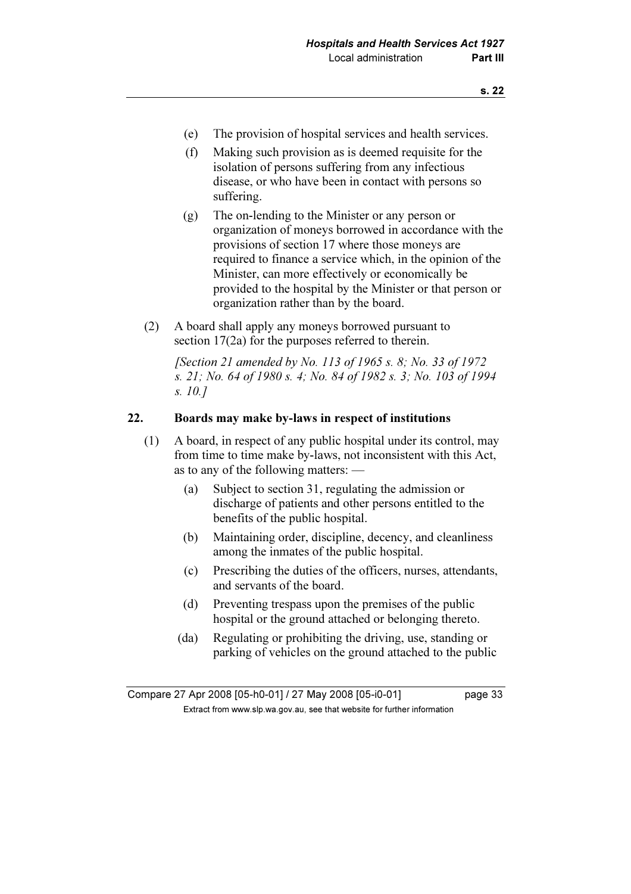- (e) The provision of hospital services and health services.
- (f) Making such provision as is deemed requisite for the isolation of persons suffering from any infectious disease, or who have been in contact with persons so suffering.
- (g) The on-lending to the Minister or any person or organization of moneys borrowed in accordance with the provisions of section 17 where those moneys are required to finance a service which, in the opinion of the Minister, can more effectively or economically be provided to the hospital by the Minister or that person or organization rather than by the board.
- (2) A board shall apply any moneys borrowed pursuant to section 17(2a) for the purposes referred to therein.

[Section 21 amended by No. 113 of 1965 s. 8; No. 33 of 1972] s. 21; No. 64 of 1980 s. 4; No. 84 of 1982 s. 3; No. 103 of 1994 s. 10.]

### 22. Boards may make by-laws in respect of institutions

- (1) A board, in respect of any public hospital under its control, may from time to time make by-laws, not inconsistent with this Act, as to any of the following matters: —
	- (a) Subject to section 31, regulating the admission or discharge of patients and other persons entitled to the benefits of the public hospital.
	- (b) Maintaining order, discipline, decency, and cleanliness among the inmates of the public hospital.
	- (c) Prescribing the duties of the officers, nurses, attendants, and servants of the board.
	- (d) Preventing trespass upon the premises of the public hospital or the ground attached or belonging thereto.
	- (da) Regulating or prohibiting the driving, use, standing or parking of vehicles on the ground attached to the public

Compare 27 Apr 2008 [05-h0-01] / 27 May 2008 [05-i0-01] page 33  $\mathbf{F}$  from which was the set that we besite for further information  $\mathbf{F}$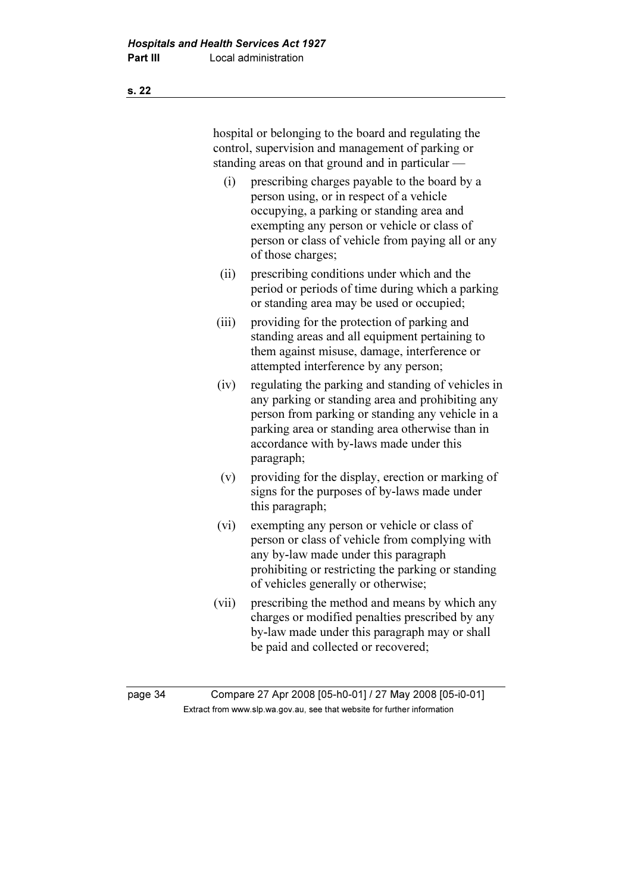|       | hospital or belonging to the board and regulating the<br>control, supervision and management of parking or<br>standing areas on that ground and in particular -                                                                                                        |
|-------|------------------------------------------------------------------------------------------------------------------------------------------------------------------------------------------------------------------------------------------------------------------------|
| (i)   | prescribing charges payable to the board by a<br>person using, or in respect of a vehicle<br>occupying, a parking or standing area and<br>exempting any person or vehicle or class of<br>person or class of vehicle from paying all or any<br>of those charges;        |
| (ii)  | prescribing conditions under which and the<br>period or periods of time during which a parking<br>or standing area may be used or occupied;                                                                                                                            |
| (iii) | providing for the protection of parking and<br>standing areas and all equipment pertaining to<br>them against misuse, damage, interference or<br>attempted interference by any person;                                                                                 |
| (iv)  | regulating the parking and standing of vehicles in<br>any parking or standing area and prohibiting any<br>person from parking or standing any vehicle in a<br>parking area or standing area otherwise than in<br>accordance with by-laws made under this<br>paragraph; |
| (v)   | providing for the display, erection or marking of<br>signs for the purposes of by-laws made under<br>this paragraph;                                                                                                                                                   |
| (vi)  | exempting any person or vehicle or class of<br>person or class of vehicle from complying with<br>any by-law made under this paragraph<br>prohibiting or restricting the parking or standing<br>of vehicles generally or otherwise;                                     |
| (vii) | prescribing the method and means by which any<br>charges or modified penalties prescribed by any<br>by-law made under this paragraph may or shall<br>be paid and collected or recovered;                                                                               |

page 34 Compare 27 Apr 2008 [05-h0-01] / 27 May 2008 [05-i0-01] Extract from www.slp.wa.gov.au, see that website for further information

s. 22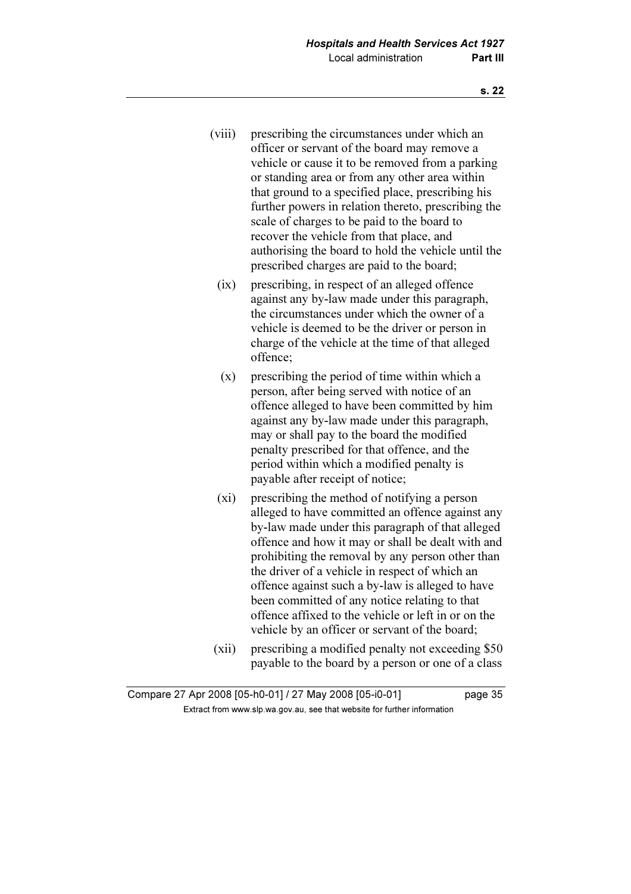- (viii) prescribing the circumstances under which an officer or servant of the board may remove a vehicle or cause it to be removed from a parking or standing area or from any other area within that ground to a specified place, prescribing his further powers in relation thereto, prescribing the scale of charges to be paid to the board to recover the vehicle from that place, and authorising the board to hold the vehicle until the prescribed charges are paid to the board;
	- (ix) prescribing, in respect of an alleged offence against any by-law made under this paragraph, the circumstances under which the owner of a vehicle is deemed to be the driver or person in charge of the vehicle at the time of that alleged offence;
	- (x) prescribing the period of time within which a person, after being served with notice of an offence alleged to have been committed by him against any by-law made under this paragraph, may or shall pay to the board the modified penalty prescribed for that offence, and the period within which a modified penalty is payable after receipt of notice;
	- (xi) prescribing the method of notifying a person alleged to have committed an offence against any by-law made under this paragraph of that alleged offence and how it may or shall be dealt with and prohibiting the removal by any person other than the driver of a vehicle in respect of which an offence against such a by-law is alleged to have been committed of any notice relating to that offence affixed to the vehicle or left in or on the vehicle by an officer or servant of the board;
- (xii) prescribing a modified penalty not exceeding \$50 payable to the board by a person or one of a class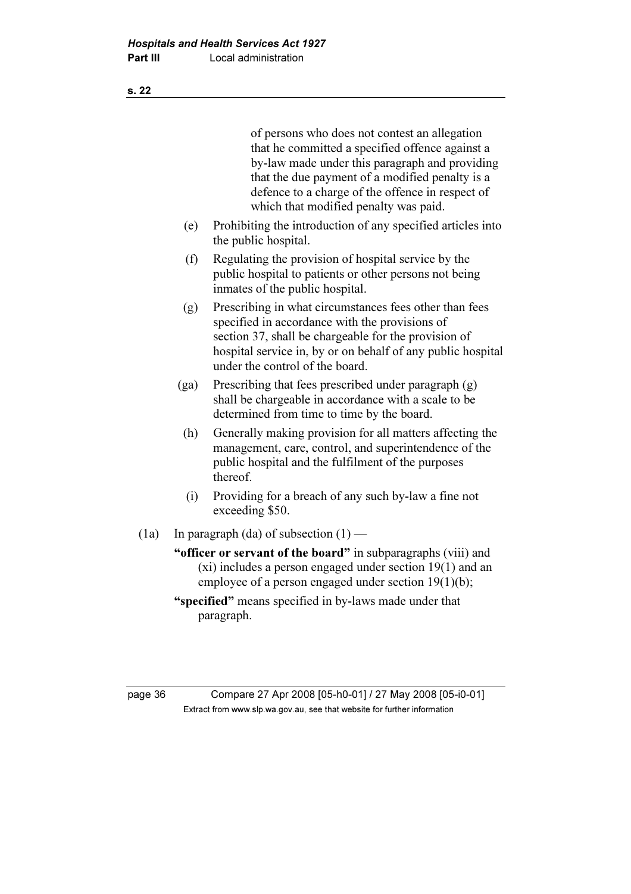of persons who does not contest an allegation that he committed a specified offence against a by-law made under this paragraph and providing that the due payment of a modified penalty is a defence to a charge of the offence in respect of which that modified penalty was paid. (e) Prohibiting the introduction of any specified articles into the public hospital. (f) Regulating the provision of hospital service by the public hospital to patients or other persons not being inmates of the public hospital. (g) Prescribing in what circumstances fees other than fees specified in accordance with the provisions of section 37, shall be chargeable for the provision of hospital service in, by or on behalf of any public hospital under the control of the board. (ga) Prescribing that fees prescribed under paragraph (g) shall be chargeable in accordance with a scale to be determined from time to time by the board. (h) Generally making provision for all matters affecting the management, care, control, and superintendence of the public hospital and the fulfilment of the purposes thereof. (i) Providing for a breach of any such by-law a fine not exceeding \$50. (1a) In paragraph (da) of subsection  $(1)$  — "officer or servant of the board" in subparagraphs (viii) and (xi) includes a person engaged under section 19(1) and an employee of a person engaged under section 19(1)(b); "specified" means specified in by-laws made under that paragraph.

page 36 Compare 27 Apr 2008 [05-h0-01] / 27 May 2008 [05-i0-01]  $\mathbf{F}$  from which was the set that we besite for further information  $\mathbf{F}$ 

s. 22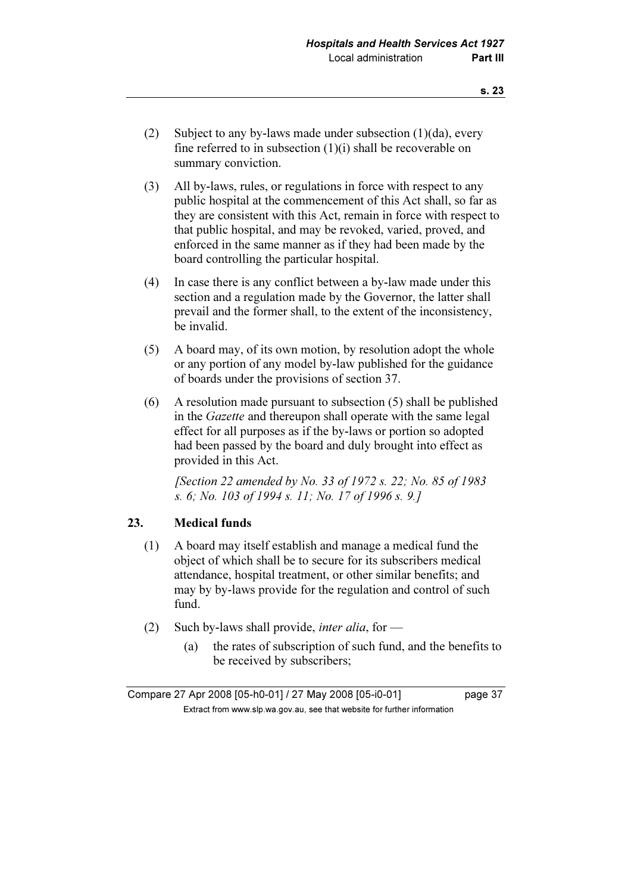- (2) Subject to any by-laws made under subsection (1)(da), every fine referred to in subsection (1)(i) shall be recoverable on summary conviction.
- (3) All by-laws, rules, or regulations in force with respect to any public hospital at the commencement of this Act shall, so far as they are consistent with this Act, remain in force with respect to that public hospital, and may be revoked, varied, proved, and enforced in the same manner as if they had been made by the board controlling the particular hospital.
- (4) In case there is any conflict between a by-law made under this section and a regulation made by the Governor, the latter shall prevail and the former shall, to the extent of the inconsistency, be invalid.
- (5) A board may, of its own motion, by resolution adopt the whole or any portion of any model by-law published for the guidance of boards under the provisions of section 37.
- (6) A resolution made pursuant to subsection (5) shall be published in the Gazette and thereupon shall operate with the same legal effect for all purposes as if the by-laws or portion so adopted had been passed by the board and duly brought into effect as provided in this Act.

[Section 22 amended by No. 33 of 1972 s. 22; No. 85 of 1983] s. 6; No. 103 of 1994 s. 11; No. 17 of 1996 s. 9.]

### 23. Medical funds

- (1) A board may itself establish and manage a medical fund the object of which shall be to secure for its subscribers medical attendance, hospital treatment, or other similar benefits; and may by by-laws provide for the regulation and control of such fund.
- (2) Such by-laws shall provide, *inter alia*, for
	- (a) the rates of subscription of such fund, and the benefits to be received by subscribers;

Compare 27 Apr 2008 [05-h0-01] / 27 May 2008 [05-i0-01] page 37  $\mathbf{F}$  from which was the set that we besite for further information  $\mathbf{F}$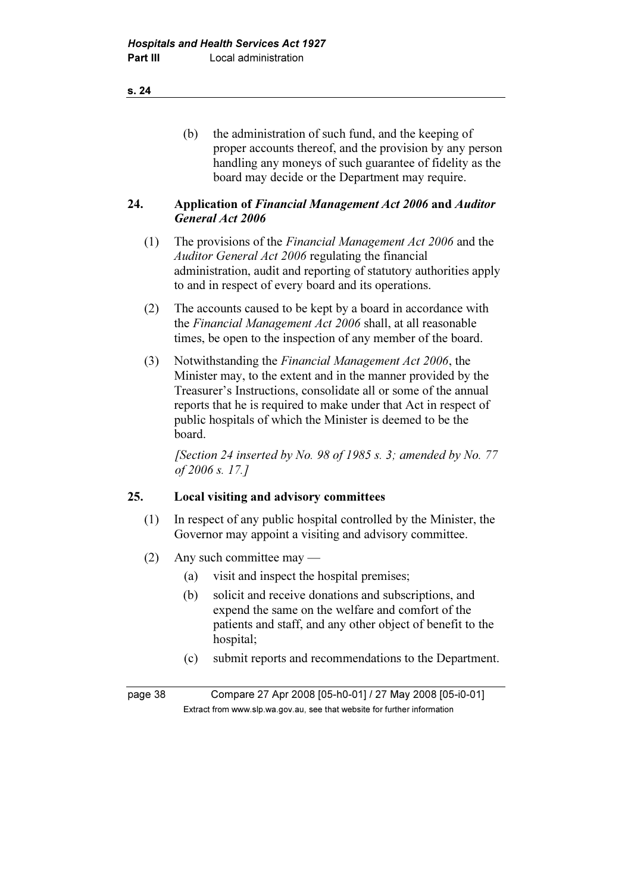s. 24

 (b) the administration of such fund, and the keeping of proper accounts thereof, and the provision by any person handling any moneys of such guarantee of fidelity as the board may decide or the Department may require.

### 24. Application of Financial Management Act 2006 and Auditor General Act 2006

- (1) The provisions of the Financial Management Act 2006 and the Auditor General Act 2006 regulating the financial administration, audit and reporting of statutory authorities apply to and in respect of every board and its operations.
- (2) The accounts caused to be kept by a board in accordance with the Financial Management Act 2006 shall, at all reasonable times, be open to the inspection of any member of the board.
- (3) Notwithstanding the Financial Management Act 2006, the Minister may, to the extent and in the manner provided by the Treasurer's Instructions, consolidate all or some of the annual reports that he is required to make under that Act in respect of public hospitals of which the Minister is deemed to be the board.

[Section 24 inserted by No. 98 of 1985 s. 3; amended by No. 77 of 2006 s. 17.]

## 25. Local visiting and advisory committees

- (1) In respect of any public hospital controlled by the Minister, the Governor may appoint a visiting and advisory committee.
- (2) Any such committee may
	- (a) visit and inspect the hospital premises;
	- (b) solicit and receive donations and subscriptions, and expend the same on the welfare and comfort of the patients and staff, and any other object of benefit to the hospital;
	- (c) submit reports and recommendations to the Department.

page 38 Compare 27 Apr 2008 [05-h0-01] / 27 May 2008 [05-i0-01]  $\mathbf{F}$  from which was the set that we besite for further information  $\mathbf{F}$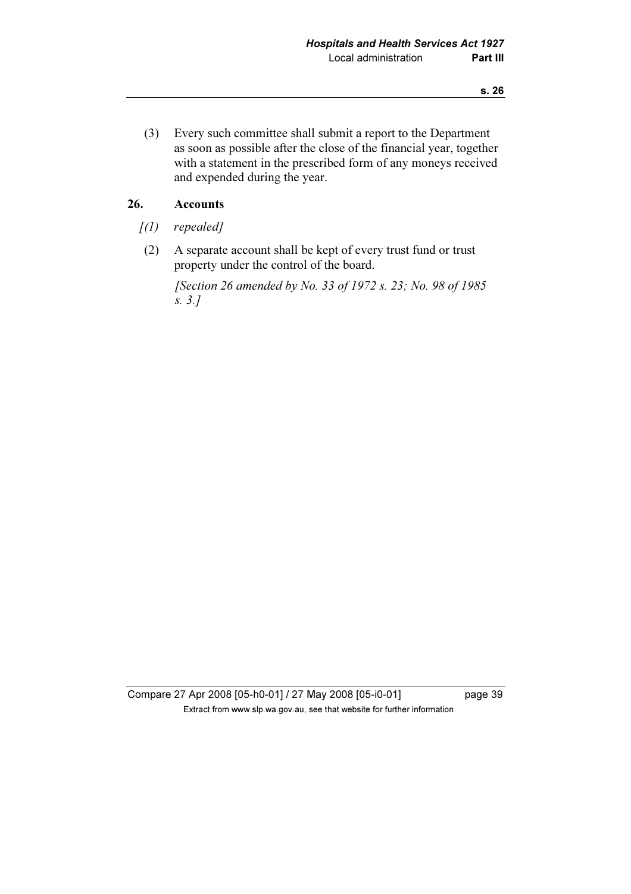(3) Every such committee shall submit a report to the Department as soon as possible after the close of the financial year, together with a statement in the prescribed form of any moneys received and expended during the year.

## 26. Accounts

- $(1)$  repealed]
- (2) A separate account shall be kept of every trust fund or trust property under the control of the board.

 [Section 26 amended by No. 33 of 1972 s. 23; No. 98 of 1985 s. 3.]

Compare 27 Apr 2008 [05-h0-01] / 27 May 2008 [05-i0-01] page 39 Extract from www.slp.wa.gov.au, see that website for further information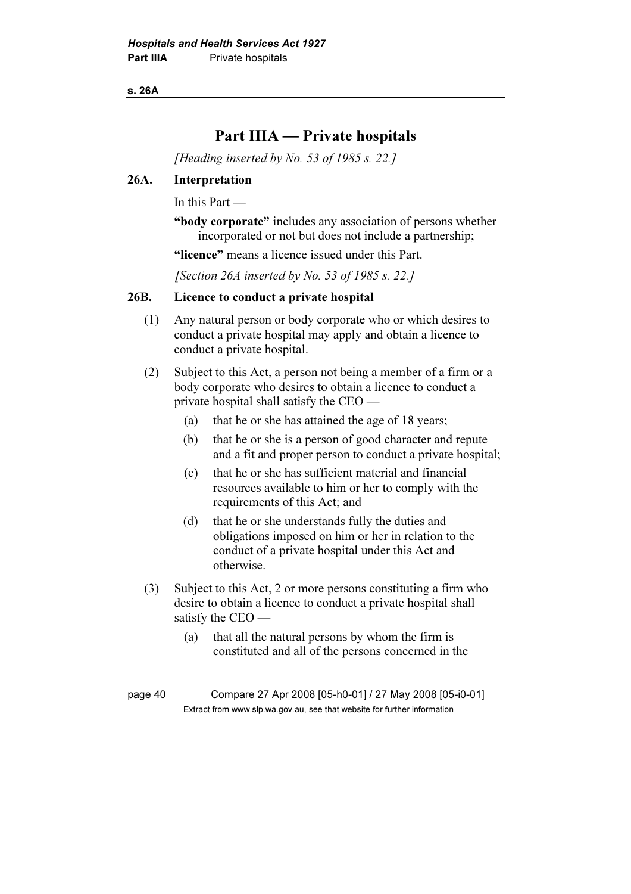s. 26A

# Part IIIA — Private hospitals

[Heading inserted by No. 53 of 1985 s. 22.]

### 26A. Interpretation

In this Part —

"body corporate" includes any association of persons whether incorporated or not but does not include a partnership;

"licence" means a licence issued under this Part.

[Section 26A inserted by No. 53 of 1985 s. 22.]

### 26B. Licence to conduct a private hospital

- (1) Any natural person or body corporate who or which desires to conduct a private hospital may apply and obtain a licence to conduct a private hospital.
- (2) Subject to this Act, a person not being a member of a firm or a body corporate who desires to obtain a licence to conduct a private hospital shall satisfy the CEO —
	- (a) that he or she has attained the age of 18 years;
	- (b) that he or she is a person of good character and repute and a fit and proper person to conduct a private hospital;
	- (c) that he or she has sufficient material and financial resources available to him or her to comply with the requirements of this Act; and
	- (d) that he or she understands fully the duties and obligations imposed on him or her in relation to the conduct of a private hospital under this Act and otherwise.
- (3) Subject to this Act, 2 or more persons constituting a firm who desire to obtain a licence to conduct a private hospital shall satisfy the CEO —
	- (a) that all the natural persons by whom the firm is constituted and all of the persons concerned in the

page 40 Compare 27 Apr 2008 [05-h0-01] / 27 May 2008 [05-i0-01]  $\mathbf{F}$  from which was the set that we besite for further information  $\mathbf{F}$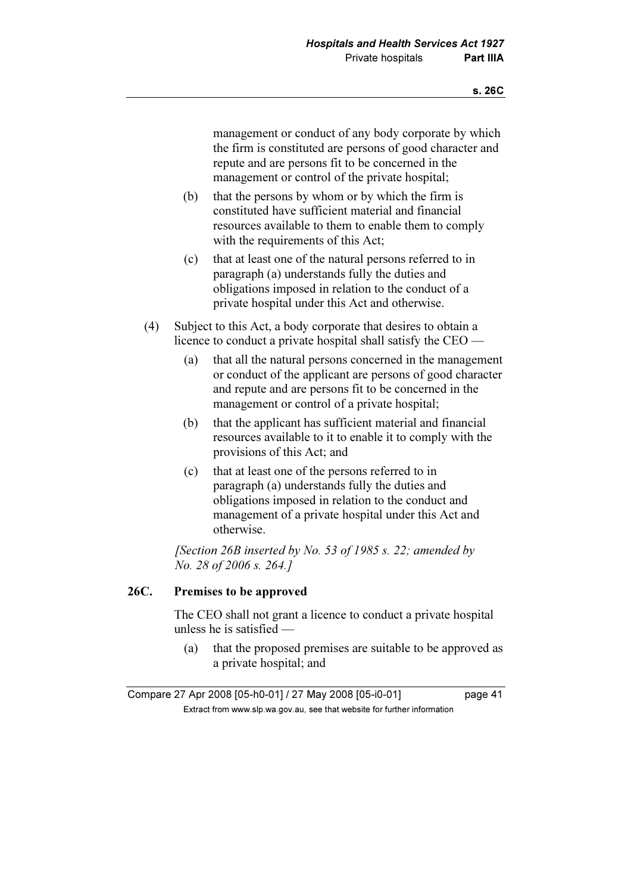management or conduct of any body corporate by which the firm is constituted are persons of good character and repute and are persons fit to be concerned in the management or control of the private hospital;

- (b) that the persons by whom or by which the firm is constituted have sufficient material and financial resources available to them to enable them to comply with the requirements of this Act;
- (c) that at least one of the natural persons referred to in paragraph (a) understands fully the duties and obligations imposed in relation to the conduct of a private hospital under this Act and otherwise.
- (4) Subject to this Act, a body corporate that desires to obtain a licence to conduct a private hospital shall satisfy the CEO —
	- (a) that all the natural persons concerned in the management or conduct of the applicant are persons of good character and repute and are persons fit to be concerned in the management or control of a private hospital;
	- (b) that the applicant has sufficient material and financial resources available to it to enable it to comply with the provisions of this Act; and
	- (c) that at least one of the persons referred to in paragraph (a) understands fully the duties and obligations imposed in relation to the conduct and management of a private hospital under this Act and otherwise.

[Section 26B inserted by No. 53 of 1985 s. 22; amended by No. 28 of 2006 s. 264.]

## 26C. Premises to be approved

 The CEO shall not grant a licence to conduct a private hospital unless he is satisfied —

 (a) that the proposed premises are suitable to be approved as a private hospital; and

Compare 27 Apr 2008 [05-h0-01] / 27 May 2008 [05-i0-01] page 41  $\mathbf{F}$  from which was the set that we besite for further information  $\mathbf{F}$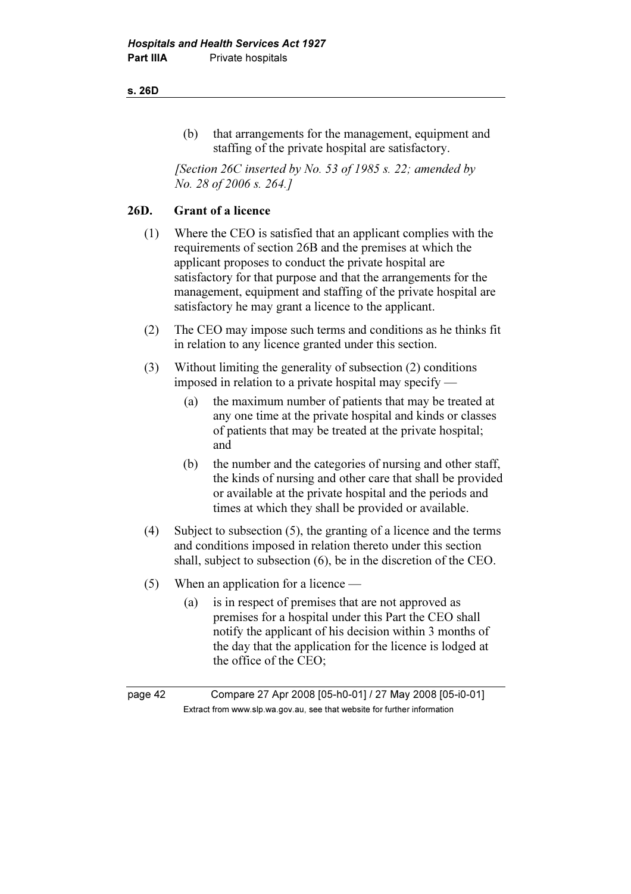#### s. 26D

 (b) that arrangements for the management, equipment and staffing of the private hospital are satisfactory.

[Section 26C inserted by No. 53 of 1985 s. 22; amended by No. 28 of 2006 s. 264.]

### 26D. Grant of a licence

- (1) Where the CEO is satisfied that an applicant complies with the requirements of section 26B and the premises at which the applicant proposes to conduct the private hospital are satisfactory for that purpose and that the arrangements for the management, equipment and staffing of the private hospital are satisfactory he may grant a licence to the applicant.
- (2) The CEO may impose such terms and conditions as he thinks fit in relation to any licence granted under this section.
- (3) Without limiting the generality of subsection (2) conditions imposed in relation to a private hospital may specify —
	- (a) the maximum number of patients that may be treated at any one time at the private hospital and kinds or classes of patients that may be treated at the private hospital; and
	- (b) the number and the categories of nursing and other staff, the kinds of nursing and other care that shall be provided or available at the private hospital and the periods and times at which they shall be provided or available.
- (4) Subject to subsection (5), the granting of a licence and the terms and conditions imposed in relation thereto under this section shall, subject to subsection (6), be in the discretion of the CEO.
- (5) When an application for a licence
	- (a) is in respect of premises that are not approved as premises for a hospital under this Part the CEO shall notify the applicant of his decision within 3 months of the day that the application for the licence is lodged at the office of the CEO;

page 42 Compare 27 Apr 2008 [05-h0-01] / 27 May 2008 [05-i0-01]  $\mathbf{F}$  from which was the set that we besite for further information  $\mathbf{F}$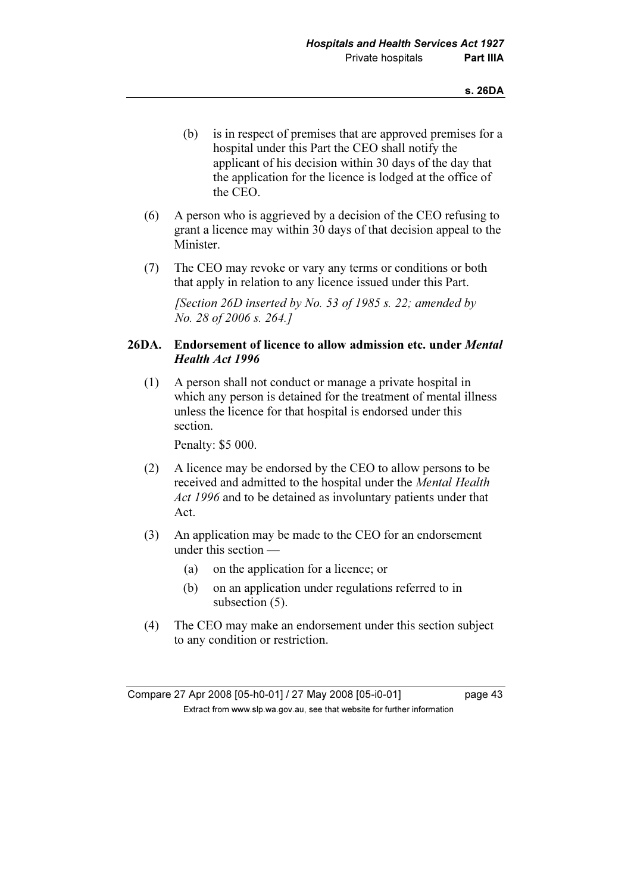- (b) is in respect of premises that are approved premises for a hospital under this Part the CEO shall notify the applicant of his decision within 30 days of the day that the application for the licence is lodged at the office of the CEO.
- (6) A person who is aggrieved by a decision of the CEO refusing to grant a licence may within 30 days of that decision appeal to the Minister.
- (7) The CEO may revoke or vary any terms or conditions or both that apply in relation to any licence issued under this Part.

[Section 26D inserted by No. 53 of 1985 s. 22; amended by No. 28 of 2006 s. 264.]

### 26DA. Endorsement of licence to allow admission etc. under Mental Health Act 1996

 (1) A person shall not conduct or manage a private hospital in which any person is detained for the treatment of mental illness unless the licence for that hospital is endorsed under this section.

Penalty: \$5 000.

- (2) A licence may be endorsed by the CEO to allow persons to be received and admitted to the hospital under the Mental Health Act 1996 and to be detained as involuntary patients under that Act.
- (3) An application may be made to the CEO for an endorsement under this section —
	- (a) on the application for a licence; or
	- (b) on an application under regulations referred to in subsection (5).
- (4) The CEO may make an endorsement under this section subject to any condition or restriction.

Compare 27 Apr 2008 [05-h0-01] / 27 May 2008 [05-i0-01] page 43  $\mathbf{F}$  from which was the set that we besite for further information  $\mathbf{F}$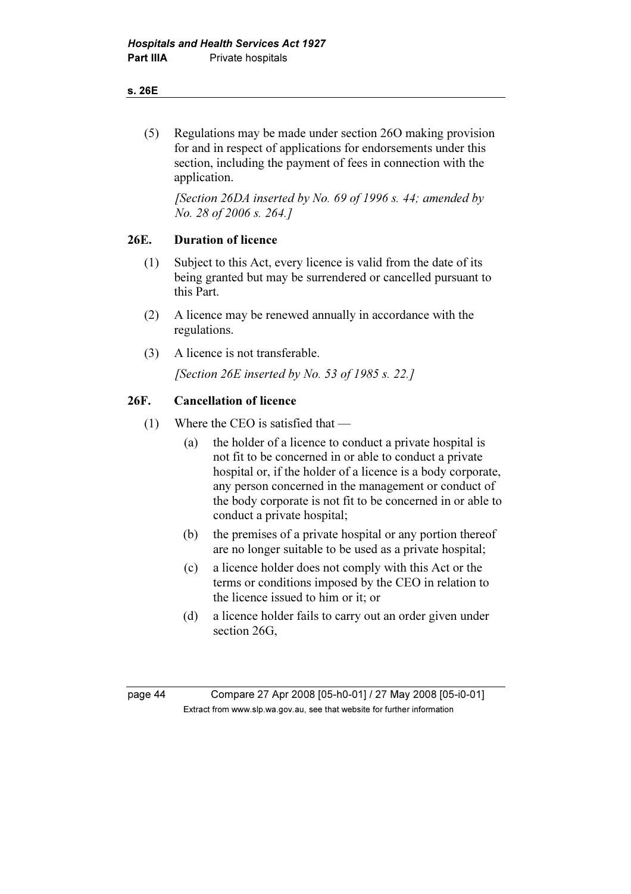#### s. 26E

 (5) Regulations may be made under section 26O making provision for and in respect of applications for endorsements under this section, including the payment of fees in connection with the application.

[Section 26DA inserted by No. 69 of 1996 s. 44; amended by No. 28 of 2006 s. 264.]

### 26E. Duration of licence

- (1) Subject to this Act, every licence is valid from the date of its being granted but may be surrendered or cancelled pursuant to this Part.
- (2) A licence may be renewed annually in accordance with the regulations.
- (3) A licence is not transferable.

[Section 26E inserted by No. 53 of 1985 s. 22.]

### 26F. Cancellation of licence

- (1) Where the CEO is satisfied that
	- (a) the holder of a licence to conduct a private hospital is not fit to be concerned in or able to conduct a private hospital or, if the holder of a licence is a body corporate, any person concerned in the management or conduct of the body corporate is not fit to be concerned in or able to conduct a private hospital;
	- (b) the premises of a private hospital or any portion thereof are no longer suitable to be used as a private hospital;
	- (c) a licence holder does not comply with this Act or the terms or conditions imposed by the CEO in relation to the licence issued to him or it; or
	- (d) a licence holder fails to carry out an order given under section 26G,

page 44 Compare 27 Apr 2008 [05-h0-01] / 27 May 2008 [05-i0-01]  $\mathbf{F}$  from which was the set that we besite for further information  $\mathbf{F}$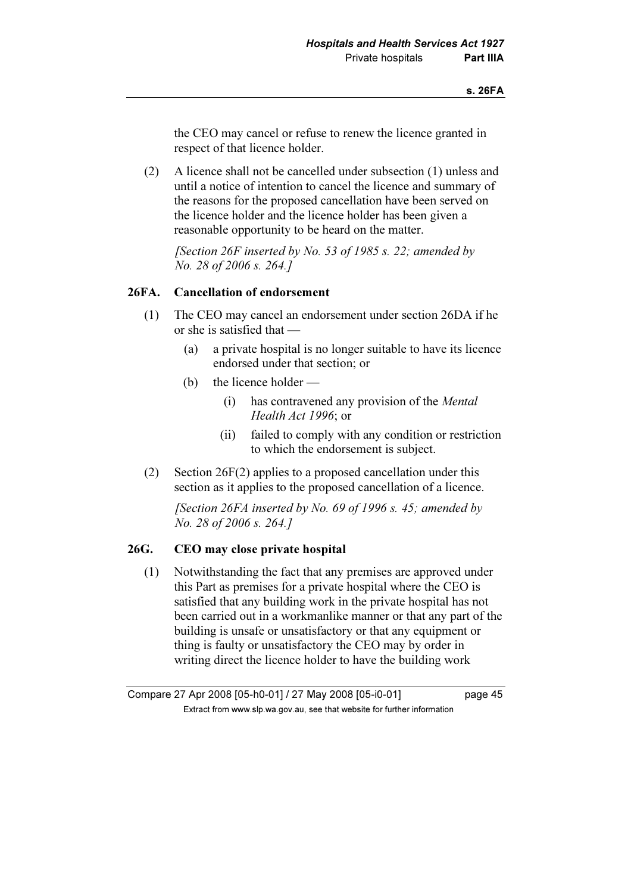the CEO may cancel or refuse to renew the licence granted in respect of that licence holder.

 (2) A licence shall not be cancelled under subsection (1) unless and until a notice of intention to cancel the licence and summary of the reasons for the proposed cancellation have been served on the licence holder and the licence holder has been given a reasonable opportunity to be heard on the matter.

[Section 26F inserted by No. 53 of 1985 s. 22; amended by No. 28 of 2006 s. 264.]

#### 26FA. Cancellation of endorsement

- (1) The CEO may cancel an endorsement under section 26DA if he or she is satisfied that —
	- (a) a private hospital is no longer suitable to have its licence endorsed under that section; or
	- (b) the licence holder
		- (i) has contravened any provision of the Mental Health Act 1996; or
		- (ii) failed to comply with any condition or restriction to which the endorsement is subject.
- (2) Section 26F(2) applies to a proposed cancellation under this section as it applies to the proposed cancellation of a licence.

[Section 26FA inserted by No. 69 of 1996 s. 45; amended by No. 28 of 2006 s. 264.]

#### 26G. CEO may close private hospital

 (1) Notwithstanding the fact that any premises are approved under this Part as premises for a private hospital where the CEO is satisfied that any building work in the private hospital has not been carried out in a workmanlike manner or that any part of the building is unsafe or unsatisfactory or that any equipment or thing is faulty or unsatisfactory the CEO may by order in writing direct the licence holder to have the building work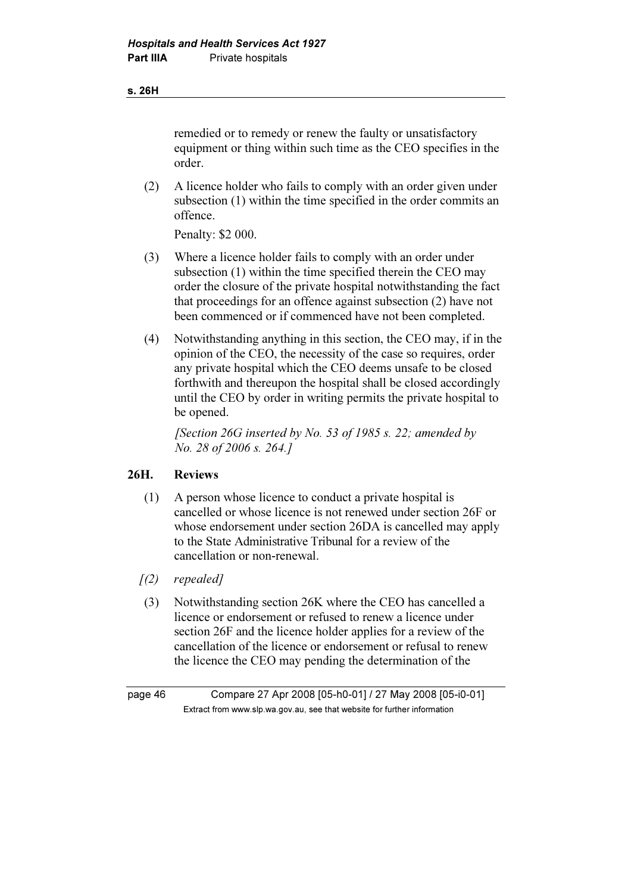#### s. 26H

remedied or to remedy or renew the faulty or unsatisfactory equipment or thing within such time as the CEO specifies in the order.

 (2) A licence holder who fails to comply with an order given under subsection (1) within the time specified in the order commits an offence.

Penalty: \$2 000.

- (3) Where a licence holder fails to comply with an order under subsection (1) within the time specified therein the CEO may order the closure of the private hospital notwithstanding the fact that proceedings for an offence against subsection (2) have not been commenced or if commenced have not been completed.
- (4) Notwithstanding anything in this section, the CEO may, if in the opinion of the CEO, the necessity of the case so requires, order any private hospital which the CEO deems unsafe to be closed forthwith and thereupon the hospital shall be closed accordingly until the CEO by order in writing permits the private hospital to be opened.

[Section 26G inserted by No. 53 of 1985 s. 22; amended by No. 28 of 2006 s. 264.]

### 26H. Reviews

- (1) A person whose licence to conduct a private hospital is cancelled or whose licence is not renewed under section 26F or whose endorsement under section 26DA is cancelled may apply to the State Administrative Tribunal for a review of the cancellation or non-renewal.
- $(2)$  repealed]
- (3) Notwithstanding section 26K where the CEO has cancelled a licence or endorsement or refused to renew a licence under section 26F and the licence holder applies for a review of the cancellation of the licence or endorsement or refusal to renew the licence the CEO may pending the determination of the

page 46 Compare 27 Apr 2008 [05-h0-01] / 27 May 2008 [05-i0-01]  $\mathbf{F}$  from which was the set that we besite for further information  $\mathbf{F}$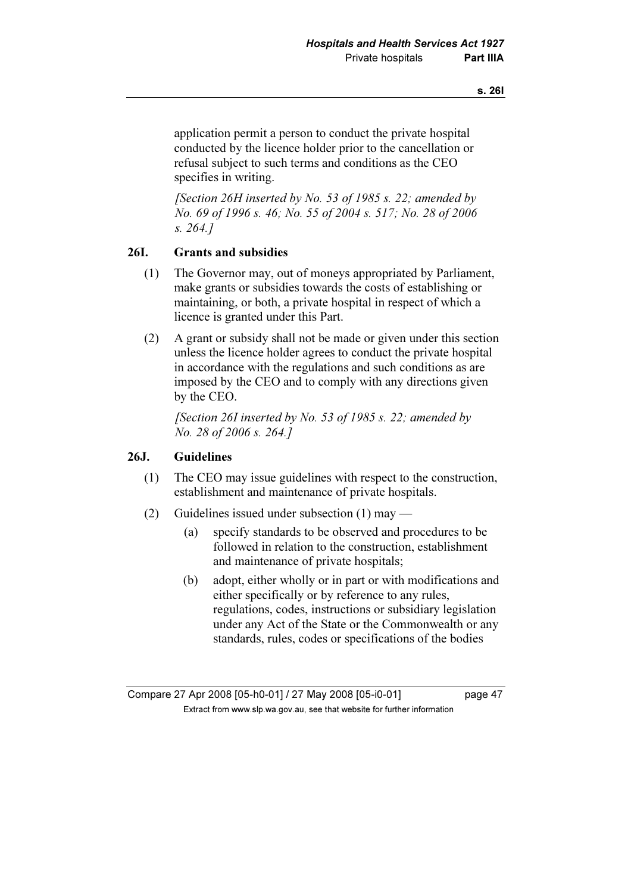application permit a person to conduct the private hospital conducted by the licence holder prior to the cancellation or refusal subject to such terms and conditions as the CEO specifies in writing.

[Section 26H inserted by No. 53 of 1985 s. 22; amended by No. 69 of 1996 s. 46; No. 55 of 2004 s. 517; No. 28 of 2006 s. 264.]

### 26I. Grants and subsidies

- (1) The Governor may, out of moneys appropriated by Parliament, make grants or subsidies towards the costs of establishing or maintaining, or both, a private hospital in respect of which a licence is granted under this Part.
- (2) A grant or subsidy shall not be made or given under this section unless the licence holder agrees to conduct the private hospital in accordance with the regulations and such conditions as are imposed by the CEO and to comply with any directions given by the CEO.

[Section 26I inserted by No. 53 of 1985 s. 22; amended by No. 28 of 2006 s. 264.]

### 26J. Guidelines

- (1) The CEO may issue guidelines with respect to the construction, establishment and maintenance of private hospitals.
- (2) Guidelines issued under subsection (1) may
	- (a) specify standards to be observed and procedures to be followed in relation to the construction, establishment and maintenance of private hospitals;
	- (b) adopt, either wholly or in part or with modifications and either specifically or by reference to any rules, regulations, codes, instructions or subsidiary legislation under any Act of the State or the Commonwealth or any standards, rules, codes or specifications of the bodies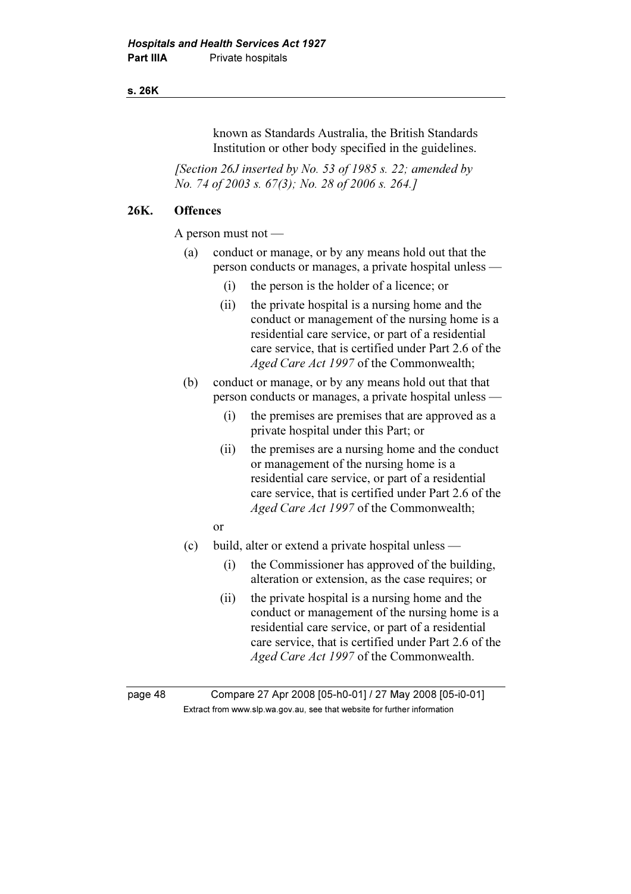#### s. 26K

known as Standards Australia, the British Standards Institution or other body specified in the guidelines.

[Section 26J inserted by No. 53 of 1985 s. 22; amended by No. 74 of 2003 s. 67(3); No. 28 of 2006 s. 264.]

## 26K. Offences

A person must not —

- (a) conduct or manage, or by any means hold out that the person conducts or manages, a private hospital unless —
	- (i) the person is the holder of a licence; or
	- (ii) the private hospital is a nursing home and the conduct or management of the nursing home is a residential care service, or part of a residential care service, that is certified under Part 2.6 of the Aged Care Act 1997 of the Commonwealth;
- (b) conduct or manage, or by any means hold out that that person conducts or manages, a private hospital unless —
	- (i) the premises are premises that are approved as a private hospital under this Part; or
	- (ii) the premises are a nursing home and the conduct or management of the nursing home is a residential care service, or part of a residential care service, that is certified under Part 2.6 of the Aged Care Act 1997 of the Commonwealth;
	- or
- (c) build, alter or extend a private hospital unless
	- (i) the Commissioner has approved of the building, alteration or extension, as the case requires; or
	- (ii) the private hospital is a nursing home and the conduct or management of the nursing home is a residential care service, or part of a residential care service, that is certified under Part 2.6 of the Aged Care Act 1997 of the Commonwealth.

page 48 Compare 27 Apr 2008 [05-h0-01] / 27 May 2008 [05-i0-01]  $\mathbf{F}$  from which was the set that we besite for further information  $\mathbf{F}$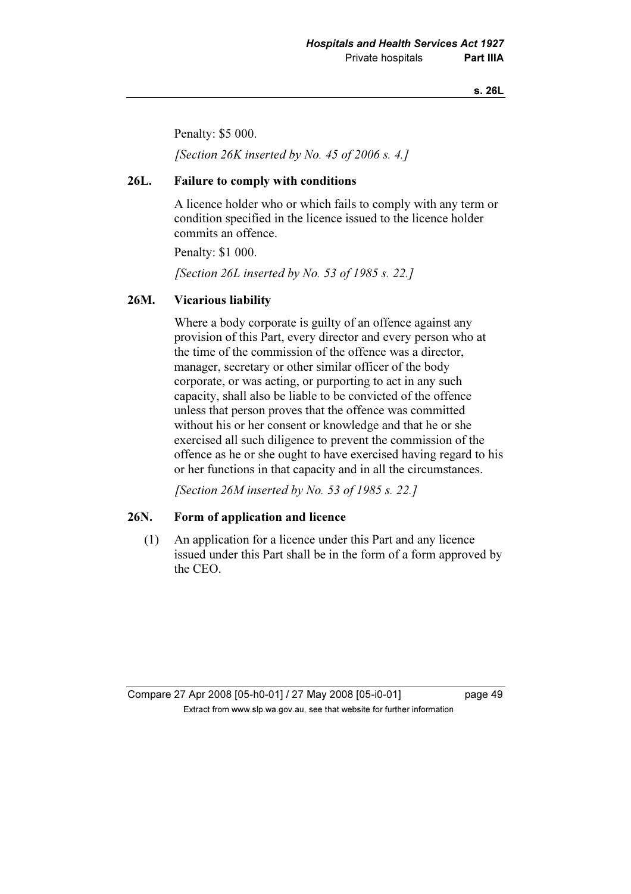#### s. 26L

Penalty: \$5 000.

[Section 26K inserted by No. 45 of 2006 s. 4.]

#### 26L. Failure to comply with conditions

 A licence holder who or which fails to comply with any term or condition specified in the licence issued to the licence holder commits an offence.

Penalty: \$1 000.

[Section 26L inserted by No. 53 of 1985 s. 22.]

### 26M. Vicarious liability

 Where a body corporate is guilty of an offence against any provision of this Part, every director and every person who at the time of the commission of the offence was a director, manager, secretary or other similar officer of the body corporate, or was acting, or purporting to act in any such capacity, shall also be liable to be convicted of the offence unless that person proves that the offence was committed without his or her consent or knowledge and that he or she exercised all such diligence to prevent the commission of the offence as he or she ought to have exercised having regard to his or her functions in that capacity and in all the circumstances.

[Section 26M inserted by No. 53 of 1985 s. 22.]

### 26N. Form of application and licence

 (1) An application for a licence under this Part and any licence issued under this Part shall be in the form of a form approved by the CEO.

## Compare 27 Apr 2008 [05-h0-01] / 27 May 2008 [05-i0-01] page 49  $\mathbf{F}$  from which was the set that we besite for further information  $\mathbf{F}$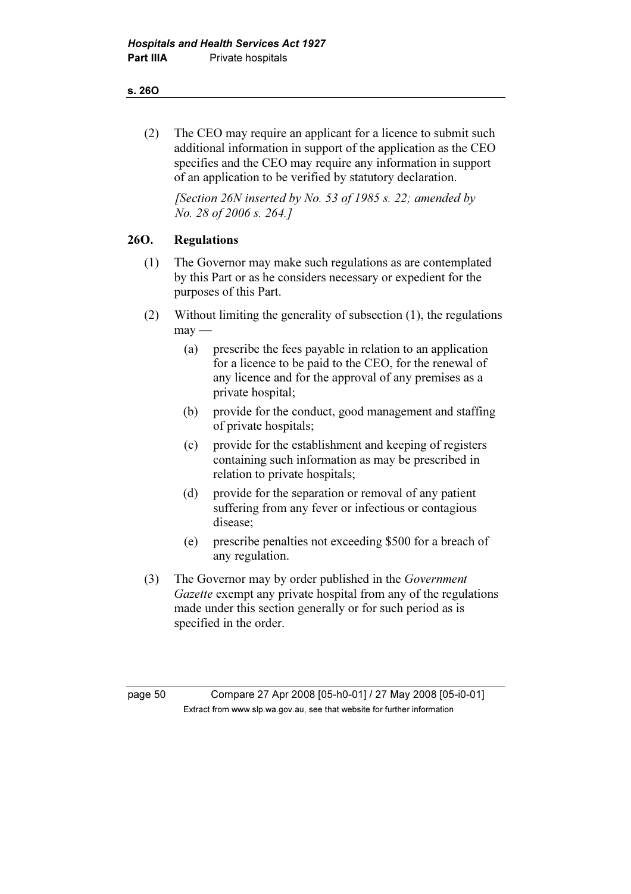#### s. 26O

 (2) The CEO may require an applicant for a licence to submit such additional information in support of the application as the CEO specifies and the CEO may require any information in support of an application to be verified by statutory declaration.

[Section 26N inserted by No. 53 of 1985 s. 22; amended by No. 28 of 2006 s. 264.]

## 26O. Regulations

- (1) The Governor may make such regulations as are contemplated by this Part or as he considers necessary or expedient for the purposes of this Part.
- (2) Without limiting the generality of subsection (1), the regulations  $may -$ 
	- (a) prescribe the fees payable in relation to an application for a licence to be paid to the CEO, for the renewal of any licence and for the approval of any premises as a private hospital;
	- (b) provide for the conduct, good management and staffing of private hospitals;
	- (c) provide for the establishment and keeping of registers containing such information as may be prescribed in relation to private hospitals;
	- (d) provide for the separation or removal of any patient suffering from any fever or infectious or contagious disease;
	- (e) prescribe penalties not exceeding \$500 for a breach of any regulation.
- (3) The Governor may by order published in the Government Gazette exempt any private hospital from any of the regulations made under this section generally or for such period as is specified in the order.

page 50 Compare 27 Apr 2008 [05-h0-01] / 27 May 2008 [05-i0-01]  $\mathbf{F}$  from which was the set that we besite for further information  $\mathbf{F}$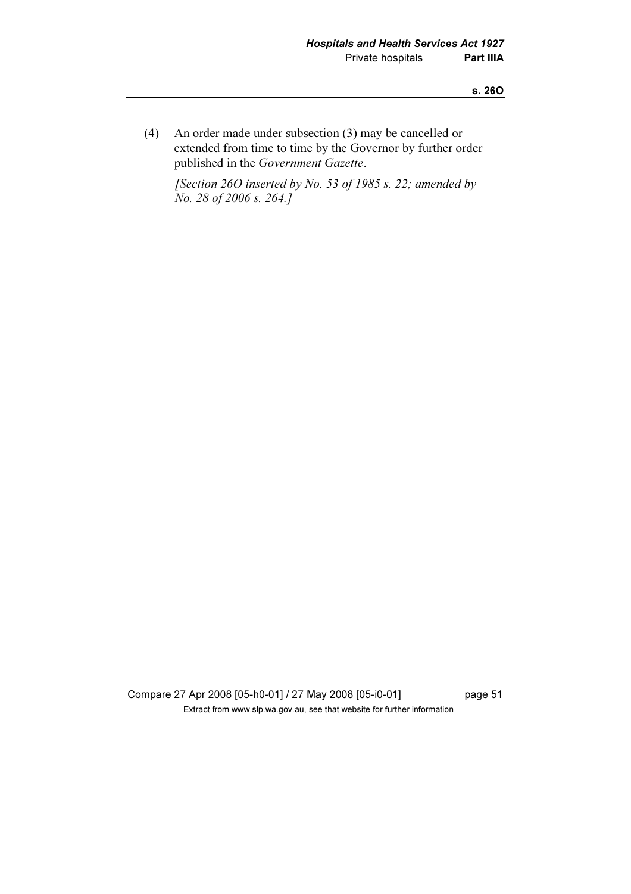(4) An order made under subsection (3) may be cancelled or extended from time to time by the Governor by further order published in the Government Gazette.

[Section 26O inserted by No. 53 of 1985 s. 22; amended by No. 28 of 2006 s. 264.]

Compare 27 Apr 2008 [05-h0-01] / 27 May 2008 [05-i0-01] page 51 Extract from www.slp.wa.gov.au, see that website for further information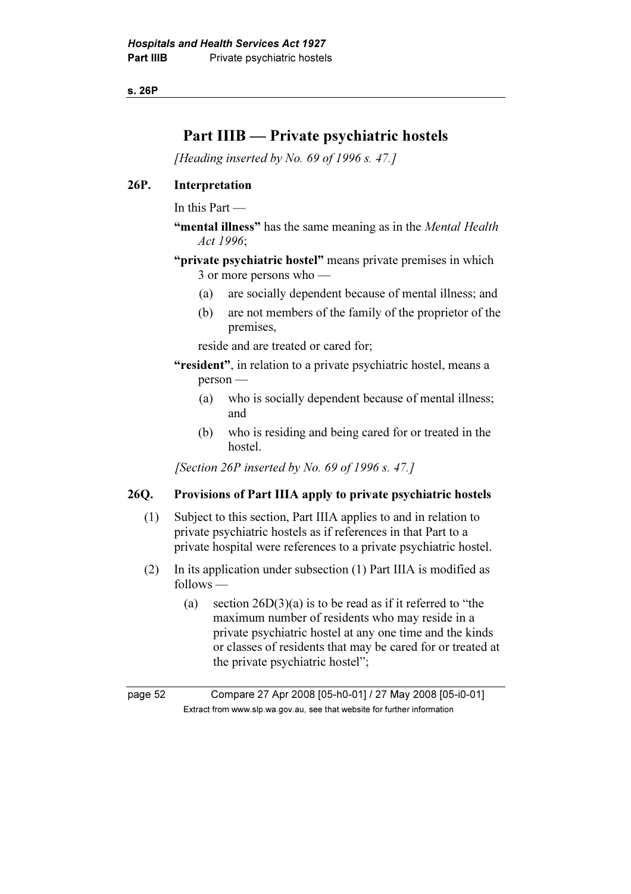s. 26P

# Part IIIB — Private psychiatric hostels

[Heading inserted by No. 69 of 1996 s. 47.]

### 26P. Interpretation

In this Part —

"mental illness" has the same meaning as in the *Mental Health* Act 1996;

"private psychiatric hostel" means private premises in which 3 or more persons who —

- (a) are socially dependent because of mental illness; and
- (b) are not members of the family of the proprietor of the premises,

reside and are treated or cared for;

"resident", in relation to a private psychiatric hostel, means a person —

- (a) who is socially dependent because of mental illness; and
- (b) who is residing and being cared for or treated in the hostel.

[Section 26P inserted by No. 69 of 1996 s. 47.]

## 26Q. Provisions of Part IIIA apply to private psychiatric hostels

- (1) Subject to this section, Part IIIA applies to and in relation to private psychiatric hostels as if references in that Part to a private hospital were references to a private psychiatric hostel.
- (2) In its application under subsection (1) Part IIIA is modified as follows —
	- (a) section  $26D(3)(a)$  is to be read as if it referred to "the maximum number of residents who may reside in a private psychiatric hostel at any one time and the kinds or classes of residents that may be cared for or treated at the private psychiatric hostel";

page 52 Compare 27 Apr 2008 [05-h0-01] / 27 May 2008 [05-i0-01]  $\mathbf{F}$  from which was the set that we besite for further information  $\mathbf{F}$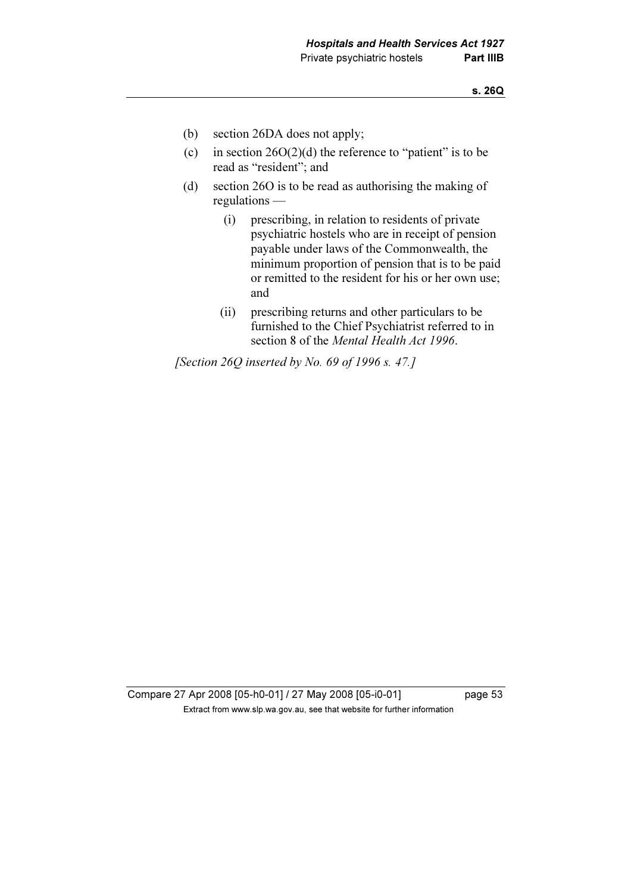- (b) section 26DA does not apply;
- (c) in section  $26O(2)(d)$  the reference to "patient" is to be read as "resident"; and
- (d) section 26O is to be read as authorising the making of regulations —
	- (i) prescribing, in relation to residents of private psychiatric hostels who are in receipt of pension payable under laws of the Commonwealth, the minimum proportion of pension that is to be paid or remitted to the resident for his or her own use; and
	- (ii) prescribing returns and other particulars to be furnished to the Chief Psychiatrist referred to in section 8 of the Mental Health Act 1996.

[Section 26Q inserted by No. 69 of 1996 s. 47.]

Compare 27 Apr 2008 [05-h0-01] / 27 May 2008 [05-i0-01] page 53  $\mathbf{F}$  from which was the set that we besite for further information  $\mathbf{F}$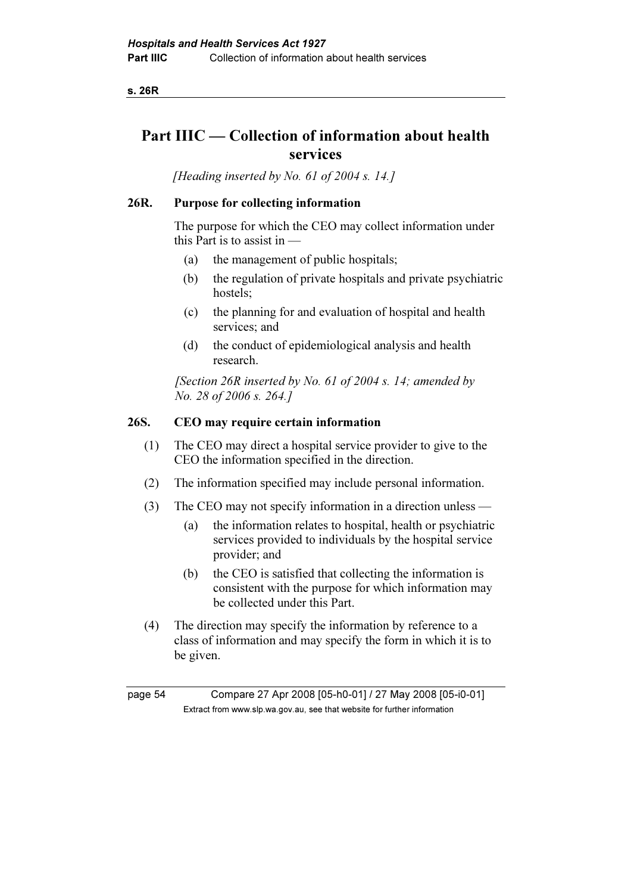s. 26R

# Part IIIC — Collection of information about health services

[Heading inserted by No. 61 of 2004 s. 14.]

### 26R. Purpose for collecting information

 The purpose for which the CEO may collect information under this Part is to assist in —

- (a) the management of public hospitals;
- (b) the regulation of private hospitals and private psychiatric hostels;
- (c) the planning for and evaluation of hospital and health services; and
- (d) the conduct of epidemiological analysis and health research.

[Section 26R inserted by No. 61 of 2004 s. 14; amended by No. 28 of 2006 s. 264.]

### 26S. CEO may require certain information

- (1) The CEO may direct a hospital service provider to give to the CEO the information specified in the direction.
- (2) The information specified may include personal information.
- (3) The CEO may not specify information in a direction unless
	- (a) the information relates to hospital, health or psychiatric services provided to individuals by the hospital service provider; and
	- (b) the CEO is satisfied that collecting the information is consistent with the purpose for which information may be collected under this Part.
- (4) The direction may specify the information by reference to a class of information and may specify the form in which it is to be given.

page 54 Compare 27 Apr 2008 [05-h0-01] / 27 May 2008 [05-i0-01]  $\mathbf{F}$  from which was the set that we besite for further information  $\mathbf{F}$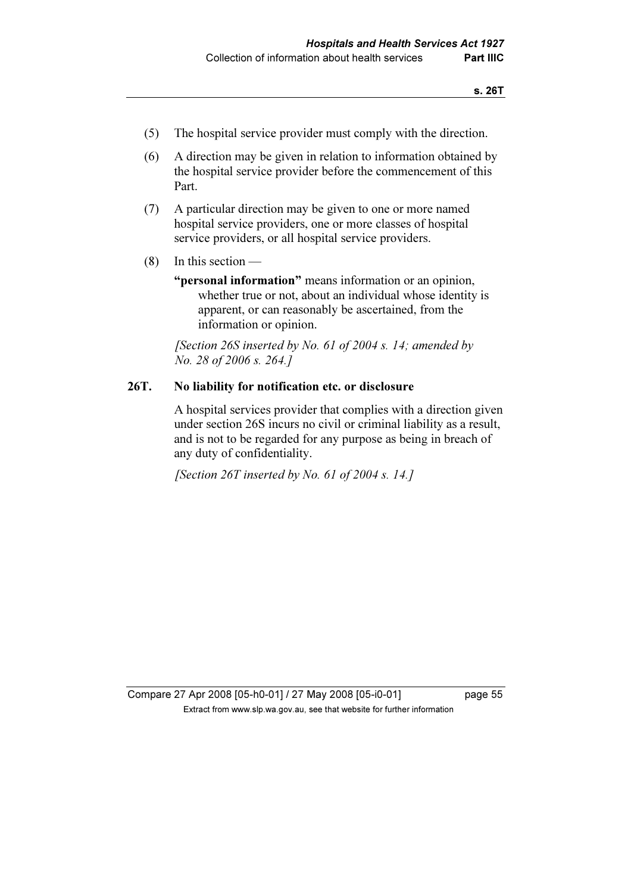- (5) The hospital service provider must comply with the direction.
- (6) A direction may be given in relation to information obtained by the hospital service provider before the commencement of this Part.
- (7) A particular direction may be given to one or more named hospital service providers, one or more classes of hospital service providers, or all hospital service providers.
- (8) In this section
	- "**personal information**" means information or an opinion, whether true or not, about an individual whose identity is apparent, or can reasonably be ascertained, from the information or opinion.

[Section 26S inserted by No. 61 of 2004 s. 14; amended by No. 28 of 2006 s. 264.]

#### 26T. No liability for notification etc. or disclosure

 A hospital services provider that complies with a direction given under section 26S incurs no civil or criminal liability as a result, and is not to be regarded for any purpose as being in breach of any duty of confidentiality.

[Section 26T inserted by No. 61 of 2004 s. 14.]

Compare 27 Apr 2008 [05-h0-01] / 27 May 2008 [05-i0-01] page 55 Extract from www.slp.wa.gov.au, see that website for further information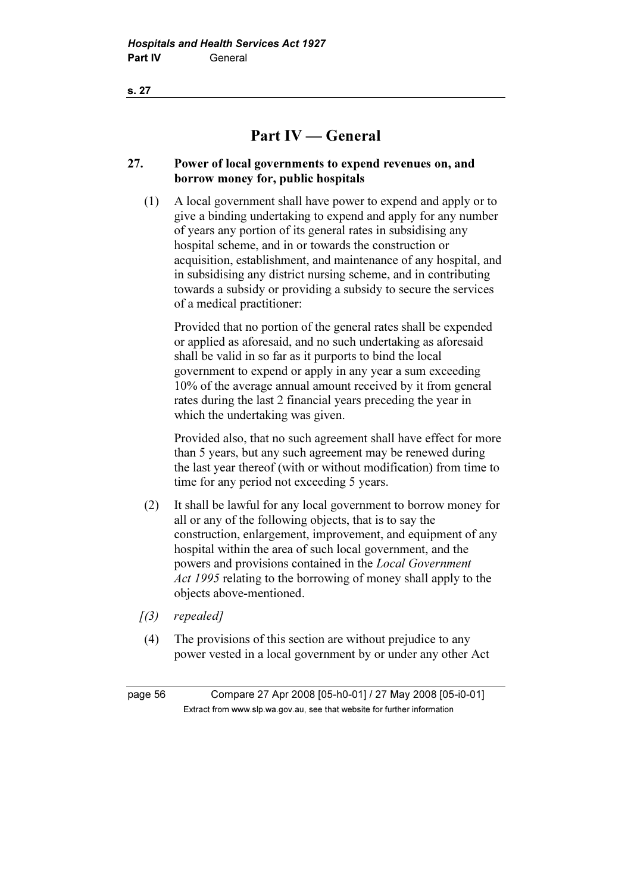s. 27

# Part IV — General

## 27. Power of local governments to expend revenues on, and borrow money for, public hospitals

 (1) A local government shall have power to expend and apply or to give a binding undertaking to expend and apply for any number of years any portion of its general rates in subsidising any hospital scheme, and in or towards the construction or acquisition, establishment, and maintenance of any hospital, and in subsidising any district nursing scheme, and in contributing towards a subsidy or providing a subsidy to secure the services of a medical practitioner:

 Provided that no portion of the general rates shall be expended or applied as aforesaid, and no such undertaking as aforesaid shall be valid in so far as it purports to bind the local government to expend or apply in any year a sum exceeding 10% of the average annual amount received by it from general rates during the last 2 financial years preceding the year in which the undertaking was given.

 Provided also, that no such agreement shall have effect for more than 5 years, but any such agreement may be renewed during the last year thereof (with or without modification) from time to time for any period not exceeding 5 years.

- (2) It shall be lawful for any local government to borrow money for all or any of the following objects, that is to say the construction, enlargement, improvement, and equipment of any hospital within the area of such local government, and the powers and provisions contained in the Local Government Act 1995 relating to the borrowing of money shall apply to the objects above-mentioned.
- $(3)$  repealed]
- (4) The provisions of this section are without prejudice to any power vested in a local government by or under any other Act

page 56 Compare 27 Apr 2008 [05-h0-01] / 27 May 2008 [05-i0-01]  $\mathbf{F}$  from which was the set that we besite for further information  $\mathbf{F}$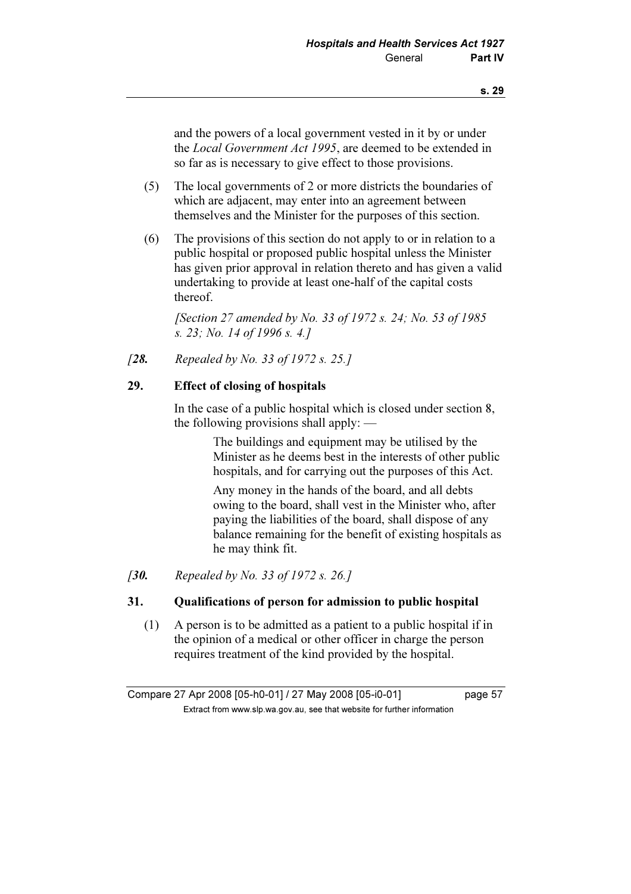and the powers of a local government vested in it by or under the Local Government Act 1995, are deemed to be extended in so far as is necessary to give effect to those provisions.

- (5) The local governments of 2 or more districts the boundaries of which are adjacent, may enter into an agreement between themselves and the Minister for the purposes of this section.
- (6) The provisions of this section do not apply to or in relation to a public hospital or proposed public hospital unless the Minister has given prior approval in relation thereto and has given a valid undertaking to provide at least one-half of the capital costs thereof.

[Section 27 amended by No. 33 of 1972 s. 24; No. 53 of 1985] s. 23; No. 14 of 1996 s. 4.]

[28. Repealed by No. 33 of 1972 s. 25.]

#### 29. Effect of closing of hospitals

 In the case of a public hospital which is closed under section 8, the following provisions shall apply: —

> The buildings and equipment may be utilised by the Minister as he deems best in the interests of other public hospitals, and for carrying out the purposes of this Act.

> Any money in the hands of the board, and all debts owing to the board, shall vest in the Minister who, after paying the liabilities of the board, shall dispose of any balance remaining for the benefit of existing hospitals as he may think fit.

[30. Repealed by No. 33 of 1972 s. 26.]

### 31. Qualifications of person for admission to public hospital

 (1) A person is to be admitted as a patient to a public hospital if in the opinion of a medical or other officer in charge the person requires treatment of the kind provided by the hospital.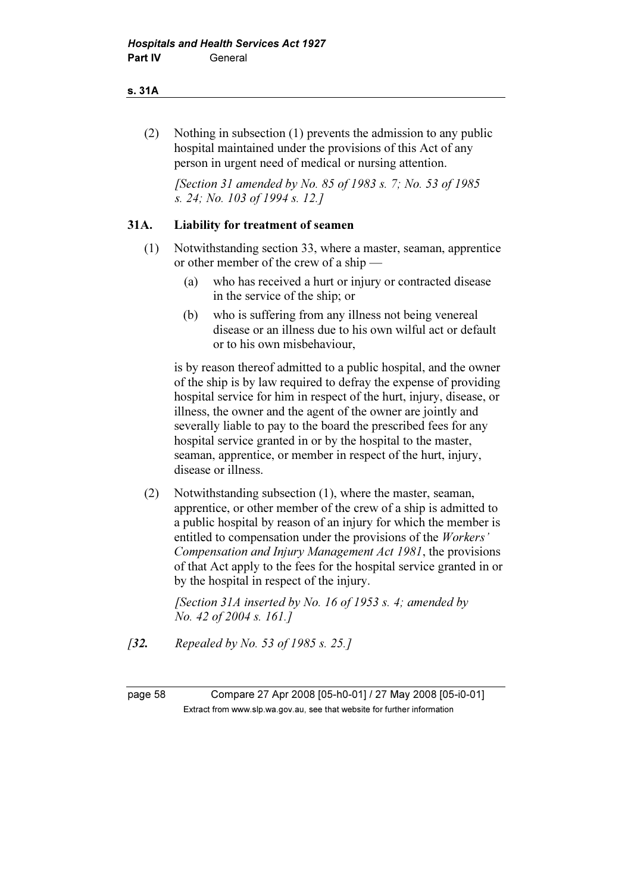#### s. 31A

 (2) Nothing in subsection (1) prevents the admission to any public hospital maintained under the provisions of this Act of any person in urgent need of medical or nursing attention.

 [Section 31 amended by No. 85 of 1983 s. 7; No. 53 of 1985 s. 24; No. 103 of 1994 s. 12.]

### 31A. Liability for treatment of seamen

- (1) Notwithstanding section 33, where a master, seaman, apprentice or other member of the crew of a ship —
	- (a) who has received a hurt or injury or contracted disease in the service of the ship; or
	- (b) who is suffering from any illness not being venereal disease or an illness due to his own wilful act or default or to his own misbehaviour,

 is by reason thereof admitted to a public hospital, and the owner of the ship is by law required to defray the expense of providing hospital service for him in respect of the hurt, injury, disease, or illness, the owner and the agent of the owner are jointly and severally liable to pay to the board the prescribed fees for any hospital service granted in or by the hospital to the master, seaman, apprentice, or member in respect of the hurt, injury, disease or illness.

 (2) Notwithstanding subsection (1), where the master, seaman, apprentice, or other member of the crew of a ship is admitted to a public hospital by reason of an injury for which the member is entitled to compensation under the provisions of the Workers' Compensation and Injury Management Act 1981, the provisions of that Act apply to the fees for the hospital service granted in or by the hospital in respect of the injury.

[Section 31A inserted by No. 16 of 1953 s. 4; amended by No. 42 of 2004 s. 161.]

[**32.** Repealed by No. 53 of 1985 s. 25.]

page 58 Compare 27 Apr 2008 [05-h0-01] / 27 May 2008 [05-i0-01]  $\mathbf{F}$  from which was the set that we besite for further information  $\mathbf{F}$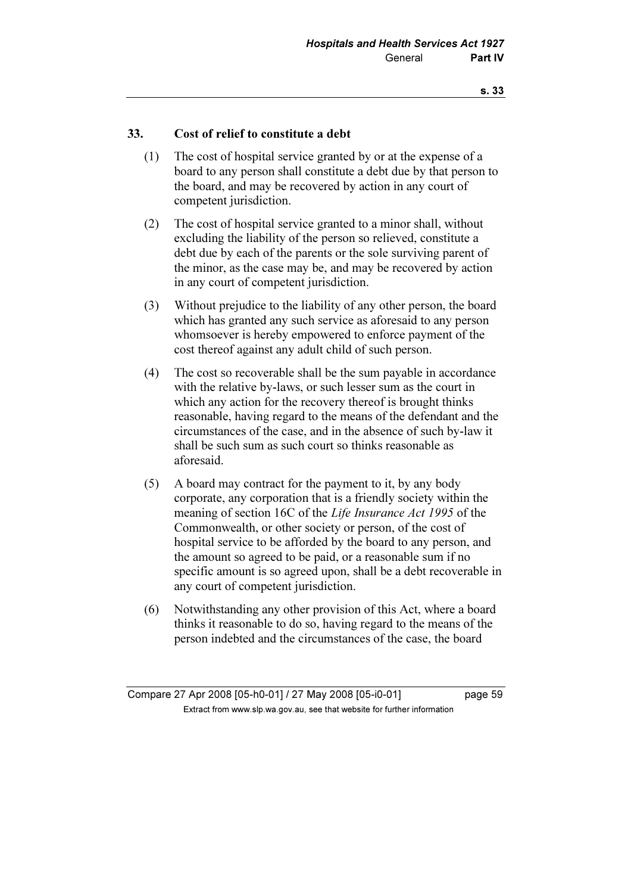### 33. Cost of relief to constitute a debt

- (1) The cost of hospital service granted by or at the expense of a board to any person shall constitute a debt due by that person to the board, and may be recovered by action in any court of competent jurisdiction.
- (2) The cost of hospital service granted to a minor shall, without excluding the liability of the person so relieved, constitute a debt due by each of the parents or the sole surviving parent of the minor, as the case may be, and may be recovered by action in any court of competent jurisdiction.
- (3) Without prejudice to the liability of any other person, the board which has granted any such service as aforesaid to any person whomsoever is hereby empowered to enforce payment of the cost thereof against any adult child of such person.
- (4) The cost so recoverable shall be the sum payable in accordance with the relative by-laws, or such lesser sum as the court in which any action for the recovery thereof is brought thinks reasonable, having regard to the means of the defendant and the circumstances of the case, and in the absence of such by-law it shall be such sum as such court so thinks reasonable as aforesaid.
- (5) A board may contract for the payment to it, by any body corporate, any corporation that is a friendly society within the meaning of section 16C of the Life Insurance Act 1995 of the Commonwealth, or other society or person, of the cost of hospital service to be afforded by the board to any person, and the amount so agreed to be paid, or a reasonable sum if no specific amount is so agreed upon, shall be a debt recoverable in any court of competent jurisdiction.
- (6) Notwithstanding any other provision of this Act, where a board thinks it reasonable to do so, having regard to the means of the person indebted and the circumstances of the case, the board

Compare 27 Apr 2008 [05-h0-01] / 27 May 2008 [05-i0-01] page 59  $\mathbf{F}$  from which was the set that we besite for further information  $\mathbf{F}$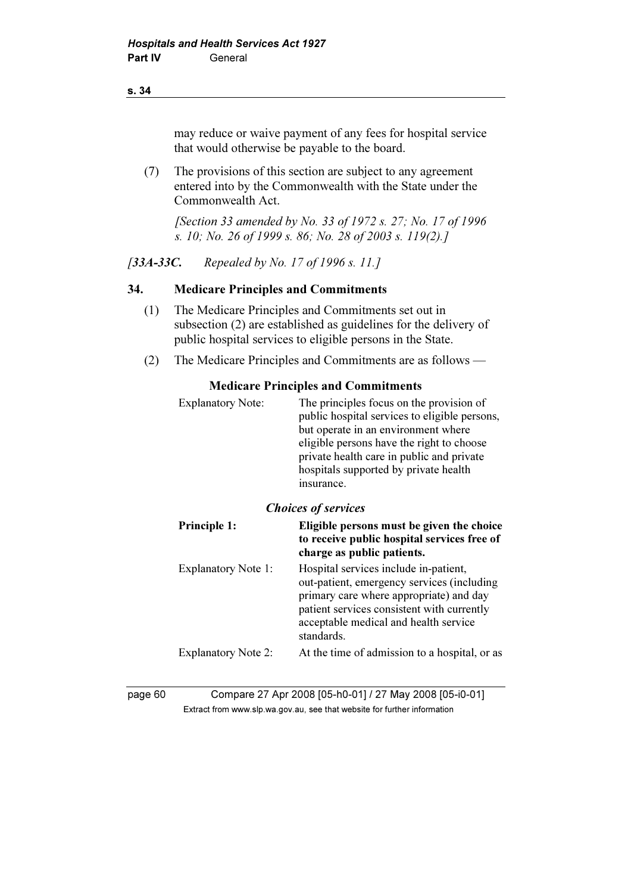#### s. 34

may reduce or waive payment of any fees for hospital service that would otherwise be payable to the board.

 (7) The provisions of this section are subject to any agreement entered into by the Commonwealth with the State under the Commonwealth Act.

[Section 33 amended by No. 33 of 1972 s. 27; No. 17 of 1996] s. 10; No. 26 of 1999 s. 86; No. 28 of 2003 s. 119(2).]

### [33A-33C. Repealed by No. 17 of 1996 s. 11.]

#### 34. Medicare Principles and Commitments

- (1) The Medicare Principles and Commitments set out in subsection (2) are established as guidelines for the delivery of public hospital services to eligible persons in the State.
- (2) The Medicare Principles and Commitments are as follows —

#### Medicare Principles and Commitments

| <b>Explanatory Note:</b>   | The principles focus on the provision of<br>public hospital services to eligible persons,<br>but operate in an environment where<br>eligible persons have the right to choose<br>private health care in public and private<br>hospitals supported by private health<br>insurance. |
|----------------------------|-----------------------------------------------------------------------------------------------------------------------------------------------------------------------------------------------------------------------------------------------------------------------------------|
| <b>Choices of services</b> |                                                                                                                                                                                                                                                                                   |
| <b>Principle 1:</b>        | Eligible persons must be given the choice<br>to receive public hospital services free of<br>charge as public patients.                                                                                                                                                            |
| <b>Explanatory Note 1:</b> | Hospital services include in-patient,<br>out-patient, emergency services (including<br>primary care where appropriate) and day<br>patient services consistent with currently<br>acceptable medical and health service<br>standards.                                               |

page 60 Compare 27 Apr 2008 [05-h0-01] / 27 May 2008 [05-i0-01]  $\mathbf{F}$  from which was the set that we besite for further information  $\mathbf{F}$ 

Explanatory Note 2: At the time of admission to a hospital, or as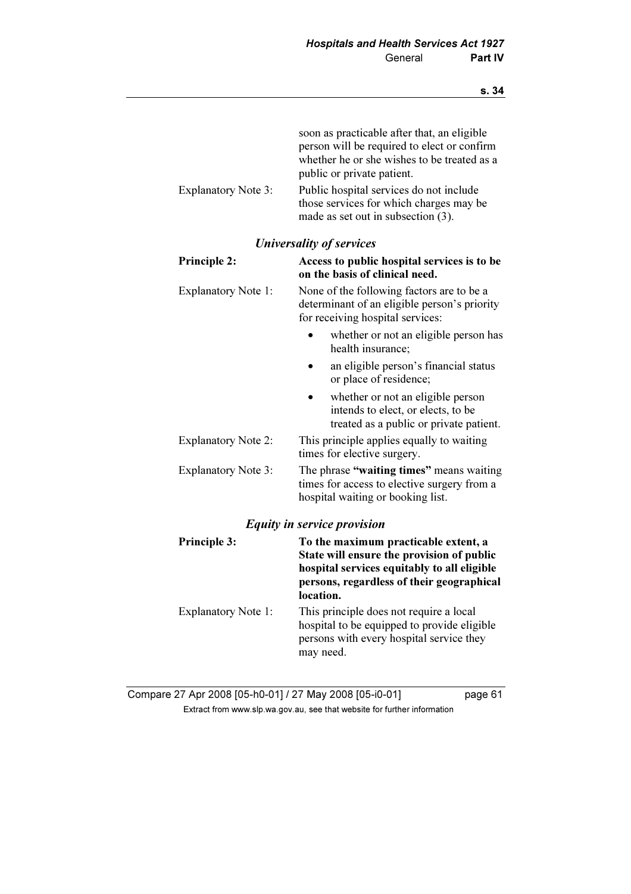|                            | soon as practicable after that, an eligible<br>person will be required to elect or confirm<br>whether he or she wishes to be treated as a<br>public or private patient.                    |  |  |
|----------------------------|--------------------------------------------------------------------------------------------------------------------------------------------------------------------------------------------|--|--|
| <b>Explanatory Note 3:</b> | Public hospital services do not include<br>those services for which charges may be<br>made as set out in subsection (3).                                                                   |  |  |
|                            | <b>Universality of services</b>                                                                                                                                                            |  |  |
| Principle 2:               | Access to public hospital services is to be<br>on the basis of clinical need.                                                                                                              |  |  |
| <b>Explanatory Note 1:</b> | None of the following factors are to be a<br>determinant of an eligible person's priority<br>for receiving hospital services:                                                              |  |  |
|                            | whether or not an eligible person has<br>health insurance:                                                                                                                                 |  |  |
|                            | an eligible person's financial status<br>or place of residence;                                                                                                                            |  |  |
|                            | whether or not an eligible person<br>intends to elect, or elects, to be<br>treated as a public or private patient.                                                                         |  |  |
| <b>Explanatory Note 2:</b> | This principle applies equally to waiting<br>times for elective surgery.                                                                                                                   |  |  |
| <b>Explanatory Note 3:</b> | The phrase "waiting times" means waiting<br>times for access to elective surgery from a<br>hospital waiting or booking list.                                                               |  |  |
|                            | <b>Equity in service provision</b>                                                                                                                                                         |  |  |
| <b>Principle 3:</b>        | To the maximum practicable extent, a<br>State will ensure the provision of public<br>hospital services equitably to all eligible<br>persons, regardless of their geographical<br>location. |  |  |
| <b>Explanatory Note 1:</b> | This principle does not require a local<br>hospital to be equipped to provide eligible<br>persons with every hospital service they<br>may need.                                            |  |  |

Compare 27 Apr 2008 [05-h0-01] / 27 May 2008 [05-i0-01] page 61 Extract from www.slp.wa.gov.au, see that website for further information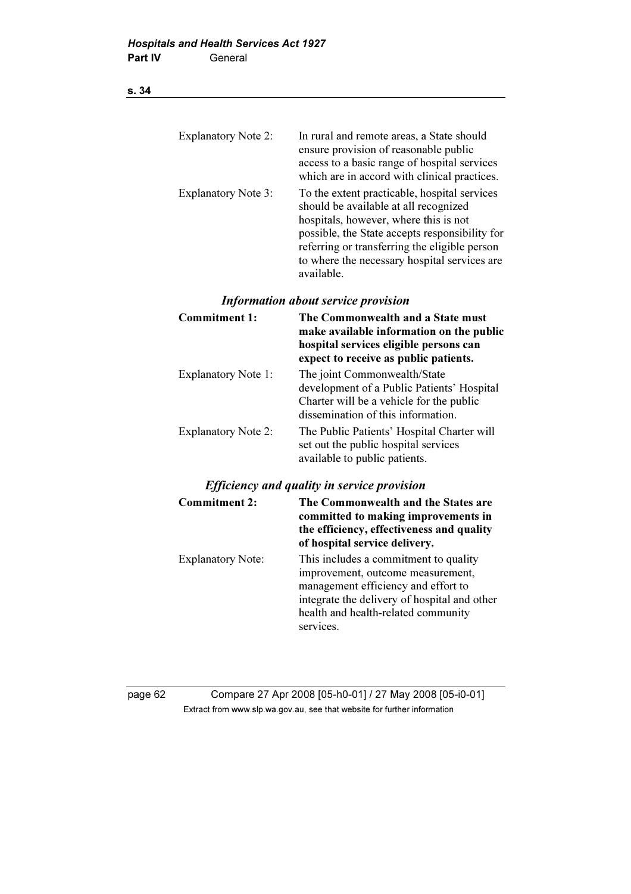## s. 34

| <b>Explanatory Note 2:</b> | In rural and remote areas, a State should<br>ensure provision of reasonable public<br>access to a basic range of hospital services<br>which are in accord with clinical practices.                                                                                                              |
|----------------------------|-------------------------------------------------------------------------------------------------------------------------------------------------------------------------------------------------------------------------------------------------------------------------------------------------|
| <b>Explanatory Note 3:</b> | To the extent practicable, hospital services<br>should be available at all recognized<br>hospitals, however, where this is not<br>possible, the State accepts responsibility for<br>referring or transferring the eligible person<br>to where the necessary hospital services are<br>available. |
|                            | <b>Information about service provision</b>                                                                                                                                                                                                                                                      |
| <b>Commitment 1:</b>       | The Commonwealth and a State must<br>make available information on the public                                                                                                                                                                                                                   |

|                            | make available information on the public<br>hospital services eligible persons can<br>expect to receive as public patients.                                  |
|----------------------------|--------------------------------------------------------------------------------------------------------------------------------------------------------------|
| <b>Explanatory Note 1:</b> | The joint Commonwealth/State<br>development of a Public Patients' Hospital<br>Charter will be a vehicle for the public<br>dissemination of this information. |
| <b>Explanatory Note 2:</b> | The Public Patients' Hospital Charter will<br>set out the public hospital services<br>available to public patients.                                          |

### Efficiency and quality in service provision

| <b>Commitment 2:</b>     | The Commonwealth and the States are<br>committed to making improvements in<br>the efficiency, effectiveness and quality<br>of hospital service delivery.                                                              |
|--------------------------|-----------------------------------------------------------------------------------------------------------------------------------------------------------------------------------------------------------------------|
| <b>Explanatory Note:</b> | This includes a commitment to quality<br>improvement, outcome measurement,<br>management efficiency and effort to<br>integrate the delivery of hospital and other<br>health and health-related community<br>services. |

page 62 Compare 27 Apr 2008 [05-h0-01] / 27 May 2008 [05-i0-01] Extract from www.slp.wa.gov.au, see that website for further information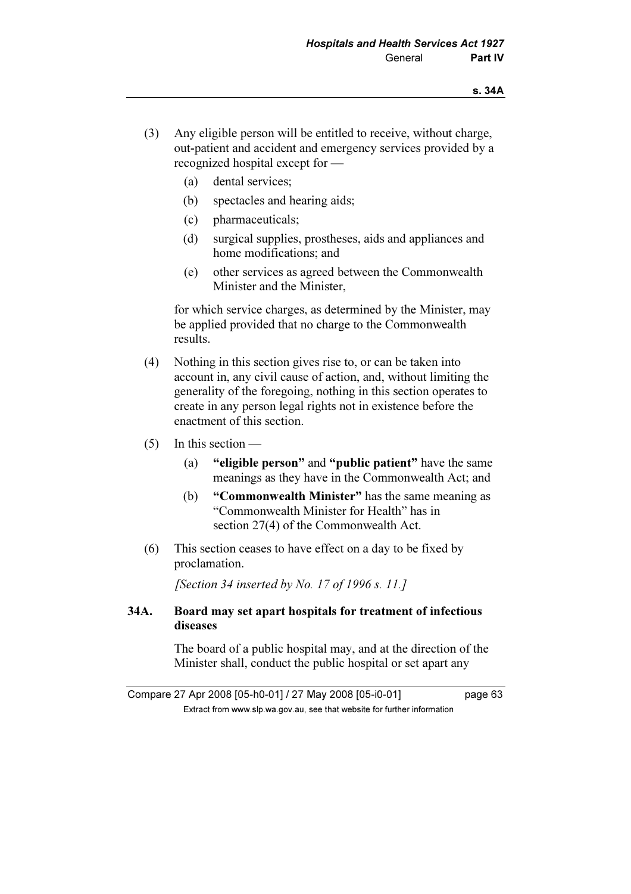- (3) Any eligible person will be entitled to receive, without charge, out-patient and accident and emergency services provided by a recognized hospital except for —
	- (a) dental services;
	- (b) spectacles and hearing aids;
	- (c) pharmaceuticals;
	- (d) surgical supplies, prostheses, aids and appliances and home modifications; and
	- (e) other services as agreed between the Commonwealth Minister and the Minister,

 for which service charges, as determined by the Minister, may be applied provided that no charge to the Commonwealth results.

- (4) Nothing in this section gives rise to, or can be taken into account in, any civil cause of action, and, without limiting the generality of the foregoing, nothing in this section operates to create in any person legal rights not in existence before the enactment of this section.
- $(5)$  In this section
	- (a) "eligible person" and "public patient" have the same meanings as they have in the Commonwealth Act; and
	- (b) "Commonwealth Minister" has the same meaning as "Commonwealth Minister for Health" has in section 27(4) of the Commonwealth Act.
- (6) This section ceases to have effect on a day to be fixed by proclamation.

[Section 34 inserted by No. 17 of 1996 s. 11.]

### 34A. Board may set apart hospitals for treatment of infectious diseases

 The board of a public hospital may, and at the direction of the Minister shall, conduct the public hospital or set apart any

Compare 27 Apr 2008 [05-h0-01] / 27 May 2008 [05-i0-01] page 63  $\mathbf{F}$  from which was the set that we besite for further information  $\mathbf{F}$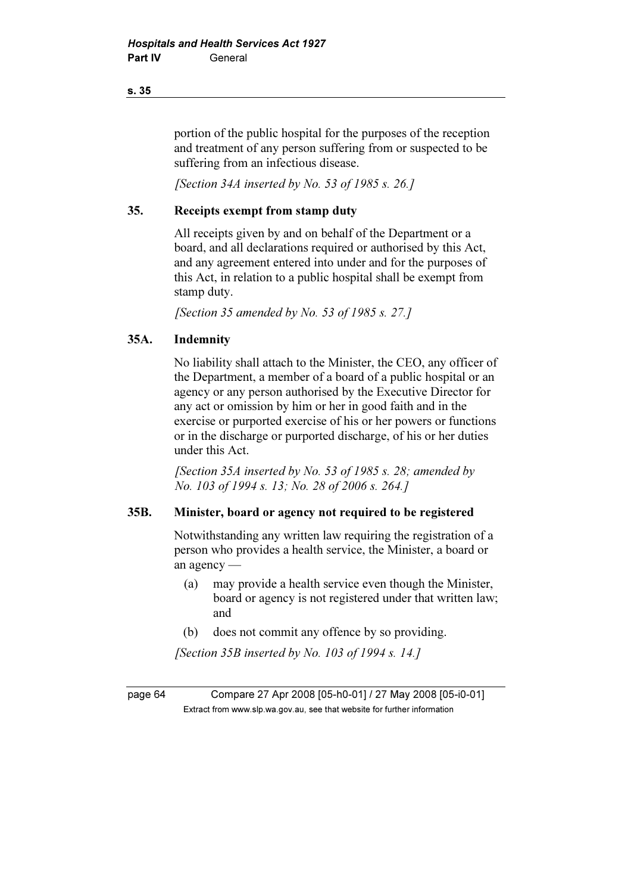portion of the public hospital for the purposes of the reception and treatment of any person suffering from or suspected to be suffering from an infectious disease.

[Section 34A inserted by No. 53 of 1985 s. 26.]

### 35. Receipts exempt from stamp duty

 All receipts given by and on behalf of the Department or a board, and all declarations required or authorised by this Act, and any agreement entered into under and for the purposes of this Act, in relation to a public hospital shall be exempt from stamp duty.

[Section 35 amended by No. 53 of 1985 s. 27.]

### 35A. Indemnity

 No liability shall attach to the Minister, the CEO, any officer of the Department, a member of a board of a public hospital or an agency or any person authorised by the Executive Director for any act or omission by him or her in good faith and in the exercise or purported exercise of his or her powers or functions or in the discharge or purported discharge, of his or her duties under this Act.

 [Section 35A inserted by No. 53 of 1985 s. 28; amended by No. 103 of 1994 s. 13; No. 28 of 2006 s. 264.]

### 35B. Minister, board or agency not required to be registered

 Notwithstanding any written law requiring the registration of a person who provides a health service, the Minister, a board or an agency —

- (a) may provide a health service even though the Minister, board or agency is not registered under that written law; and
- (b) does not commit any offence by so providing.

[Section 35B inserted by No. 103 of 1994 s. 14.]

page 64 Compare 27 Apr 2008 [05-h0-01] / 27 May 2008 [05-i0-01]  $\mathbf{F}$  from which was the set that we besite for further information  $\mathbf{F}$ 

s. 35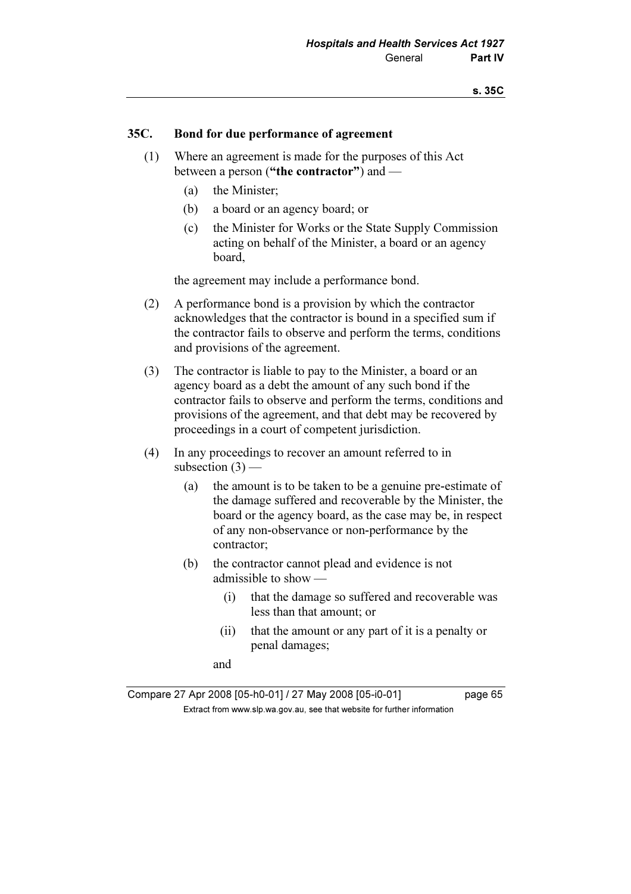#### 35C. Bond for due performance of agreement

- (1) Where an agreement is made for the purposes of this Act between a person ("the contractor") and —
	- (a) the Minister;
	- (b) a board or an agency board; or
	- (c) the Minister for Works or the State Supply Commission acting on behalf of the Minister, a board or an agency board,

the agreement may include a performance bond.

- (2) A performance bond is a provision by which the contractor acknowledges that the contractor is bound in a specified sum if the contractor fails to observe and perform the terms, conditions and provisions of the agreement.
- (3) The contractor is liable to pay to the Minister, a board or an agency board as a debt the amount of any such bond if the contractor fails to observe and perform the terms, conditions and provisions of the agreement, and that debt may be recovered by proceedings in a court of competent jurisdiction.
- (4) In any proceedings to recover an amount referred to in subsection  $(3)$  —
	- (a) the amount is to be taken to be a genuine pre-estimate of the damage suffered and recoverable by the Minister, the board or the agency board, as the case may be, in respect of any non-observance or non-performance by the contractor;
	- (b) the contractor cannot plead and evidence is not admissible to show —
		- (i) that the damage so suffered and recoverable was less than that amount; or
		- (ii) that the amount or any part of it is a penalty or penal damages;

and

Compare 27 Apr 2008 [05-h0-01] / 27 May 2008 [05-i0-01] page 65  $\mathbf{F}$  from which was the set that we besite for further information  $\mathbf{F}$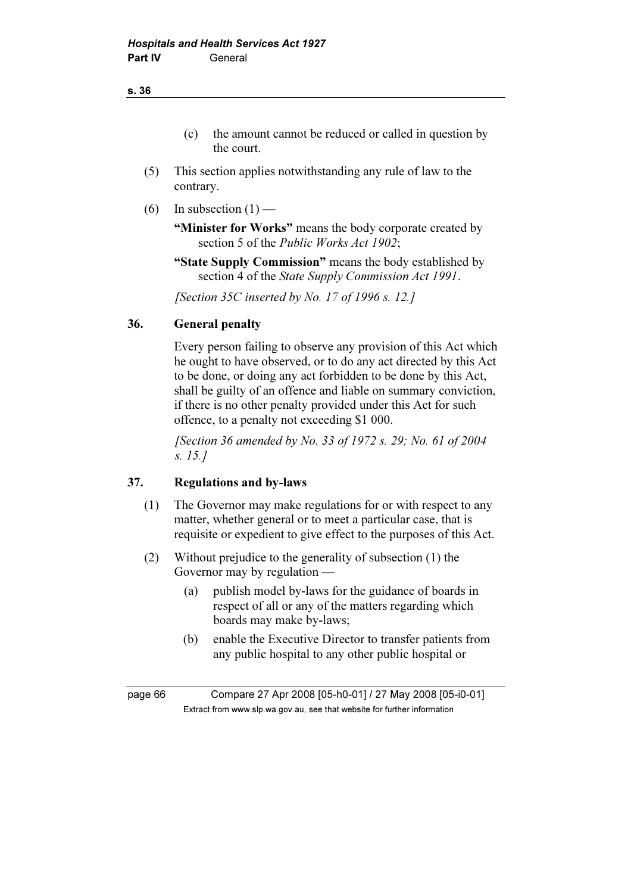- (5) This section applies notwithstanding any rule of law to the contrary.
- (6) In subsection  $(1)$  —

"Minister for Works" means the body corporate created by section 5 of the *Public Works Act 1902*;

 "State Supply Commission" means the body established by section 4 of the State Supply Commission Act 1991.

[Section 35C inserted by No. 17 of 1996 s. 12.]

### 36. General penalty

 Every person failing to observe any provision of this Act which he ought to have observed, or to do any act directed by this Act to be done, or doing any act forbidden to be done by this Act, shall be guilty of an offence and liable on summary conviction, if there is no other penalty provided under this Act for such offence, to a penalty not exceeding \$1 000.

[Section 36 amended by No. 33 of 1972 s. 29; No. 61 of 2004] s. 15.]

## 37. Regulations and by-laws

- (1) The Governor may make regulations for or with respect to any matter, whether general or to meet a particular case, that is requisite or expedient to give effect to the purposes of this Act.
- (2) Without prejudice to the generality of subsection (1) the Governor may by regulation —
	- (a) publish model by-laws for the guidance of boards in respect of all or any of the matters regarding which boards may make by-laws;
	- (b) enable the Executive Director to transfer patients from any public hospital to any other public hospital or

page 66 Compare 27 Apr 2008 [05-h0-01] / 27 May 2008 [05-i0-01]  $\mathbf{F}$  from which was the set that we besite for further information  $\mathbf{F}$ 

#### s. 36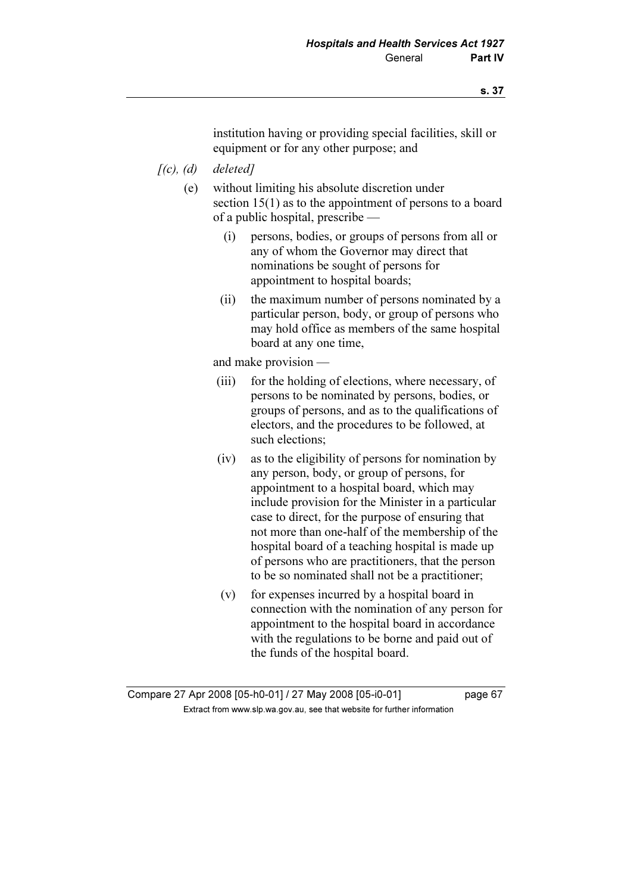institution having or providing special facilities, skill or equipment or for any other purpose; and

- $[(c), (d)$  deleted]
	- (e) without limiting his absolute discretion under section 15(1) as to the appointment of persons to a board of a public hospital, prescribe —
		- (i) persons, bodies, or groups of persons from all or any of whom the Governor may direct that nominations be sought of persons for appointment to hospital boards;
		- (ii) the maximum number of persons nominated by a particular person, body, or group of persons who may hold office as members of the same hospital board at any one time,

and make provision —

- (iii) for the holding of elections, where necessary, of persons to be nominated by persons, bodies, or groups of persons, and as to the qualifications of electors, and the procedures to be followed, at such elections;
- (iv) as to the eligibility of persons for nomination by any person, body, or group of persons, for appointment to a hospital board, which may include provision for the Minister in a particular case to direct, for the purpose of ensuring that not more than one-half of the membership of the hospital board of a teaching hospital is made up of persons who are practitioners, that the person to be so nominated shall not be a practitioner;
- (v) for expenses incurred by a hospital board in connection with the nomination of any person for appointment to the hospital board in accordance with the regulations to be borne and paid out of the funds of the hospital board.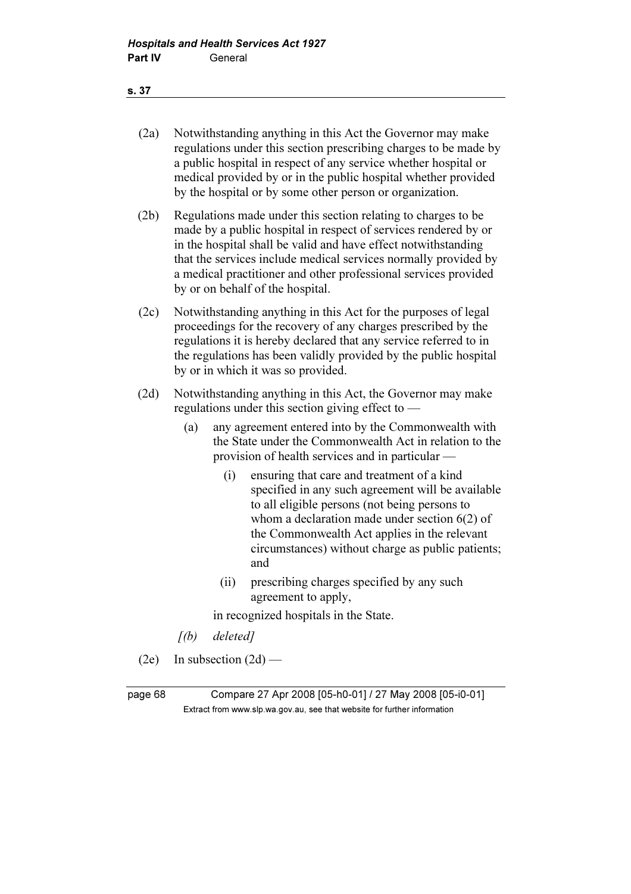#### s. 37

- (2a) Notwithstanding anything in this Act the Governor may make regulations under this section prescribing charges to be made by a public hospital in respect of any service whether hospital or medical provided by or in the public hospital whether provided by the hospital or by some other person or organization.
- (2b) Regulations made under this section relating to charges to be made by a public hospital in respect of services rendered by or in the hospital shall be valid and have effect notwithstanding that the services include medical services normally provided by a medical practitioner and other professional services provided by or on behalf of the hospital.
- (2c) Notwithstanding anything in this Act for the purposes of legal proceedings for the recovery of any charges prescribed by the regulations it is hereby declared that any service referred to in the regulations has been validly provided by the public hospital by or in which it was so provided.
- (2d) Notwithstanding anything in this Act, the Governor may make regulations under this section giving effect to —
	- (a) any agreement entered into by the Commonwealth with the State under the Commonwealth Act in relation to the provision of health services and in particular —
		- (i) ensuring that care and treatment of a kind specified in any such agreement will be available to all eligible persons (not being persons to whom a declaration made under section 6(2) of the Commonwealth Act applies in the relevant circumstances) without charge as public patients; and
		- (ii) prescribing charges specified by any such agreement to apply,

in recognized hospitals in the State.

- [(b) deleted]
- $(2e)$  In subsection  $(2d)$  —

page 68 Compare 27 Apr 2008 [05-h0-01] / 27 May 2008 [05-i0-01]  $\mathbf{F}$  from which was the set that we besite for further information  $\mathbf{F}$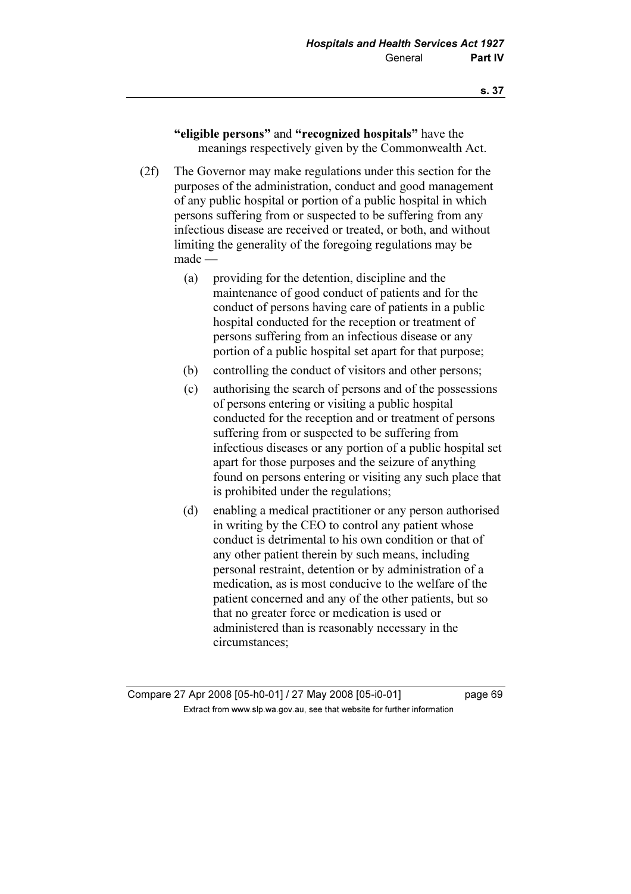"eligible persons" and "recognized hospitals" have the meanings respectively given by the Commonwealth Act.

- (2f) The Governor may make regulations under this section for the purposes of the administration, conduct and good management of any public hospital or portion of a public hospital in which persons suffering from or suspected to be suffering from any infectious disease are received or treated, or both, and without limiting the generality of the foregoing regulations may be made —
	- (a) providing for the detention, discipline and the maintenance of good conduct of patients and for the conduct of persons having care of patients in a public hospital conducted for the reception or treatment of persons suffering from an infectious disease or any portion of a public hospital set apart for that purpose;
	- (b) controlling the conduct of visitors and other persons;
	- (c) authorising the search of persons and of the possessions of persons entering or visiting a public hospital conducted for the reception and or treatment of persons suffering from or suspected to be suffering from infectious diseases or any portion of a public hospital set apart for those purposes and the seizure of anything found on persons entering or visiting any such place that is prohibited under the regulations;
	- (d) enabling a medical practitioner or any person authorised in writing by the CEO to control any patient whose conduct is detrimental to his own condition or that of any other patient therein by such means, including personal restraint, detention or by administration of a medication, as is most conducive to the welfare of the patient concerned and any of the other patients, but so that no greater force or medication is used or administered than is reasonably necessary in the circumstances;

Compare 27 Apr 2008 [05-h0-01] / 27 May 2008 [05-i0-01] page 69  $\mathbf{F}$  from which was the set that we besite for further information  $\mathbf{F}$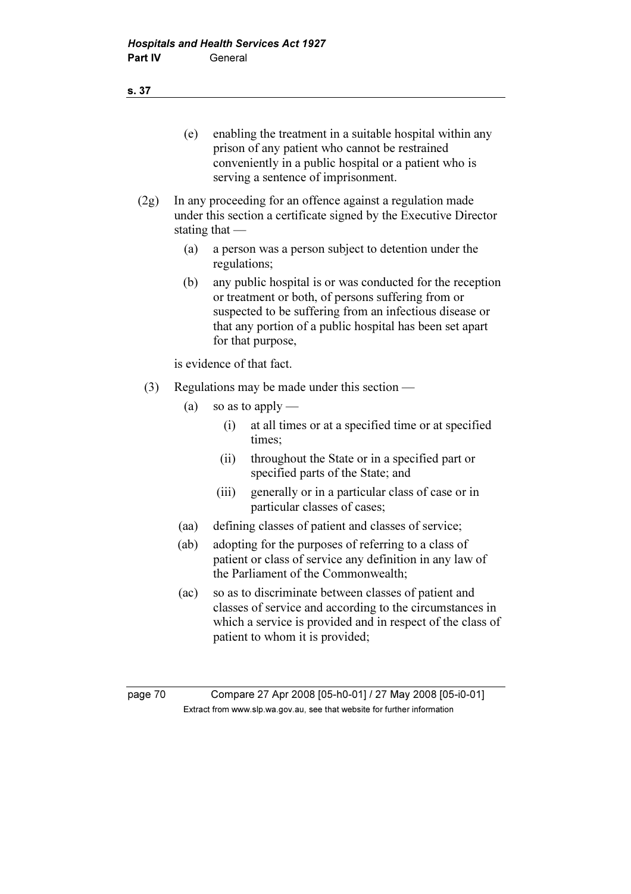s. 37

- (e) enabling the treatment in a suitable hospital within any prison of any patient who cannot be restrained conveniently in a public hospital or a patient who is serving a sentence of imprisonment.
- (2g) In any proceeding for an offence against a regulation made under this section a certificate signed by the Executive Director stating that —
	- (a) a person was a person subject to detention under the regulations;
	- (b) any public hospital is or was conducted for the reception or treatment or both, of persons suffering from or suspected to be suffering from an infectious disease or that any portion of a public hospital has been set apart for that purpose,

is evidence of that fact.

- (3) Regulations may be made under this section
	- (a) so as to apply
		- (i) at all times or at a specified time or at specified times;
		- (ii) throughout the State or in a specified part or specified parts of the State; and
		- (iii) generally or in a particular class of case or in particular classes of cases;
	- (aa) defining classes of patient and classes of service;
	- (ab) adopting for the purposes of referring to a class of patient or class of service any definition in any law of the Parliament of the Commonwealth;
	- (ac) so as to discriminate between classes of patient and classes of service and according to the circumstances in which a service is provided and in respect of the class of patient to whom it is provided;

page 70 Compare 27 Apr 2008 [05-h0-01] / 27 May 2008 [05-i0-01]  $\mathbf{F}$  from which was the set that we besite for further information  $\mathbf{F}$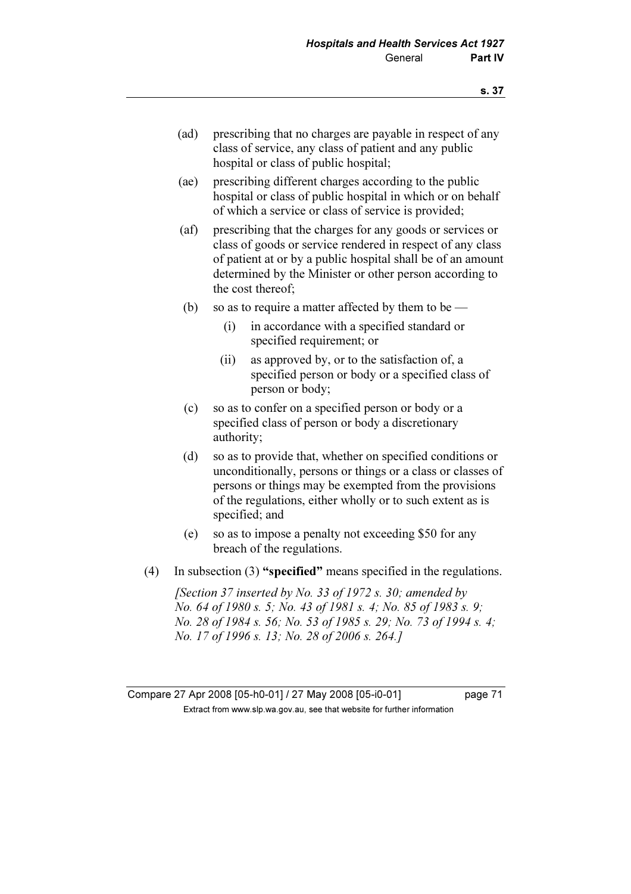- (ad) prescribing that no charges are payable in respect of any class of service, any class of patient and any public hospital or class of public hospital;
- (ae) prescribing different charges according to the public hospital or class of public hospital in which or on behalf of which a service or class of service is provided;
- (af) prescribing that the charges for any goods or services or class of goods or service rendered in respect of any class of patient at or by a public hospital shall be of an amount determined by the Minister or other person according to the cost thereof;
- (b) so as to require a matter affected by them to be
	- (i) in accordance with a specified standard or specified requirement; or
	- (ii) as approved by, or to the satisfaction of, a specified person or body or a specified class of person or body;
- (c) so as to confer on a specified person or body or a specified class of person or body a discretionary authority;
- (d) so as to provide that, whether on specified conditions or unconditionally, persons or things or a class or classes of persons or things may be exempted from the provisions of the regulations, either wholly or to such extent as is specified; and
- (e) so as to impose a penalty not exceeding \$50 for any breach of the regulations.
- (4) In subsection (3) "specified" means specified in the regulations.

[Section 37 inserted by No. 33 of 1972 s. 30; amended by No. 64 of 1980 s. 5; No. 43 of 1981 s. 4; No. 85 of 1983 s. 9; No. 28 of 1984 s. 56; No. 53 of 1985 s. 29; No. 73 of 1994 s. 4; No. 17 of 1996 s. 13; No. 28 of 2006 s. 264.]

Compare 27 Apr 2008 [05-h0-01] / 27 May 2008 [05-i0-01] page 71  $\mathbf{F}$  from which was the set that we besite for further information  $\mathbf{F}$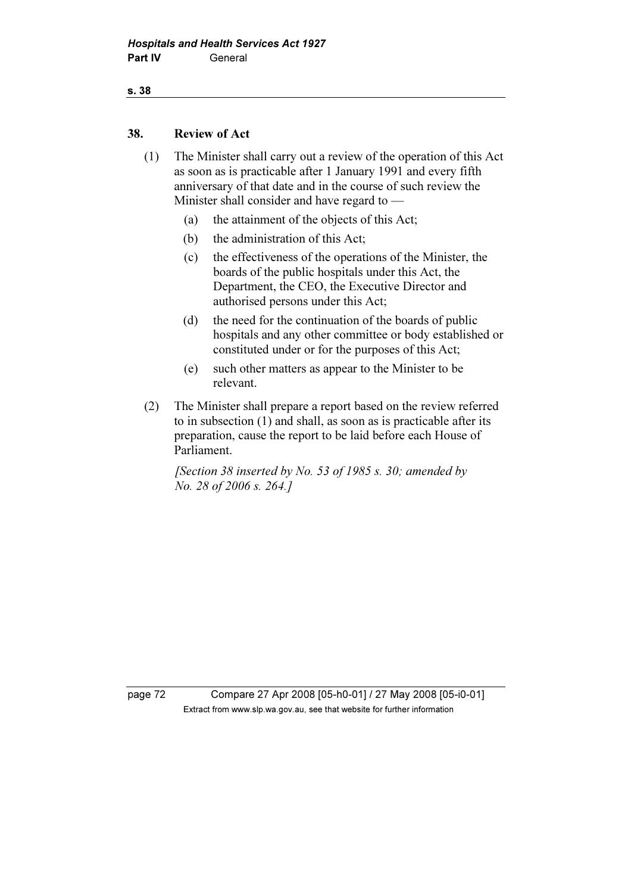# s. 38

## 38. Review of Act

- (1) The Minister shall carry out a review of the operation of this Act as soon as is practicable after 1 January 1991 and every fifth anniversary of that date and in the course of such review the Minister shall consider and have regard to —
	- (a) the attainment of the objects of this Act;
	- (b) the administration of this Act;
	- (c) the effectiveness of the operations of the Minister, the boards of the public hospitals under this Act, the Department, the CEO, the Executive Director and authorised persons under this Act;
	- (d) the need for the continuation of the boards of public hospitals and any other committee or body established or constituted under or for the purposes of this Act;
	- (e) such other matters as appear to the Minister to be relevant.
- (2) The Minister shall prepare a report based on the review referred to in subsection (1) and shall, as soon as is practicable after its preparation, cause the report to be laid before each House of Parliament.

[Section 38 inserted by No. 53 of 1985 s. 30; amended by No. 28 of 2006 s. 264.]

page 72 Compare 27 Apr 2008 [05-h0-01] / 27 May 2008 [05-i0-01]  $\mathbf{F}$  from which was the set that we besite for further information  $\mathbf{F}$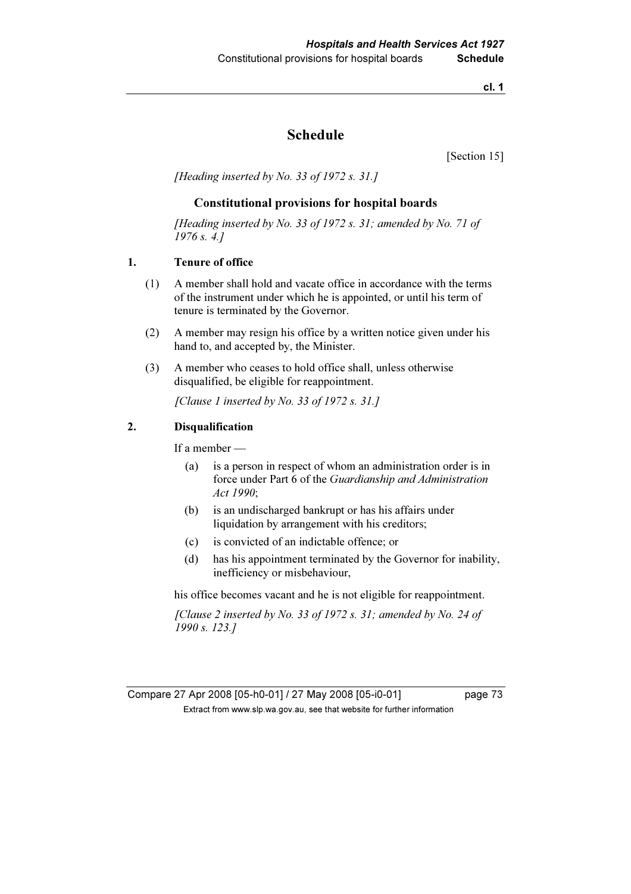cl. 1

# Schedule

[Section 15]

[Heading inserted by No. 33 of 1972 s. 31.]

#### Constitutional provisions for hospital boards

[Heading inserted by No. 33 of 1972 s. 31; amended by No. 71 of 1976 s. 4.]

#### 1. Tenure of office

- (1) A member shall hold and vacate office in accordance with the terms of the instrument under which he is appointed, or until his term of tenure is terminated by the Governor.
- (2) A member may resign his office by a written notice given under his hand to, and accepted by, the Minister.
- (3) A member who ceases to hold office shall, unless otherwise disqualified, be eligible for reappointment.

[Clause 1 inserted by No. 33 of 1972 s. 31.]

### 2. Disqualification

If a member —

- (a) is a person in respect of whom an administration order is in force under Part 6 of the Guardianship and Administration Act 1990;
- (b) is an undischarged bankrupt or has his affairs under liquidation by arrangement with his creditors;
- (c) is convicted of an indictable offence; or
- (d) has his appointment terminated by the Governor for inability, inefficiency or misbehaviour,

his office becomes vacant and he is not eligible for reappointment.

[Clause 2 inserted by No. 33 of 1972 s. 31; amended by No. 24 of 1990 s. 123.]

Compare 27 Apr 2008 [05-h0-01] / 27 May 2008 [05-i0-01] page 73  $\mathbf{F}$  from which was the set that we besite for further information  $\mathbf{F}$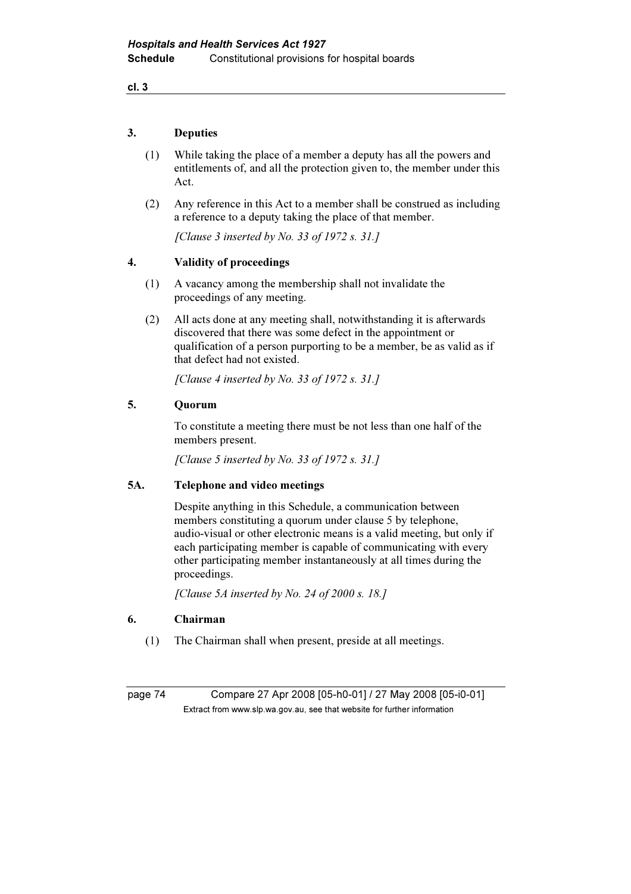cl. 3

### 3. Deputies

- (1) While taking the place of a member a deputy has all the powers and entitlements of, and all the protection given to, the member under this Act.
- (2) Any reference in this Act to a member shall be construed as including a reference to a deputy taking the place of that member.

[Clause 3 inserted by No. 33 of 1972 s. 31.]

## 4. Validity of proceedings

- (1) A vacancy among the membership shall not invalidate the proceedings of any meeting.
- (2) All acts done at any meeting shall, notwithstanding it is afterwards discovered that there was some defect in the appointment or qualification of a person purporting to be a member, be as valid as if that defect had not existed.

[Clause 4 inserted by No. 33 of 1972 s. 31.]

### 5. Quorum

 To constitute a meeting there must be not less than one half of the members present.

[Clause 5 inserted by No. 33 of 1972 s. 31.]

#### 5A. Telephone and video meetings

 Despite anything in this Schedule, a communication between members constituting a quorum under clause 5 by telephone, audio-visual or other electronic means is a valid meeting, but only if each participating member is capable of communicating with every other participating member instantaneously at all times during the proceedings.

[Clause 5A inserted by No. 24 of 2000 s. 18.]

### 6. Chairman

(1) The Chairman shall when present, preside at all meetings.

page 74 Compare 27 Apr 2008 [05-h0-01] / 27 May 2008 [05-i0-01]  $\mathbf{F}$  from which was the set that we besite for further information  $\mathbf{F}$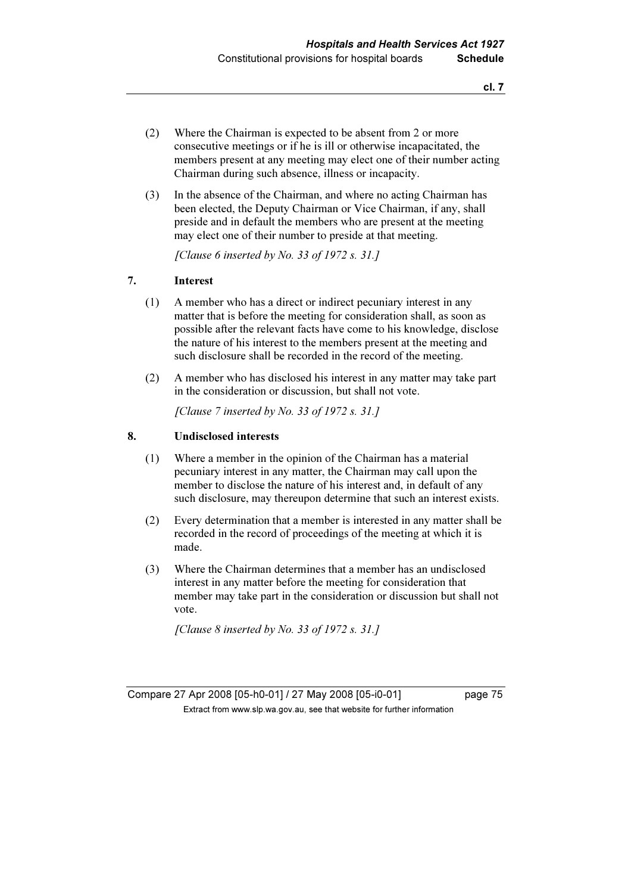- (2) Where the Chairman is expected to be absent from 2 or more consecutive meetings or if he is ill or otherwise incapacitated, the members present at any meeting may elect one of their number acting Chairman during such absence, illness or incapacity.
- (3) In the absence of the Chairman, and where no acting Chairman has been elected, the Deputy Chairman or Vice Chairman, if any, shall preside and in default the members who are present at the meeting may elect one of their number to preside at that meeting.

[Clause 6 inserted by No. 33 of 1972 s. 31.]

#### 7. Interest

- (1) A member who has a direct or indirect pecuniary interest in any matter that is before the meeting for consideration shall, as soon as possible after the relevant facts have come to his knowledge, disclose the nature of his interest to the members present at the meeting and such disclosure shall be recorded in the record of the meeting.
- (2) A member who has disclosed his interest in any matter may take part in the consideration or discussion, but shall not vote.

[Clause 7 inserted by No. 33 of 1972 s. 31.]

### 8. Undisclosed interests

- (1) Where a member in the opinion of the Chairman has a material pecuniary interest in any matter, the Chairman may call upon the member to disclose the nature of his interest and, in default of any such disclosure, may thereupon determine that such an interest exists.
- (2) Every determination that a member is interested in any matter shall be recorded in the record of proceedings of the meeting at which it is made.
- (3) Where the Chairman determines that a member has an undisclosed interest in any matter before the meeting for consideration that member may take part in the consideration or discussion but shall not vote.

[Clause  $8$  inserted by No. 33 of 1972 s. 31.]

Compare 27 Apr 2008 [05-h0-01] / 27 May 2008 [05-i0-01] page 75  $\mathbf{F}$  from which was the set that we besite for further information  $\mathbf{F}$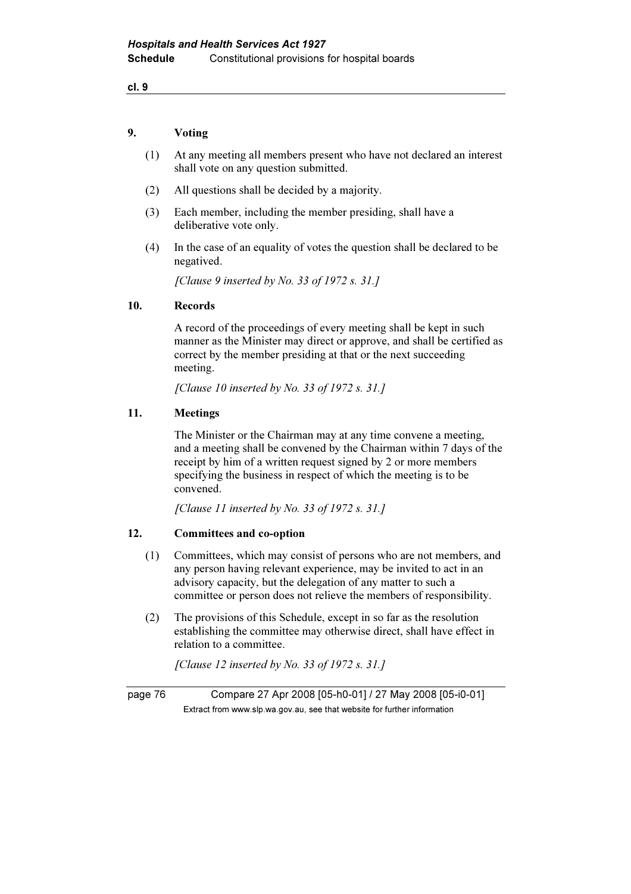cl. 9

#### 9. Voting

- (1) At any meeting all members present who have not declared an interest shall vote on any question submitted.
- (2) All questions shall be decided by a majority.
- (3) Each member, including the member presiding, shall have a deliberative vote only.
- (4) In the case of an equality of votes the question shall be declared to be negatived.

[Clause 9 inserted by No. 33 of 1972 s. 31.]

#### 10. Records

 A record of the proceedings of every meeting shall be kept in such manner as the Minister may direct or approve, and shall be certified as correct by the member presiding at that or the next succeeding meeting.

[Clause 10 inserted by No. 33 of 1972 s. 31.]

### 11. Meetings

 The Minister or the Chairman may at any time convene a meeting, and a meeting shall be convened by the Chairman within 7 days of the receipt by him of a written request signed by 2 or more members specifying the business in respect of which the meeting is to be convened.

[Clause 11 inserted by No. 33 of 1972 s. 31.]

#### 12. Committees and co-option

- (1) Committees, which may consist of persons who are not members, and any person having relevant experience, may be invited to act in an advisory capacity, but the delegation of any matter to such a committee or person does not relieve the members of responsibility.
- (2) The provisions of this Schedule, except in so far as the resolution establishing the committee may otherwise direct, shall have effect in relation to a committee.

[Clause 12 inserted by No. 33 of 1972 s. 31.]

page 76 Compare 27 Apr 2008 [05-h0-01] / 27 May 2008 [05-i0-01]  $\mathbf{F}$  from which was the set that we besite for further information  $\mathbf{F}$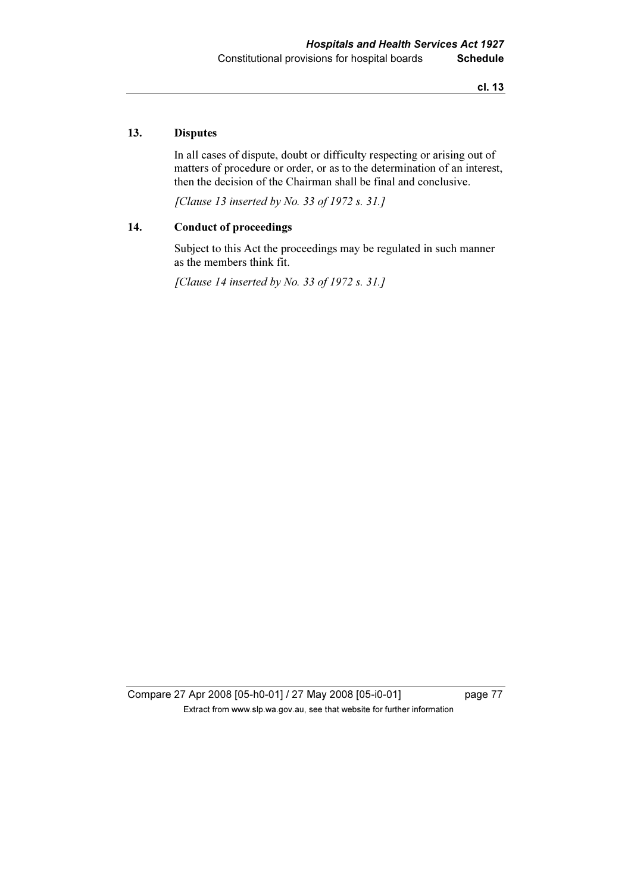### 13. Disputes

 In all cases of dispute, doubt or difficulty respecting or arising out of matters of procedure or order, or as to the determination of an interest, then the decision of the Chairman shall be final and conclusive.

[Clause 13 inserted by No. 33 of 1972 s. 31.]

## 14. Conduct of proceedings

 Subject to this Act the proceedings may be regulated in such manner as the members think fit.

[Clause 14 inserted by No. 33 of 1972 s. 31.]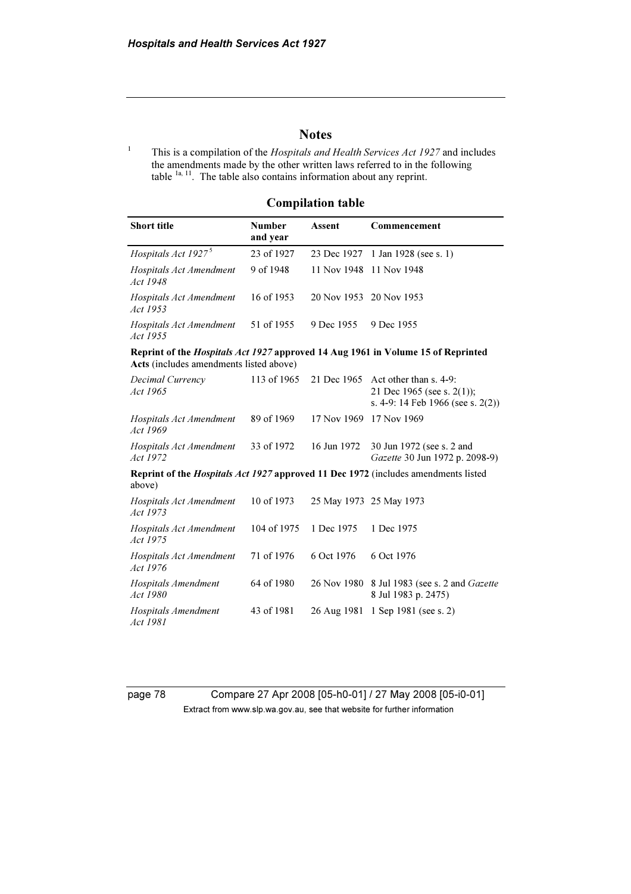# **Notes**

1 This is a compilation of the Hospitals and Health Services Act 1927 and includes the amendments made by the other written laws referred to in the following table  $1a, 11$ . The table also contains information about any reprint.

## Compilation table

| <b>Short title</b>                                                                                  | <b>Number</b><br>and year | Assent                  | Commencement                                                                                 |  |
|-----------------------------------------------------------------------------------------------------|---------------------------|-------------------------|----------------------------------------------------------------------------------------------|--|
| Hospitals Act 1927 <sup>5</sup>                                                                     | 23 of 1927                | 23 Dec 1927             | 1 Jan 1928 (see s. 1)                                                                        |  |
| Hospitals Act Amendment<br>Act 1948                                                                 | 9 of 1948                 | 11 Nov 1948             | 11 Nov 1948                                                                                  |  |
| Hospitals Act Amendment<br>Act 1953                                                                 | 16 of 1953                | 20 Nov 1953             | 20 Nov 1953                                                                                  |  |
| Hospitals Act Amendment<br>Act 1955                                                                 | 51 of 1955                | 9 Dec 1955              | 9 Dec 1955                                                                                   |  |
| Acts (includes amendments listed above)                                                             |                           |                         | Reprint of the <i>Hospitals Act 1927</i> approved 14 Aug 1961 in Volume 15 of Reprinted      |  |
| Decimal Currency<br>Act 1965                                                                        | 113 of 1965               | 21 Dec 1965             | Act other than s. 4-9:<br>21 Dec 1965 (see s. 2(1));<br>s. 4-9: 14 Feb 1966 (see s. $2(2)$ ) |  |
| Hospitals Act Amendment<br>Act 1969                                                                 | 89 of 1969                | 17 Nov 1969             | 17 Nov 1969                                                                                  |  |
| Hospitals Act Amendment<br>Act 1972                                                                 | 33 of 1972                | 16 Jun 1972             | 30 Jun 1972 (see s. 2 and<br>Gazette 30 Jun 1972 p. 2098-9)                                  |  |
| Reprint of the <i>Hospitals Act 1927</i> approved 11 Dec 1972 (includes amendments listed<br>above) |                           |                         |                                                                                              |  |
| Hospitals Act Amendment<br>Act 1973                                                                 | 10 of 1973                | 25 May 1973 25 May 1973 |                                                                                              |  |
| Hospitals Act Amendment<br>Act 1975                                                                 | 104 of 1975               | 1 Dec 1975              | 1 Dec 1975                                                                                   |  |
| Hospitals Act Amendment<br>Act 1976                                                                 | 71 of 1976                | 6 Oct 1976              | 6 Oct 1976                                                                                   |  |
| Hospitals Amendment<br>Act 1980                                                                     | 64 of 1980                | 26 Nov 1980             | 8 Jul 1983 (see s. 2 and <i>Gazette</i><br>8 Jul 1983 p. 2475)                               |  |
| Hospitals Amendment<br>Act 1981                                                                     | 43 of 1981                | 26 Aug 1981             | 1 Sep 1981 (see s. 2)                                                                        |  |

page 78 Compare 27 Apr 2008 [05-h0-01] / 27 May 2008 [05-i0-01] Extract from www.slp.wa.gov.au, see that website for further information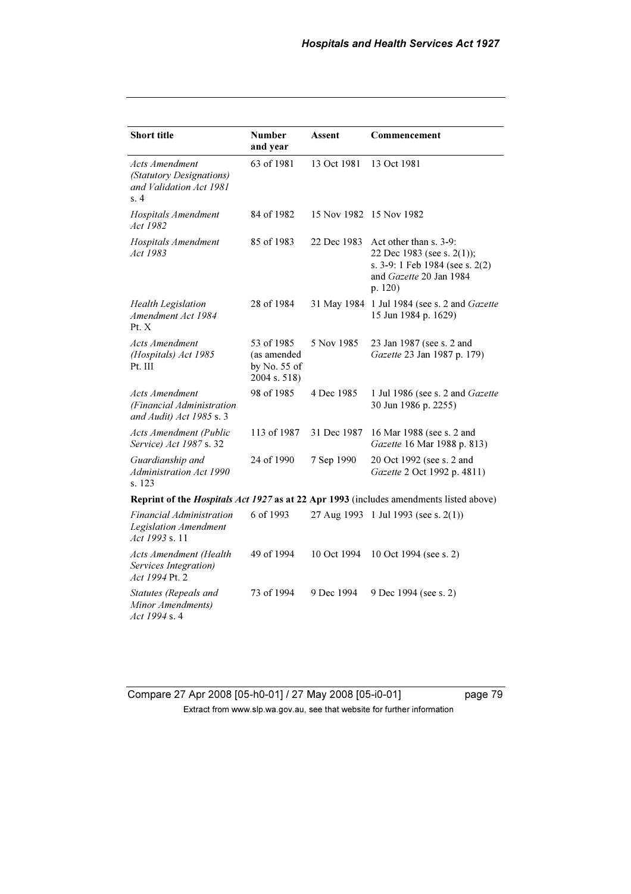| <b>Short title</b>                                                                            | <b>Number</b><br>and year                                   | <b>Assent</b> | Commencement                                                                                                                  |  |  |
|-----------------------------------------------------------------------------------------------|-------------------------------------------------------------|---------------|-------------------------------------------------------------------------------------------------------------------------------|--|--|
| <b>Acts Amendment</b><br>(Statutory Designations)<br>and Validation Act 1981<br>s.4           | 63 of 1981                                                  | 13 Oct 1981   | 13 Oct 1981                                                                                                                   |  |  |
| Hospitals Amendment<br>Act 1982                                                               | 84 of 1982                                                  |               | 15 Nov 1982 15 Nov 1982                                                                                                       |  |  |
| Hospitals Amendment<br><i>Act 1983</i>                                                        | 85 of 1983                                                  | 22 Dec 1983   | Act other than s. 3-9:<br>22 Dec 1983 (see s. 2(1));<br>s. 3-9: 1 Feb 1984 (see s. 2(2)<br>and Gazette 20 Jan 1984<br>p. 120) |  |  |
| <b>Health Legislation</b><br>Amendment Act 1984<br>Pt. X                                      | 28 of 1984                                                  | 31 May 1984   | 1 Jul 1984 (see s. 2 and Gazette<br>15 Jun 1984 p. 1629)                                                                      |  |  |
| Acts Amendment<br>(Hospitals) Act 1985<br>Pt. III                                             | 53 of 1985<br>(as amended<br>by No. $55$ of<br>2004 s. 518) | 5 Nov 1985    | 23 Jan 1987 (see s. 2 and<br>Gazette 23 Jan 1987 p. 179)                                                                      |  |  |
| Acts Amendment<br>(Financial Administration<br>and Audit) Act 1985 s. 3                       | 98 of 1985                                                  | 4 Dec 1985    | 1 Jul 1986 (see s. 2 and Gazette<br>30 Jun 1986 p. 2255)                                                                      |  |  |
| <b>Acts Amendment (Public</b><br>Service) Act 1987 s. 32                                      | 113 of 1987                                                 | 31 Dec 1987   | 16 Mar 1988 (see s. 2 and<br>Gazette 16 Mar 1988 p. 813)                                                                      |  |  |
| Guardianship and<br>Administration Act 1990<br>s. 123                                         | 24 of 1990                                                  | 7 Sep 1990    | 20 Oct 1992 (see s. 2 and<br>Gazette 2 Oct 1992 p. 4811)                                                                      |  |  |
| Reprint of the <i>Hospitals Act 1927</i> as at 22 Apr 1993 (includes amendments listed above) |                                                             |               |                                                                                                                               |  |  |
| Financial Administration<br>Legislation Amendment<br>Act 1993 s. 11                           | 6 of 1993                                                   |               | 27 Aug 1993 1 Jul 1993 (see s. 2(1))                                                                                          |  |  |
| Acts Amendment (Health<br>Services Integration)<br>Act 1994 Pt. 2                             | 49 of 1994                                                  | 10 Oct 1994   | 10 Oct 1994 (see s. 2)                                                                                                        |  |  |
| Statutes (Repeals and<br>Minor Amendments)<br>Act 1994 s. 4                                   | 73 of 1994                                                  | 9 Dec 1994    | 9 Dec 1994 (see s. 2)                                                                                                         |  |  |

Compare 27 Apr 2008 [05-h0-01] / 27 May 2008 [05-i0-01] page 79 Extract from www.slp.wa.gov.au, see that website for further information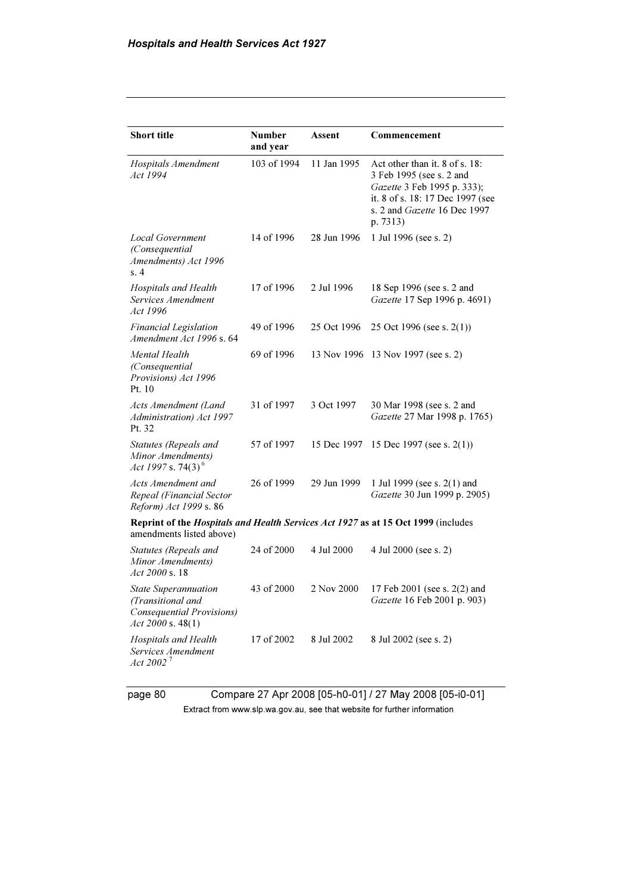| <b>Short title</b>                                                                                   | <b>Number</b><br>and year                                                         | Assent      | Commencement                                                                                                                                                              |  |
|------------------------------------------------------------------------------------------------------|-----------------------------------------------------------------------------------|-------------|---------------------------------------------------------------------------------------------------------------------------------------------------------------------------|--|
| Hospitals Amendment<br>Act 1994                                                                      | 103 of 1994                                                                       | 11 Jan 1995 | Act other than it. 8 of s. 18:<br>3 Feb 1995 (see s. 2 and<br>Gazette 3 Feb 1995 p. 333);<br>it. 8 of s. 18: 17 Dec 1997 (see<br>s. 2 and Gazette 16 Dec 1997<br>p. 7313) |  |
| <b>Local Government</b><br>(Consequential<br>Amendments) Act 1996<br>s.4                             | 14 of 1996                                                                        | 28 Jun 1996 | 1 Jul 1996 (see s. 2)                                                                                                                                                     |  |
| Hospitals and Health<br>Services Amendment<br>Act 1996                                               | 17 of 1996                                                                        | 2 Jul 1996  | 18 Sep 1996 (see s. 2 and<br>Gazette 17 Sep 1996 p. 4691)                                                                                                                 |  |
| <b>Financial Legislation</b><br>Amendment Act 1996 s. 64                                             | 49 of 1996                                                                        | 25 Oct 1996 | 25 Oct 1996 (see s. $2(1)$ )                                                                                                                                              |  |
| Mental Health<br>(Consequential<br>Provisions) Act 1996<br>Pt. 10                                    | 69 of 1996                                                                        | 13 Nov 1996 | 13 Nov 1997 (see s. 2)                                                                                                                                                    |  |
| Acts Amendment (Land<br>Administration) Act 1997<br>Pt. 32                                           | 31 of 1997                                                                        | 3 Oct 1997  | 30 Mar 1998 (see s. 2 and<br>Gazette 27 Mar 1998 p. 1765)                                                                                                                 |  |
| Statutes (Repeals and<br>Minor Amendments)<br>Act 1997 s. 74(3) <sup>6</sup>                         | 57 of 1997                                                                        | 15 Dec 1997 | 15 Dec 1997 (see s. $2(1)$ )                                                                                                                                              |  |
| Acts Amendment and<br>Repeal (Financial Sector<br>Reform) Act 1999 s. 86                             | 26 of 1999                                                                        | 29 Jun 1999 | 1 Jul 1999 (see s. 2(1) and<br>Gazette 30 Jun 1999 p. 2905)                                                                                                               |  |
| amendments listed above)                                                                             | Reprint of the Hospitals and Health Services Act 1927 as at 15 Oct 1999 (includes |             |                                                                                                                                                                           |  |
| Statutes (Repeals and<br>Minor Amendments)<br>$Act\,2000\,$ s. 18                                    | 24 of 2000                                                                        | 4 Jul 2000  | 4 Jul 2000 (see s. 2)                                                                                                                                                     |  |
| <b>State Superannuation</b><br>(Transitional and<br>Consequential Provisions)<br>Act 2000 s. $48(1)$ | 43 of 2000                                                                        | 2 Nov 2000  | 17 Feb 2001 (see s. 2(2) and<br>Gazette 16 Feb 2001 p. 903)                                                                                                               |  |
| Hospitals and Health<br>Services Amendment<br>Act 2002 $^7$                                          | 17 of 2002                                                                        | 8 Jul 2002  | 8 Jul 2002 (see s. 2)                                                                                                                                                     |  |

page 80 Compare 27 Apr 2008 [05-h0-01] / 27 May 2008 [05-i0-01] Extract from www.slp.wa.gov.au, see that website for further information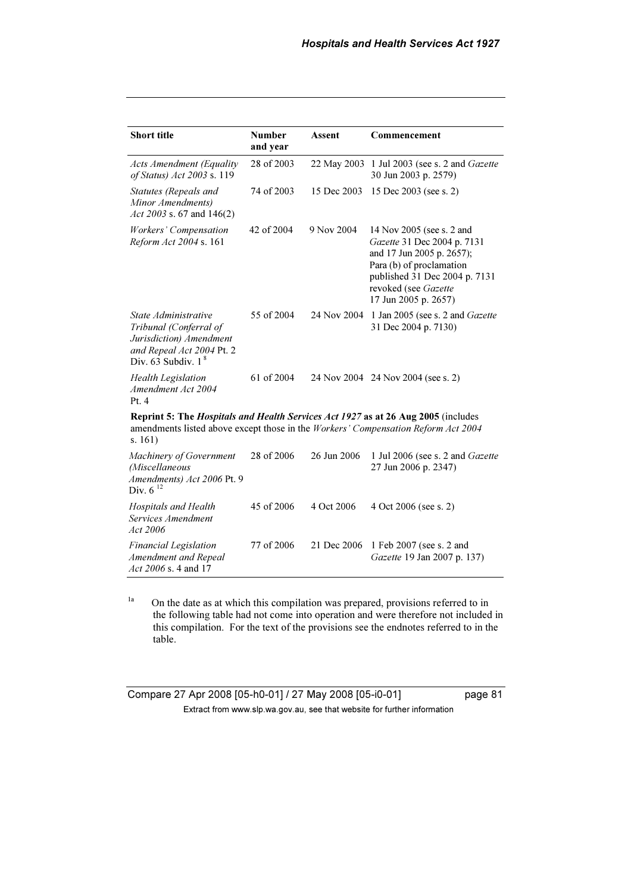| <b>Short title</b>                                                                                                                                                                | <b>Number</b><br>and year | Assent      | Commencement                                                                                                                                                                                       |  |
|-----------------------------------------------------------------------------------------------------------------------------------------------------------------------------------|---------------------------|-------------|----------------------------------------------------------------------------------------------------------------------------------------------------------------------------------------------------|--|
| <b>Acts Amendment (Equality</b><br>of Status) Act 2003 s. 119                                                                                                                     | 28 of 2003                | 22 May 2003 | 1 Jul 2003 (see s. 2 and <i>Gazette</i><br>30 Jun 2003 p. 2579)                                                                                                                                    |  |
| Statutes (Repeals and<br>Minor Amendments)<br>Act 2003 s. 67 and $146(2)$                                                                                                         | 74 of 2003                | 15 Dec 2003 | 15 Dec 2003 (see s. 2)                                                                                                                                                                             |  |
| Workers' Compensation<br>Reform Act 2004 s. 161                                                                                                                                   | 42 of 2004                | 9 Nov 2004  | 14 Nov 2005 (see s. 2 and<br>Gazette 31 Dec 2004 p. 7131<br>and 17 Jun 2005 p. 2657);<br>Para (b) of proclamation<br>published 31 Dec 2004 p. 7131<br>revoked (see Gazette<br>17 Jun 2005 p. 2657) |  |
| State Administrative<br>Tribunal (Conferral of<br>Jurisdiction) Amendment<br>and Repeal Act 2004 Pt. 2<br>Div. $63$ Subdiv. $1^8$                                                 | 55 of 2004                | 24 Nov 2004 | 1 Jan 2005 (see s. 2 and Gazette<br>31 Dec 2004 p. 7130)                                                                                                                                           |  |
| <b>Health Legislation</b><br>Amendment Act 2004<br>Pt.4                                                                                                                           | 61 of 2004                |             | 24 Nov 2004 24 Nov 2004 (see s. 2)                                                                                                                                                                 |  |
| Reprint 5: The Hospitals and Health Services Act 1927 as at 26 Aug 2005 (includes<br>amendments listed above except those in the Workers' Compensation Reform Act 2004<br>s. 161) |                           |             |                                                                                                                                                                                                    |  |
| Machinery of Government<br>(Miscellaneous<br>Amendments) Act 2006 Pt. 9<br>Div. $6^{12}$                                                                                          | 28 of 2006                | 26 Jun 2006 | 1 Jul 2006 (see s. 2 and Gazette<br>27 Jun 2006 p. 2347)                                                                                                                                           |  |
| Hospitals and Health<br>Services Amendment<br>Act 2006                                                                                                                            | 45 of 2006                | 4 Oct 2006  | 4 Oct 2006 (see s. 2)                                                                                                                                                                              |  |
| <b>Financial Legislation</b><br>Amendment and Repeal<br>Act 2006 s. 4 and 17                                                                                                      | 77 of 2006                | 21 Dec 2006 | 1 Feb 2007 (see s. 2 and<br>Gazette 19 Jan 2007 p. 137)                                                                                                                                            |  |

<sup>1a</sup> On the date as at which this compilation was prepared, provisions referred to in the following table had not come into operation and were therefore not included in this compilation. For the text of the provisions see the endnotes referred to in the table.

Compare 27 Apr 2008 [05-h0-01] / 27 May 2008 [05-i0-01] page 81 Extract from www.slp.wa.gov.au, see that website for further information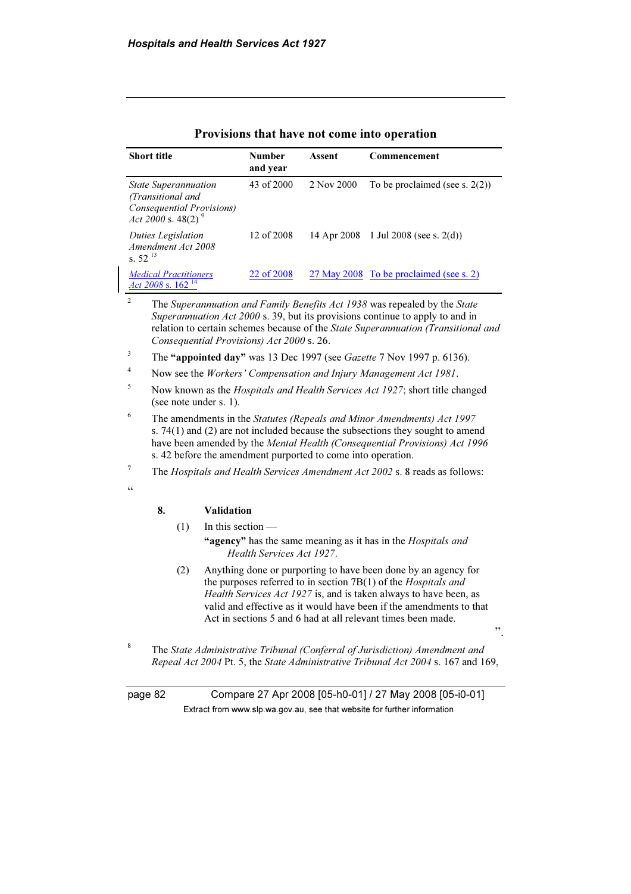| <b>Short title</b>                                       |                                                                                                                 |                     | <b>Number</b><br>and year                 | Assent                                                       | Commencement                                                                                                                                                                                                                                                                                                                                 |
|----------------------------------------------------------|-----------------------------------------------------------------------------------------------------------------|---------------------|-------------------------------------------|--------------------------------------------------------------|----------------------------------------------------------------------------------------------------------------------------------------------------------------------------------------------------------------------------------------------------------------------------------------------------------------------------------------------|
|                                                          | <b>State Superannuation</b><br>(Transitional and<br>Consequential Provisions)<br>Act 2000 s. 48(2) <sup>9</sup> |                     | 43 of 2000                                | 2 Nov 2000                                                   | To be proclaimed (see s. $2(2)$ )                                                                                                                                                                                                                                                                                                            |
| Duties Legislation<br>Amendment Act 2008<br>s. $52^{13}$ |                                                                                                                 | 12 of 2008          | 14 Apr 2008                               | 1 Jul 2008 (see s. $2(d)$ )                                  |                                                                                                                                                                                                                                                                                                                                              |
| <b>Medical Practitioners</b><br>Act 2008 s. $162^{14}$   |                                                                                                                 | 22 of 2008          |                                           | 27 May 2008 To be proclaimed (see s. 2)                      |                                                                                                                                                                                                                                                                                                                                              |
| $\mathbf{2}$                                             |                                                                                                                 |                     | Consequential Provisions) Act 2000 s. 26. |                                                              | The Superannuation and Family Benefits Act 1938 was repealed by the State<br>Superannuation Act 2000 s. 39, but its provisions continue to apply to and in<br>relation to certain schemes because of the State Superannuation (Transitional and                                                                                              |
| 3                                                        | The "appointed day" was 13 Dec 1997 (see Gazette 7 Nov 1997 p. 6136).                                           |                     |                                           |                                                              |                                                                                                                                                                                                                                                                                                                                              |
| 4                                                        | Now see the Workers' Compensation and Injury Management Act 1981.                                               |                     |                                           |                                                              |                                                                                                                                                                                                                                                                                                                                              |
| 5                                                        | Now known as the <i>Hospitals and Health Services Act 1927</i> ; short title changed<br>(see note under s. 1).  |                     |                                           |                                                              |                                                                                                                                                                                                                                                                                                                                              |
| 6                                                        |                                                                                                                 |                     |                                           | s. 42 before the amendment purported to come into operation. | The amendments in the Statutes (Repeals and Minor Amendments) Act 1997<br>s. 74(1) and (2) are not included because the subsections they sought to amend<br>have been amended by the Mental Health (Consequential Provisions) Act 1996                                                                                                       |
| $\boldsymbol{7}$                                         |                                                                                                                 |                     |                                           |                                                              | The Hospitals and Health Services Amendment Act 2002 s. 8 reads as follows:                                                                                                                                                                                                                                                                  |
| $\!\!\!\zeta\,\zeta\!\!\!\zeta\!\!\!\zeta$               | 8.                                                                                                              | <b>Validation</b>   |                                           |                                                              |                                                                                                                                                                                                                                                                                                                                              |
|                                                          | (1)                                                                                                             | In this section $-$ |                                           |                                                              |                                                                                                                                                                                                                                                                                                                                              |
|                                                          |                                                                                                                 |                     | Health Services Act 1927.                 |                                                              | "agency" has the same meaning as it has in the Hospitals and                                                                                                                                                                                                                                                                                 |
|                                                          | (2)                                                                                                             |                     |                                           |                                                              | Anything done or purporting to have been done by an agency for<br>the purposes referred to in section 7B(1) of the Hospitals and<br>Health Services Act 1927 is, and is taken always to have been, as<br>valid and effective as it would have been if the amendments to that<br>Act in sections 5 and 6 had at all relevant times been made. |
| 8                                                        |                                                                                                                 |                     |                                           |                                                              | ,,<br>The $\alpha$ $\alpha$ dental denotes the $\alpha$ denotes $T$ is $\alpha$ and $\alpha$ and $\alpha$ and $\alpha$ and $\alpha$ and $\alpha$ and $\alpha$ and $\alpha$ and $\alpha$ and $\alpha$ and $\alpha$ and $\alpha$ and $\alpha$ and $\alpha$ and $\alpha$ and $\alpha$ and $\alpha$ and $\alpha$ and $\alpha$ a                  |

#### Provisions that have not come into operation

 The State Administrative Tribunal (Conferral of Jurisdiction) Amendment and Repeal Act 2004 Pt. 5, the State Administrative Tribunal Act 2004 s. 167 and 169,

page 82 Compare 27 Apr 2008 [05-h0-01] / 27 May 2008 [05-i0-01] Extract from www.slp.wa.gov.au, see that website for further information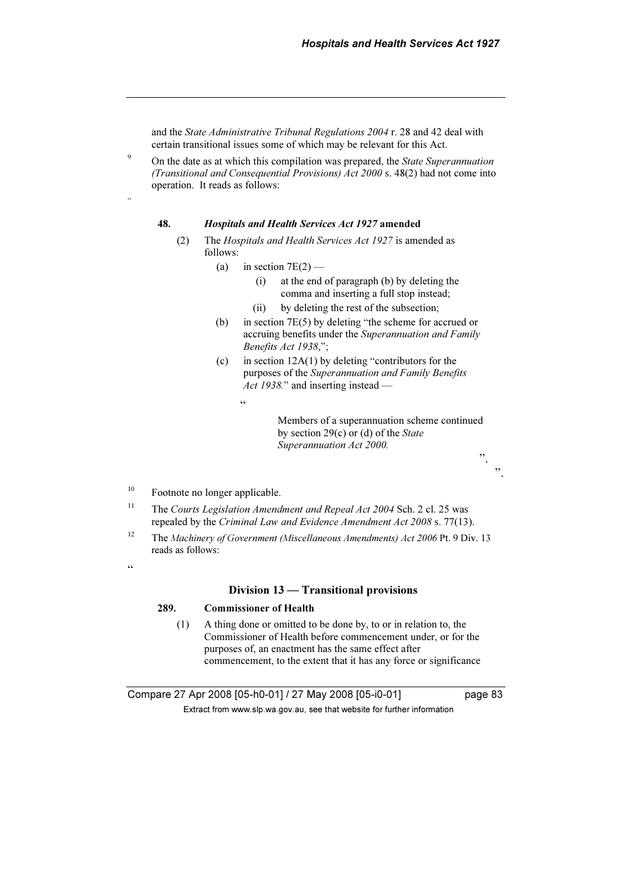and the State Administrative Tribunal Regulations 2004 r. 28 and 42 deal with certain transitional issues some of which may be relevant for this Act.

 On the date as at which this compilation was prepared, the State Superannuation (Transitional and Consequential Provisions) Act 2000 s. 48(2) had not come into operation. It reads as follows:

#### 48. Hospitals and Health Services Act 1927 amended

- (2) The Hospitals and Health Services Act 1927 is amended as follows:
	- (a) in section  $7E(2)$ 
		- (i) at the end of paragraph (b) by deleting the comma and inserting a full stop instead;
		- (ii) by deleting the rest of the subsection;
	- (b) in section 7E(5) by deleting "the scheme for accrued or accruing benefits under the Superannuation and Family Benefits Act 1938,";
	- (c) in section  $12A(1)$  by deleting "contributors for the purposes of the Superannuation and Family Benefits Act 1938." and inserting instead —
		- .<br>"

 Members of a superannuation scheme continued by section  $29(c)$  or (d) of the State Superannuation Act 2000.

- <sup>10</sup> Footnote no longer applicable.
- <sup>11</sup> The Courts Legislation Amendment and Repeal Act 2004 Sch. 2 cl. 25 was repealed by the Criminal Law and Evidence Amendment Act 2008 s. 77(13).
- <sup>12</sup> The Machinery of Government (Miscellaneous Amendments) Act 2006 Pt. 9 Div. 13 reads as follows:
- $\epsilon$

9

"

#### Division 13 — Transitional provisions

#### 289. Commissioner of Health

 (1) A thing done or omitted to be done by, to or in relation to, the Commissioner of Health before commencement under, or for the purposes of, an enactment has the same effect after commencement, to the extent that it has any force or significance

Compare 27 Apr 2008 [05-h0-01] / 27 May 2008 [05-i0-01] page 83  $\mathbf{F}$  from which was the set that we besite for further information  $\mathbf{F}$ 

 $\ddot{\hspace{1mm}1}$ 

".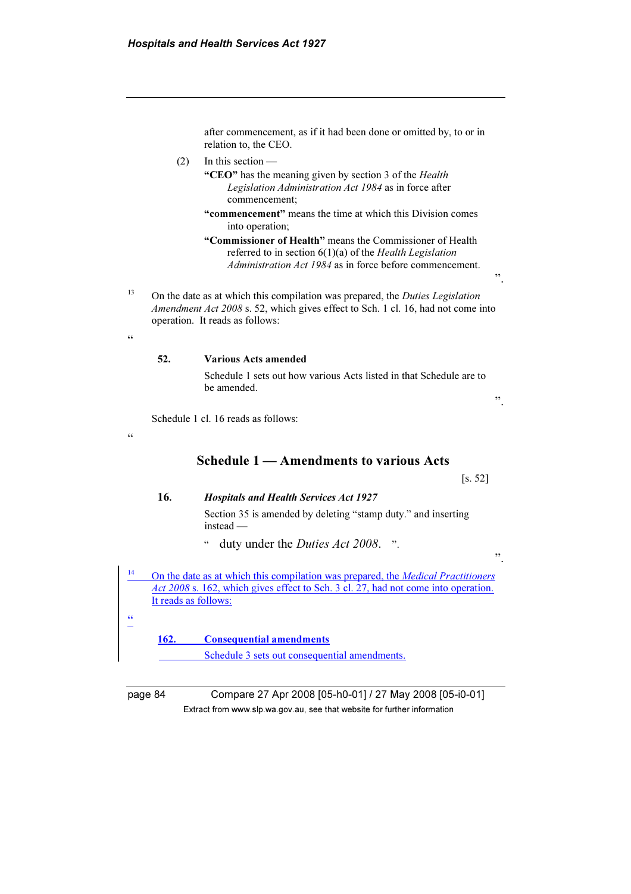after commencement, as if it had been done or omitted by, to or in relation to, the CEO.

 $(2)$  In this section —

"CEO" has the meaning given by section 3 of the *Health* Legislation Administration Act 1984 as in force after commencement;

"commencement" means the time at which this Division comes into operation;

 "Commissioner of Health" means the Commissioner of Health referred to in section  $6(1)(a)$  of the Health Legislation Administration Act 1984 as in force before commencement.

- <sup>13</sup> On the date as at which this compilation was prepared, the *Duties Legislation* Amendment Act 2008 s. 52, which gives effect to Sch. 1 cl. 16, had not come into operation. It reads as follows:
	- 52. Various Acts amended

 Schedule 1 sets out how various Acts listed in that Schedule are to be amended.

".

".

".

Schedule 1 cl. 16 reads as follows:

 $\zeta$   $\zeta$ 

.<br>"

<u>ائم</u>

Schedule 1 — Amendments to various Acts

[s. 52]

#### 16. Hospitals and Health Services Act 1927

 Section 35 is amended by deleting "stamp duty." and inserting instead —

" duty under the Duties Act 2008. ".

<sup>14</sup> On the date as at which this compilation was prepared, the *Medical Practitioners* Act 2008 s. 162, which gives effect to Sch. 3 cl. 27, had not come into operation. It reads as follows:

162. Consequential amendments

Schedule 3 sets out consequential amendments.

page 84 Compare 27 Apr 2008 [05-h0-01] / 27 May 2008 [05-i0-01]  $\mathbf{F}$  from which was the set that we besite for further information  $\mathbf{F}$